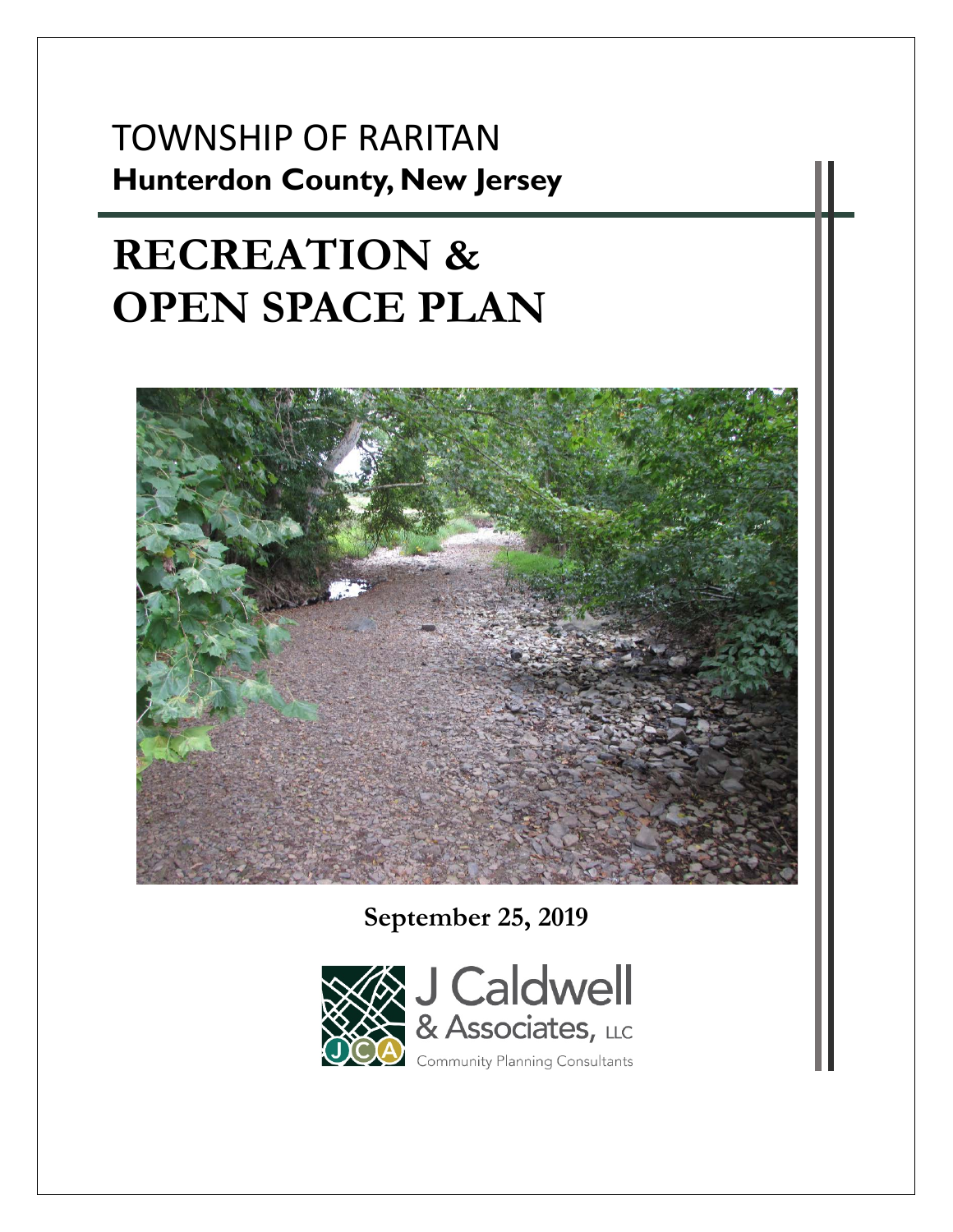# TOWNSHIP OF RARITAN **Hunterdon County, New Jersey**

# **RECREATION & OPEN SPACE PLAN**



**September 25, 2019** 

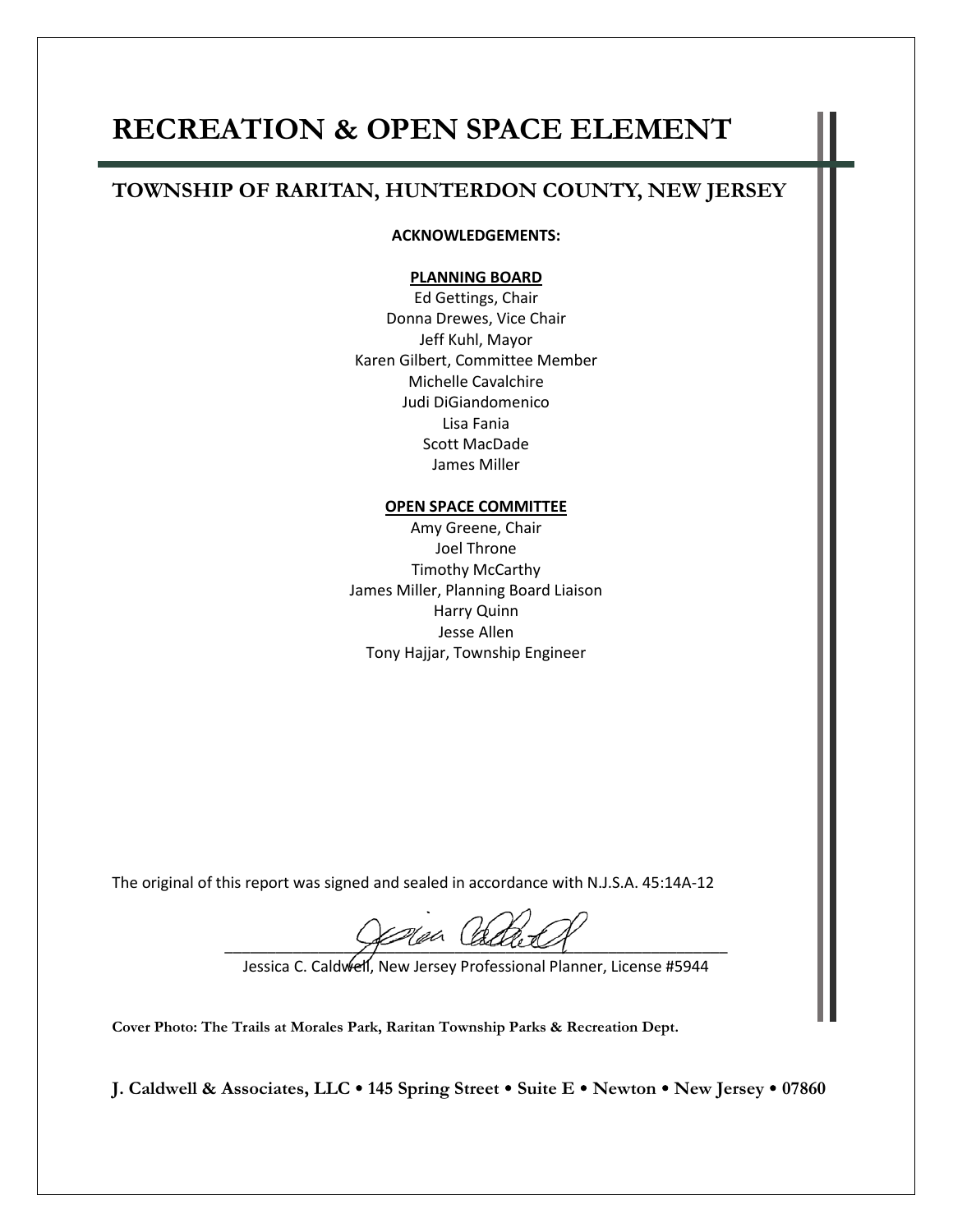## **RECREATION & OPEN SPACE ELEMENT**

#### **TOWNSHIP OF RARITAN, HUNTERDON COUNTY, NEW JERSEY**

#### **ACKNOWLEDGEMENTS:**

#### **PLANNING BOARD**

Ed Gettings, Chair Donna Drewes, Vice Chair Jeff Kuhl, Mayor Karen Gilbert, Committee Member Michelle Cavalchire Judi DiGiandomenico Lisa Fania Scott MacDade James Miller

#### **OPEN SPACE COMMITTEE**

Amy Greene, Chair Joel Throne Timothy McCarthy James Miller, Planning Board Liaison Harry Quinn Jesse Allen Tony Hajjar, Township Engineer

The original of this report was signed and sealed in accordance with N.J.S.A. 45:14A-12

\_\_\_\_\_\_\_\_\_\_\_\_\_\_\_\_\_\_\_\_\_\_\_\_\_\_\_\_\_\_\_\_\_\_\_\_\_\_\_\_\_\_\_\_\_\_\_\_\_\_\_\_\_\_\_\_\_\_\_

Jessica C. Caldwell, New Jersey Professional Planner, License #5944

**Cover Photo: The Trails at Morales Park, Raritan Township Parks & Recreation Dept.**

**J. Caldwell & Associates, LLC 145 Spring Street Suite E Newton New Jersey 07860**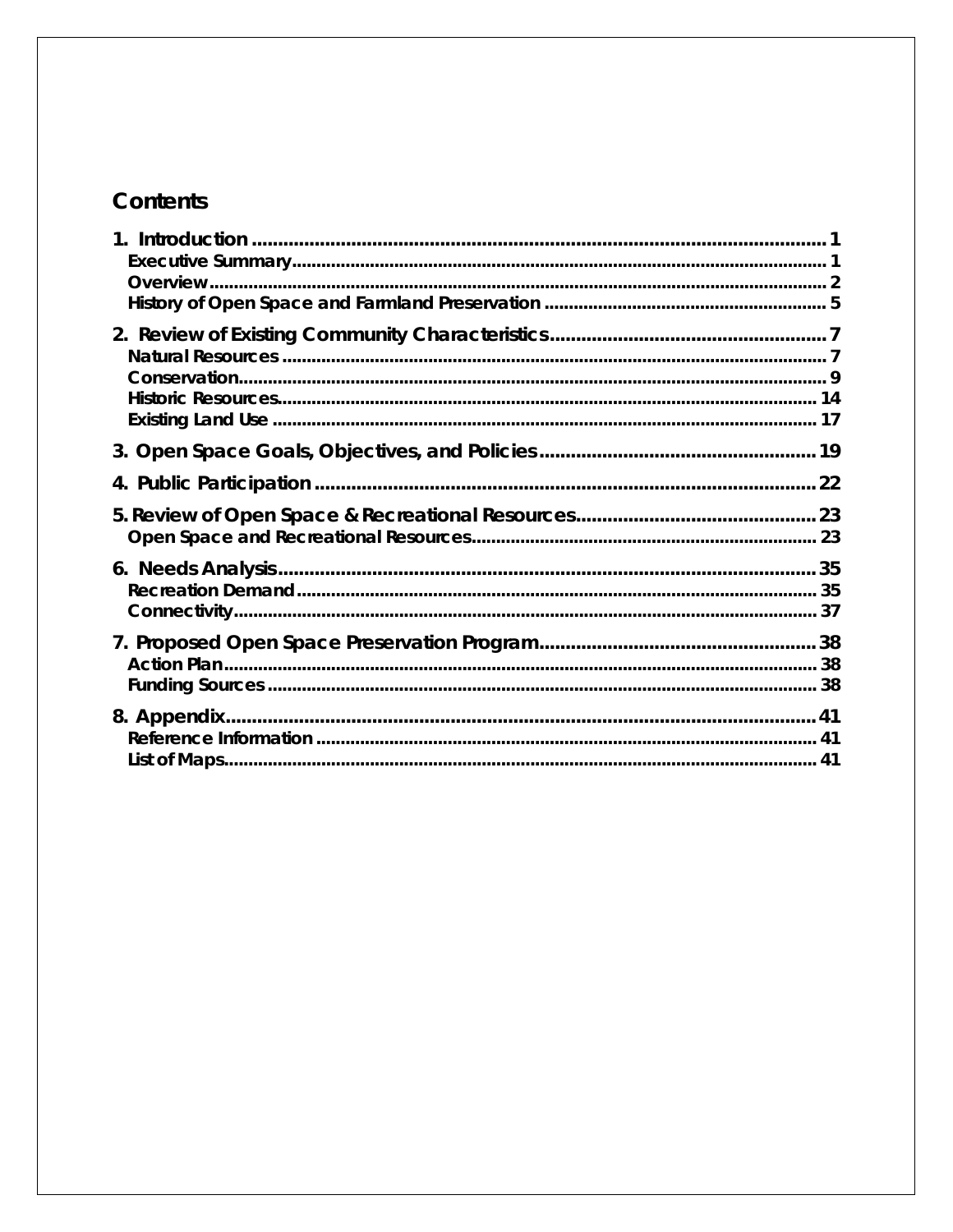## Contents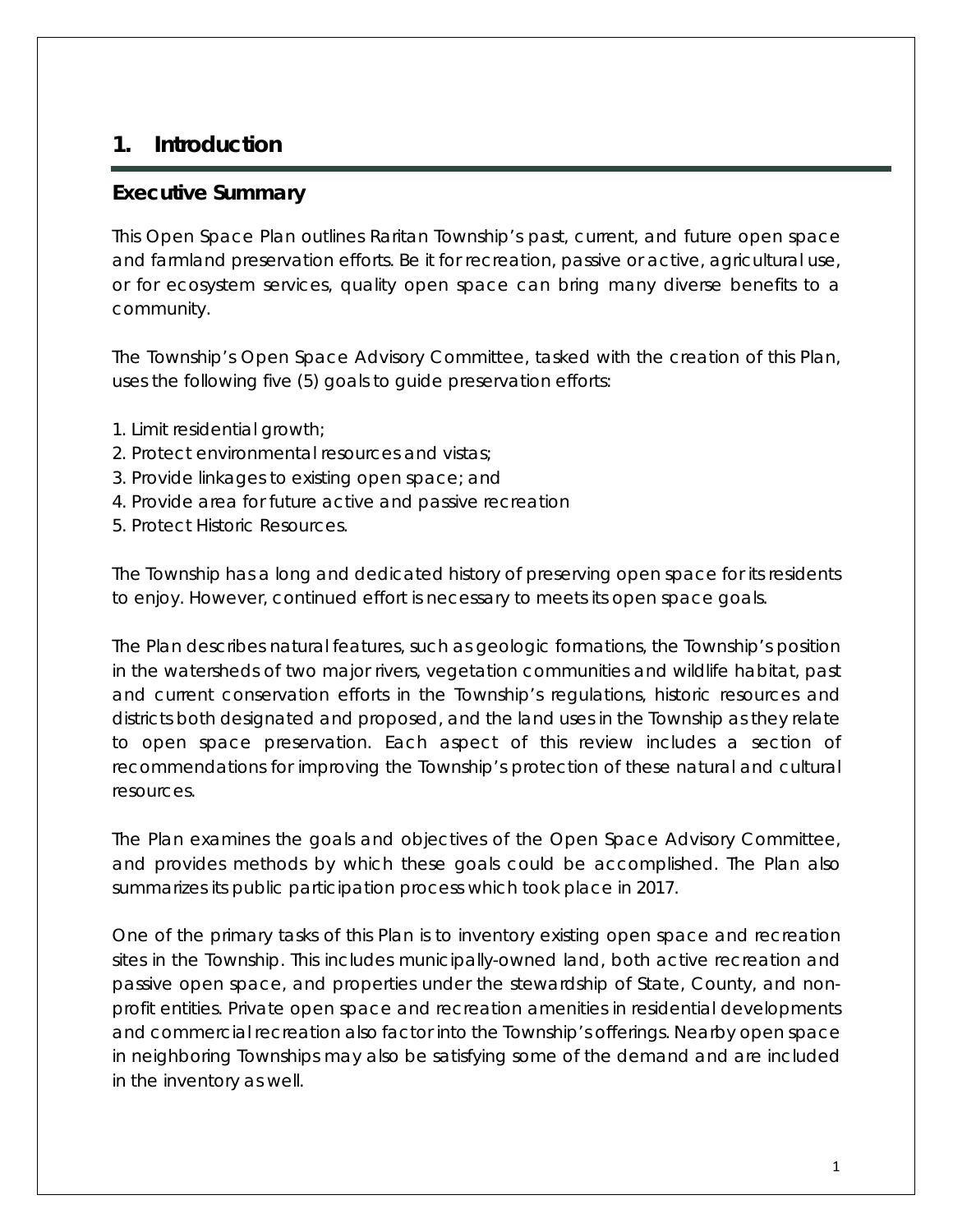## <span id="page-3-0"></span>**1. Introduction**

#### <span id="page-3-1"></span>**Executive Summary**

This Open Space Plan outlines Raritan Township's past, current, and future open space and farmland preservation efforts. Be it for recreation, passive or active, agricultural use, or for ecosystem services, quality open space can bring many diverse benefits to a community.

The Township's Open Space Advisory Committee, tasked with the creation of this Plan, uses the following five (5) goals to guide preservation efforts:

- 1. Limit residential growth;
- 2. Protect environmental resources and vistas;
- 3. Provide linkages to existing open space; and
- 4. Provide area for future active and passive recreation
- 5. Protect Historic Resources.

The Township has a long and dedicated history of preserving open space for its residents to enjoy. However, continued effort is necessary to meets its open space goals.

The Plan describes natural features, such as geologic formations, the Township's position in the watersheds of two major rivers, vegetation communities and wildlife habitat, past and current conservation efforts in the Township's regulations, historic resources and districts both designated and proposed, and the land uses in the Township as they relate to open space preservation. Each aspect of this review includes a section of recommendations for improving the Township's protection of these natural and cultural resources.

The Plan examines the goals and objectives of the Open Space Advisory Committee, and provides methods by which these goals could be accomplished. The Plan also summarizes its public participation process which took place in 2017.

One of the primary tasks of this Plan is to inventory existing open space and recreation sites in the Township. This includes municipally-owned land, both active recreation and passive open space, and properties under the stewardship of State, County, and nonprofit entities. Private open space and recreation amenities in residential developments and commercial recreation also factor into the Township's offerings. Nearby open space in neighboring Townships may also be satisfying some of the demand and are included in the inventory as well.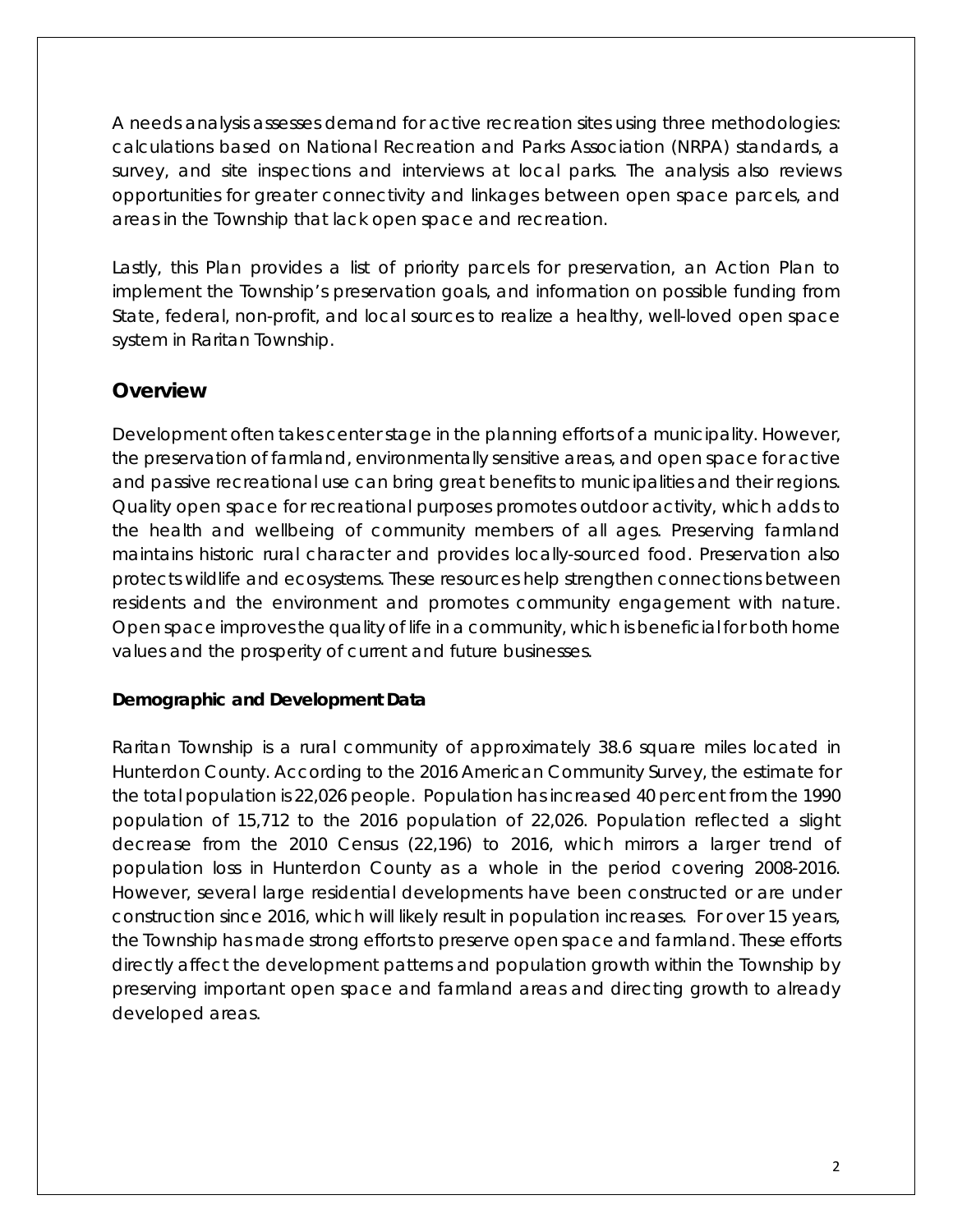A needs analysis assesses demand for active recreation sites using three methodologies: calculations based on National Recreation and Parks Association (NRPA) standards, a survey, and site inspections and interviews at local parks. The analysis also reviews opportunities for greater connectivity and linkages between open space parcels, and areas in the Township that lack open space and recreation.

Lastly, this Plan provides a list of priority parcels for preservation, an Action Plan to implement the Township's preservation goals, and information on possible funding from State, federal, non-profit, and local sources to realize a healthy, well-loved open space system in Raritan Township.

## <span id="page-4-0"></span>**Overview**

Development often takes center stage in the planning efforts of a municipality. However, the preservation of farmland, environmentally sensitive areas, and open space for active and passive recreational use can bring great benefits to municipalities and their regions. Quality open space for recreational purposes promotes outdoor activity, which adds to the health and wellbeing of community members of all ages. Preserving farmland maintains historic rural character and provides locally-sourced food. Preservation also protects wildlife and ecosystems. These resources help strengthen connections between residents and the environment and promotes community engagement with nature. Open space improves the quality of life in a community, which is beneficial for both home values and the prosperity of current and future businesses.

#### **Demographic and Development Data**

Raritan Township is a rural community of approximately 38.6 square miles located in Hunterdon County. According to the 2016 American Community Survey, the estimate for the total population is 22,026 people. Population has increased 40 percent from the 1990 population of 15,712 to the 2016 population of 22,026. Population reflected a slight decrease from the 2010 Census (22,196) to 2016, which mirrors a larger trend of population loss in Hunterdon County as a whole in the period covering 2008-2016. However, several large residential developments have been constructed or are under construction since 2016, which will likely result in population increases. For over 15 years, the Township has made strong efforts to preserve open space and farmland. These efforts directly affect the development patterns and population growth within the Township by preserving important open space and farmland areas and directing growth to already developed areas.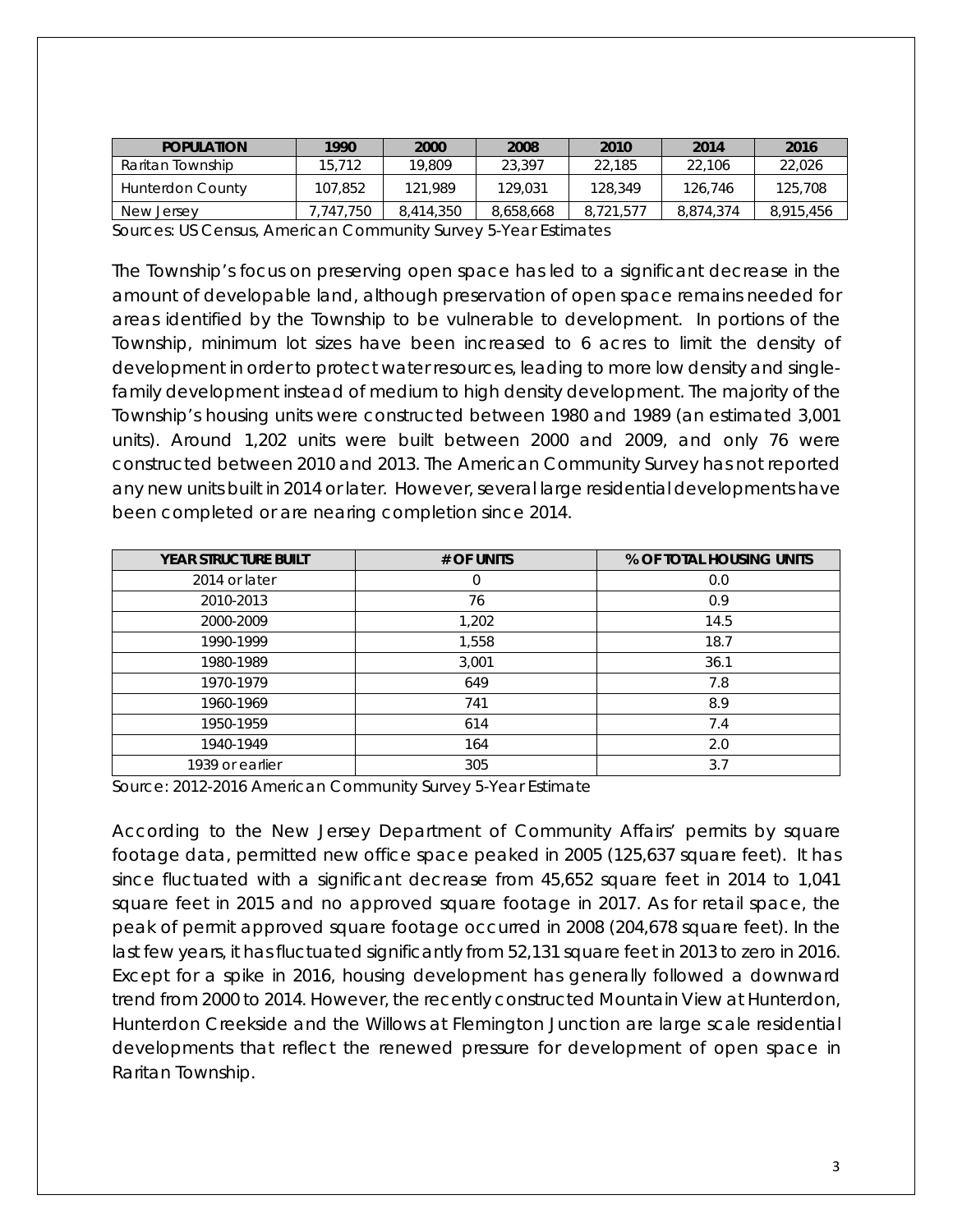| <b>POPULATION</b> | 1990     | 2000      | 2008      | 2010      | 2014      | 2016      |
|-------------------|----------|-----------|-----------|-----------|-----------|-----------|
| Raritan Township  | 15,712   | 19,809    | 23,397    | 22.185    | 22.106    | 22,026    |
| Hunterdon County  | 107.852  | 121.989   | 129,031   | 128,349   | 126,746   | 125,708   |
| New Jersev        | .747.750 | 8,414,350 | 8.658.668 | 8.721.57. | 8.874.374 | 8.915.456 |
|                   |          |           |           |           |           |           |

Sources: US Census, American Community Survey 5-Year Estimates

The Township's focus on preserving open space has led to a significant decrease in the amount of developable land, although preservation of open space remains needed for areas identified by the Township to be vulnerable to development. In portions of the Township, minimum lot sizes have been increased to 6 acres to limit the density of development in order to protect water resources, leading to more low density and singlefamily development instead of medium to high density development. The majority of the Township's housing units were constructed between 1980 and 1989 (an estimated 3,001 units). Around 1,202 units were built between 2000 and 2009, and only 76 were constructed between 2010 and 2013. The American Community Survey has not reported any new units built in 2014 or later. However, several large residential developments have been completed or are nearing completion since 2014.

| <b>YEAR STRUCTURE BUILT</b> | # OF UNITS | % OF TOTAL HOUSING UNITS |
|-----------------------------|------------|--------------------------|
| 2014 or later               |            | 0.0                      |
| 2010-2013                   | 76         | 0.9                      |
| 2000-2009                   | 1,202      | 14.5                     |
| 1990-1999                   | 1,558      | 18.7                     |
| 1980-1989                   | 3,001      | 36.1                     |
| 1970-1979                   | 649        | 7.8                      |
| 1960-1969                   | 741        | 8.9                      |
| 1950-1959                   | 614        | 7.4                      |
| 1940-1949                   | 164        | 2.0                      |
| 1939 or earlier             | 305        | 3.7                      |

Source: 2012-2016 American Community Survey 5-Year Estimate

According to the New Jersey Department of Community Affairs' permits by square footage data, permitted new office space peaked in 2005 (125,637 square feet). It has since fluctuated with a significant decrease from 45,652 square feet in 2014 to 1,041 square feet in 2015 and no approved square footage in 2017. As for retail space, the peak of permit approved square footage occurred in 2008 (204,678 square feet). In the last few years, it has fluctuated significantly from 52,131 square feet in 2013 to zero in 2016. Except for a spike in 2016, housing development has generally followed a downward trend from 2000 to 2014. However, the recently constructed Mountain View at Hunterdon, Hunterdon Creekside and the Willows at Flemington Junction are large scale residential developments that reflect the renewed pressure for development of open space in Raritan Township.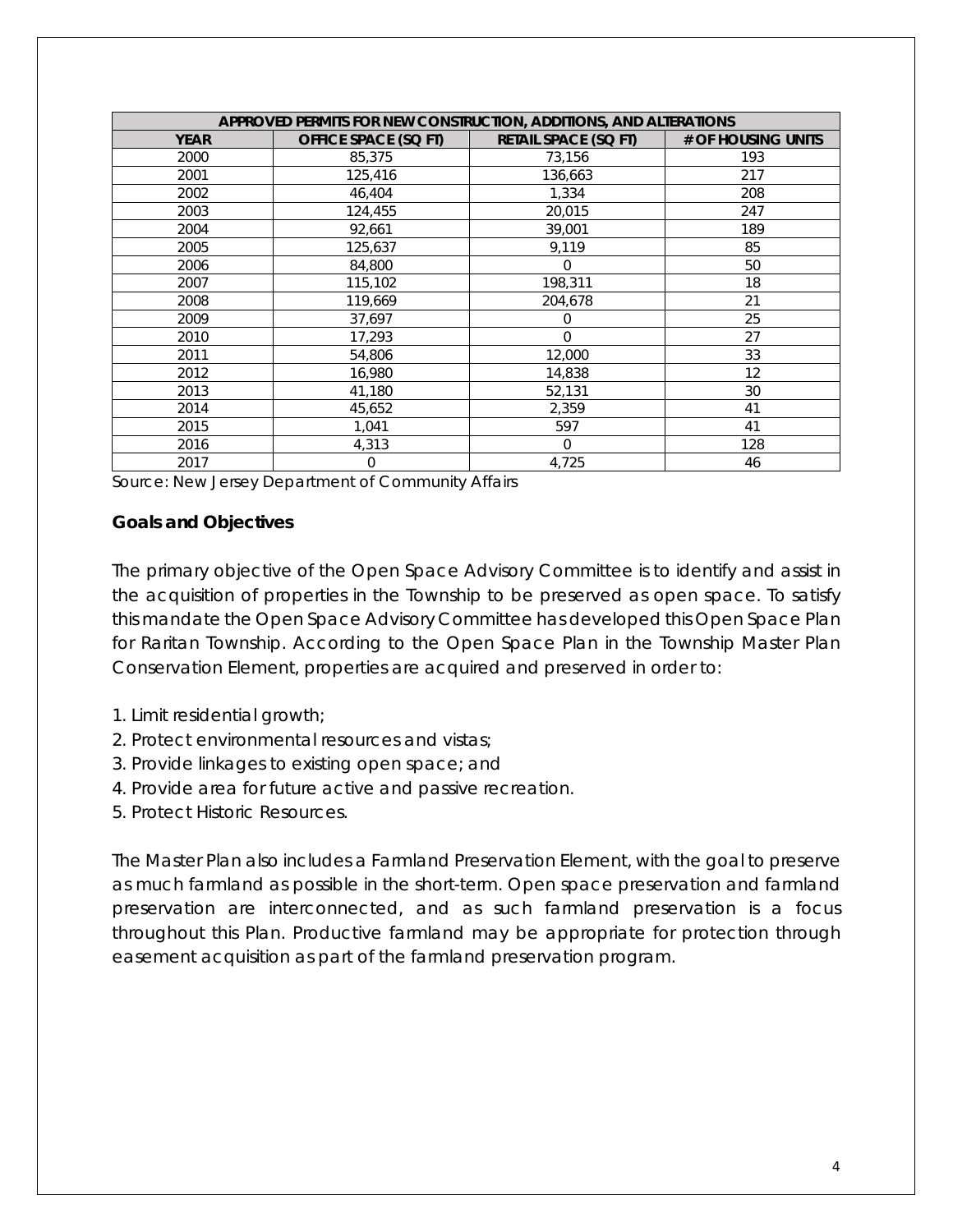|             | APPROVED PERMITS FOR NEW CONSTRUCTION, ADDITIONS, AND ALTERATIONS |                             |                    |  |  |  |  |  |
|-------------|-------------------------------------------------------------------|-----------------------------|--------------------|--|--|--|--|--|
| <b>YEAR</b> | <b>OFFICE SPACE (SQ FT)</b>                                       | <b>RETAIL SPACE (SQ FT)</b> | # OF HOUSING UNITS |  |  |  |  |  |
| 2000        | 85,375                                                            | 73,156                      | 193                |  |  |  |  |  |
| 2001        | 125,416                                                           | 136,663                     | 217                |  |  |  |  |  |
| 2002        | 46,404                                                            | 1,334                       | 208                |  |  |  |  |  |
| 2003        | 124,455                                                           | 20,015                      | 247                |  |  |  |  |  |
| 2004        | 92,661                                                            | 39,001                      | 189                |  |  |  |  |  |
| 2005        | 125,637                                                           | 9,119                       | 85                 |  |  |  |  |  |
| 2006        | 84,800                                                            | $\Omega$                    | 50                 |  |  |  |  |  |
| 2007        | 115,102                                                           | 198,311                     | 18                 |  |  |  |  |  |
| 2008        | 119,669                                                           | 204,678                     | 21                 |  |  |  |  |  |
| 2009        | 37,697                                                            | 0                           | 25                 |  |  |  |  |  |
| 2010        | 17,293                                                            | $\Omega$                    | 27                 |  |  |  |  |  |
| 2011        | 54,806                                                            | 12,000                      | 33                 |  |  |  |  |  |
| 2012        | 16,980                                                            | 14,838                      | 12                 |  |  |  |  |  |
| 2013        | 41,180                                                            | 52,131                      | 30                 |  |  |  |  |  |
| 2014        | 45,652                                                            | 2,359                       | 41                 |  |  |  |  |  |
| 2015        | 1,041                                                             | 597                         | 41                 |  |  |  |  |  |
| 2016        | 4,313                                                             | $\Omega$                    | 128                |  |  |  |  |  |
| 2017        | $\overline{0}$                                                    | 4,725                       | 46                 |  |  |  |  |  |

Source: New Jersey Department of Community Affairs

#### **Goals and Objectives**

The primary objective of the Open Space Advisory Committee is to identify and assist in the acquisition of properties in the Township to be preserved as open space. To satisfy this mandate the Open Space Advisory Committee has developed this Open Space Plan for Raritan Township. According to the Open Space Plan in the Township Master Plan Conservation Element, properties are acquired and preserved in order to:

- 1. Limit residential growth;
- 2. Protect environmental resources and vistas;
- 3. Provide linkages to existing open space; and
- 4. Provide area for future active and passive recreation.
- 5. Protect Historic Resources.

The Master Plan also includes a Farmland Preservation Element, with the goal to preserve as much farmland as possible in the short-term. Open space preservation and farmland preservation are interconnected, and as such farmland preservation is a focus throughout this Plan. Productive farmland may be appropriate for protection through easement acquisition as part of the farmland preservation program.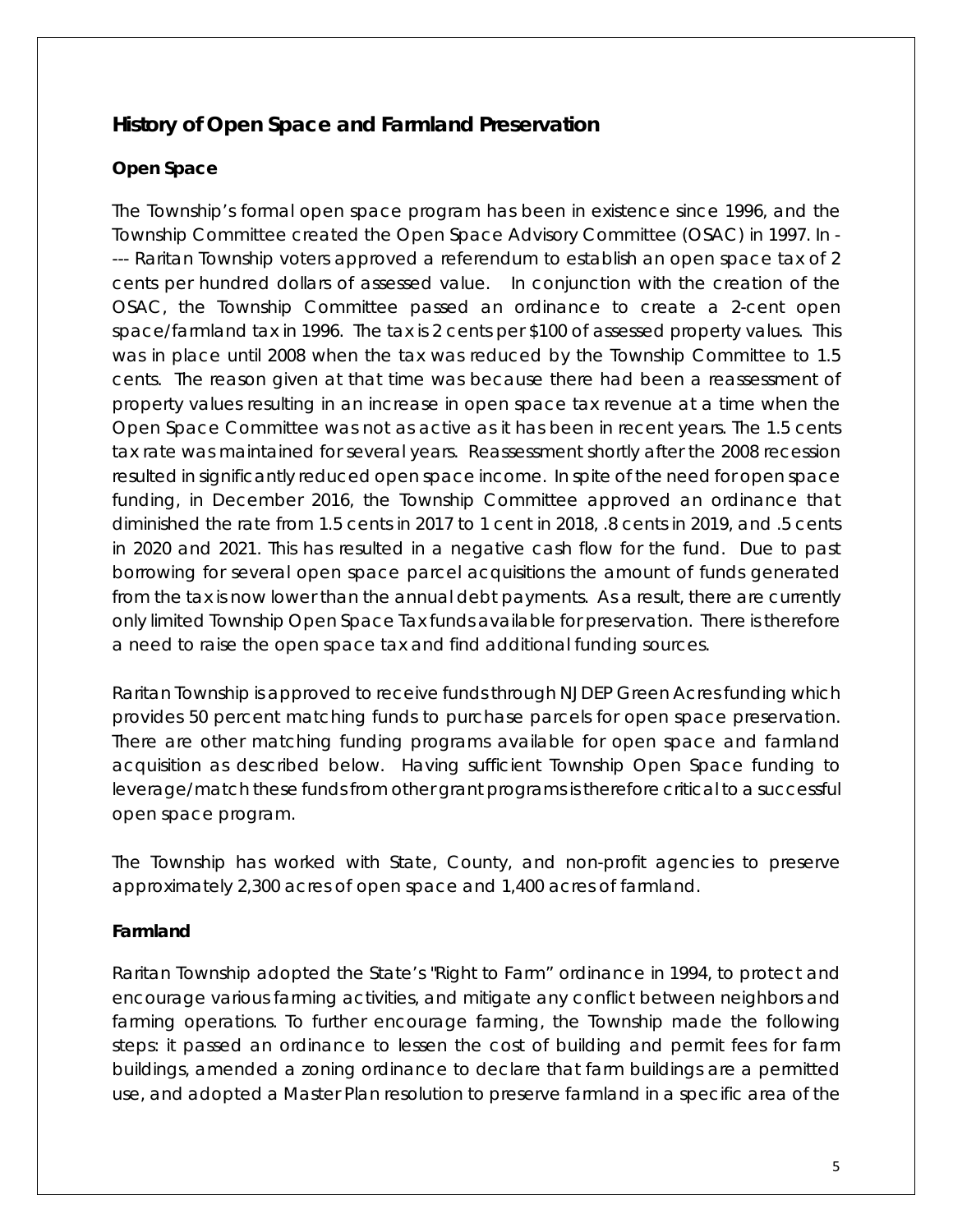## <span id="page-7-0"></span>**History of Open Space and Farmland Preservation**

#### **Open Space**

The Township's formal open space program has been in existence since 1996, and the Township Committee created the Open Space Advisory Committee (OSAC) in 1997. In - --- Raritan Township voters approved a referendum to establish an open space tax of 2 cents per hundred dollars of assessed value. In conjunction with the creation of the OSAC, the Township Committee passed an ordinance to create a 2-cent open space/farmland tax in 1996. The tax is 2 cents per \$100 of assessed property values. This was in place until 2008 when the tax was reduced by the Township Committee to 1.5 cents. The reason given at that time was because there had been a reassessment of property values resulting in an increase in open space tax revenue at a time when the Open Space Committee was not as active as it has been in recent years. The 1.5 cents tax rate was maintained for several years. Reassessment shortly after the 2008 recession resulted in significantly reduced open space income. In spite of the need for open space funding, in December 2016, the Township Committee approved an ordinance that diminished the rate from 1.5 cents in 2017 to 1 cent in 2018, .8 cents in 2019, and .5 cents in 2020 and 2021. This has resulted in a negative cash flow for the fund. Due to past borrowing for several open space parcel acquisitions the amount of funds generated from the tax is now lower than the annual debt payments. As a result, there are currently only limited Township Open Space Tax funds available for preservation. There is therefore a need to raise the open space tax and find additional funding sources.

Raritan Township is approved to receive funds through NJDEP Green Acres funding which provides 50 percent matching funds to purchase parcels for open space preservation. There are other matching funding programs available for open space and farmland acquisition as described below. Having sufficient Township Open Space funding to leverage/match these funds from other grant programs is therefore critical to a successful open space program.

The Township has worked with State, County, and non-profit agencies to preserve approximately 2,300 acres of open space and 1,400 acres of farmland.

#### **Farmland**

Raritan Township adopted the State's "Right to Farm" ordinance in 1994, to protect and encourage various farming activities, and mitigate any conflict between neighbors and farming operations. To further encourage farming, the Township made the following steps: it passed an ordinance to lessen the cost of building and permit fees for farm buildings, amended a zoning ordinance to declare that farm buildings are a permitted use, and adopted a Master Plan resolution to preserve farmland in a specific area of the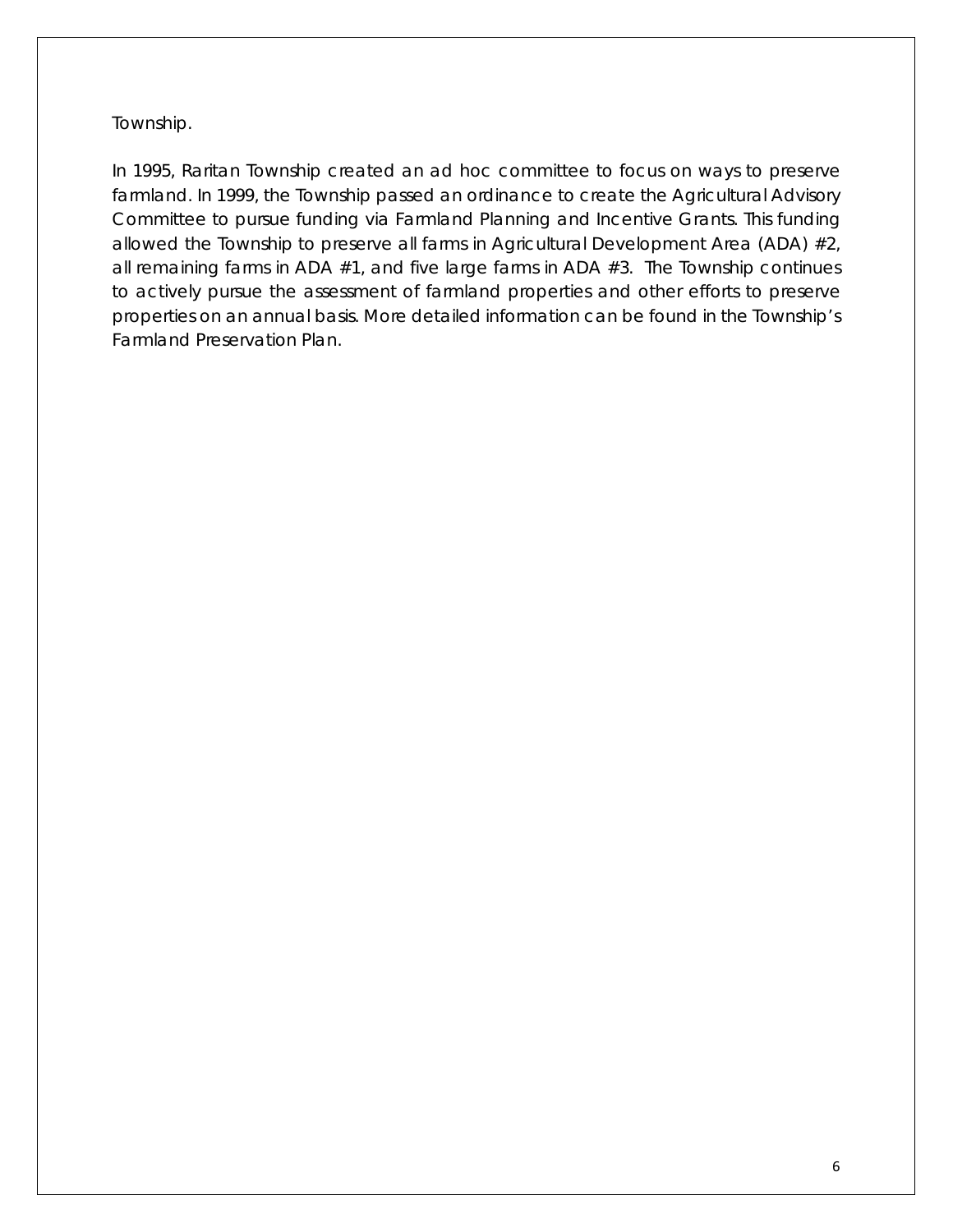Township.

In 1995, Raritan Township created an ad hoc committee to focus on ways to preserve farmland. In 1999, the Township passed an ordinance to create the Agricultural Advisory Committee to pursue funding via Farmland Planning and Incentive Grants. This funding allowed the Township to preserve all farms in Agricultural Development Area (ADA) #2, all remaining farms in ADA #1, and five large farms in ADA #3. The Township continues to actively pursue the assessment of farmland properties and other efforts to preserve properties on an annual basis. More detailed information can be found in the Township's Farmland Preservation Plan.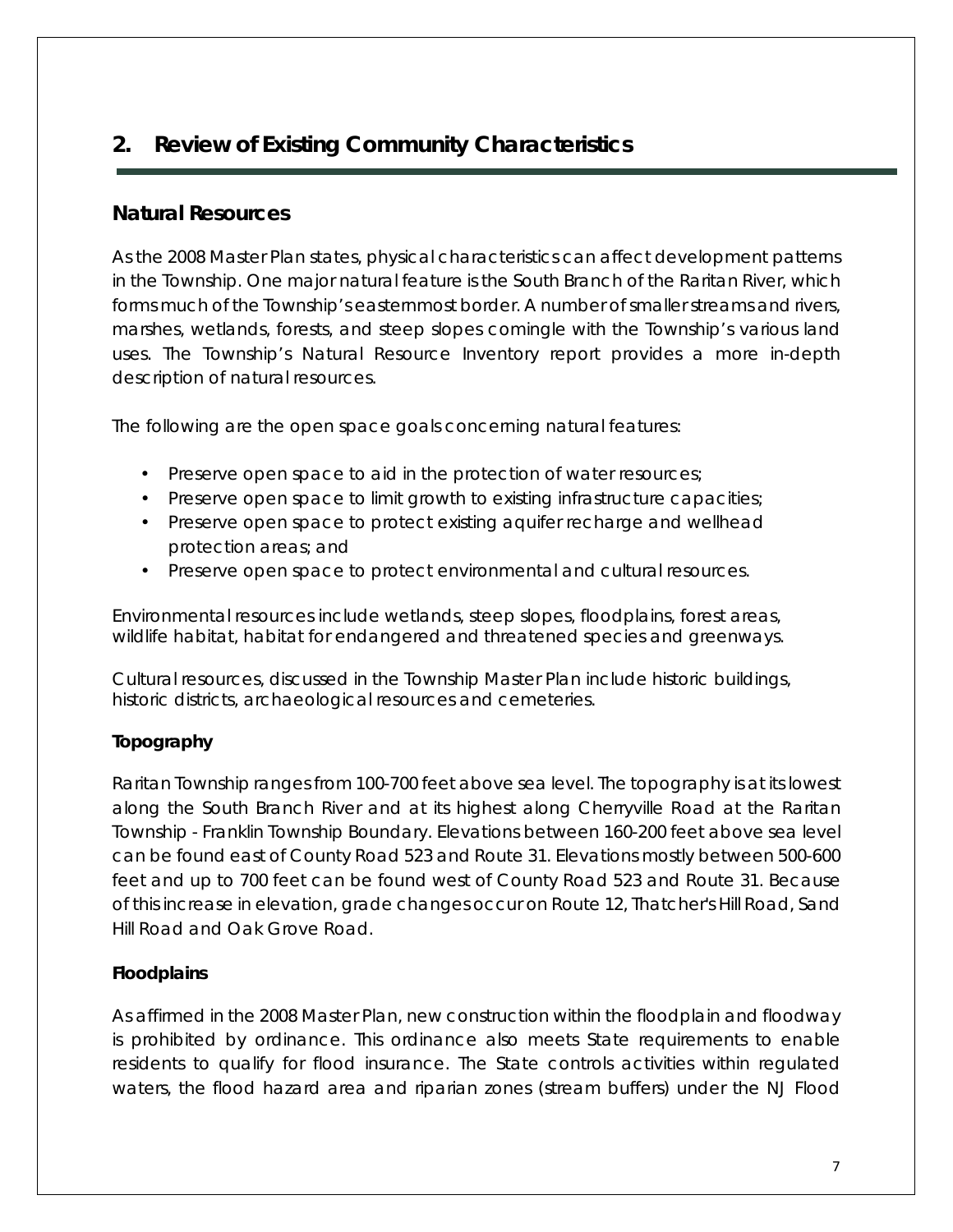## <span id="page-9-0"></span>**2. Review of Existing Community Characteristics**

## <span id="page-9-1"></span>**Natural Resources**

As the 2008 Master Plan states, physical characteristics can affect development patterns in the Township. One major natural feature is the South Branch of the Raritan River, which forms much of the Township's easternmost border. A number of smaller streams and rivers, marshes, wetlands, forests, and steep slopes comingle with the Township's various land uses. The Township's Natural Resource Inventory report provides a more in-depth description of natural resources.

The following are the open space goals concerning natural features:

- Preserve open space to aid in the protection of water resources;
- Preserve open space to limit growth to existing infrastructure capacities;
- Preserve open space to protect existing aquifer recharge and wellhead protection areas; and
- Preserve open space to protect environmental and cultural resources.

Environmental resources include wetlands, steep slopes, floodplains, forest areas, wildlife habitat, habitat for endangered and threatened species and greenways.

Cultural resources, discussed in the Township Master Plan include historic buildings, historic districts, archaeological resources and cemeteries.

#### **Topography**

Raritan Township ranges from 100-700 feet above sea level. The topography is at its lowest along the South Branch River and at its highest along Cherryville Road at the Raritan Township - Franklin Township Boundary. Elevations between 160-200 feet above sea level can be found east of County Road 523 and Route 31. Elevations mostly between 500-600 feet and up to 700 feet can be found west of County Road 523 and Route 31. Because of this increase in elevation, grade changes occur on Route 12, Thatcher's Hill Road, Sand Hill Road and Oak Grove Road.

#### **Floodplains**

As affirmed in the 2008 Master Plan, new construction within the floodplain and floodway is prohibited by ordinance. This ordinance also meets State requirements to enable residents to qualify for flood insurance. The State controls activities within regulated waters, the flood hazard area and riparian zones (stream buffers) under the NJ Flood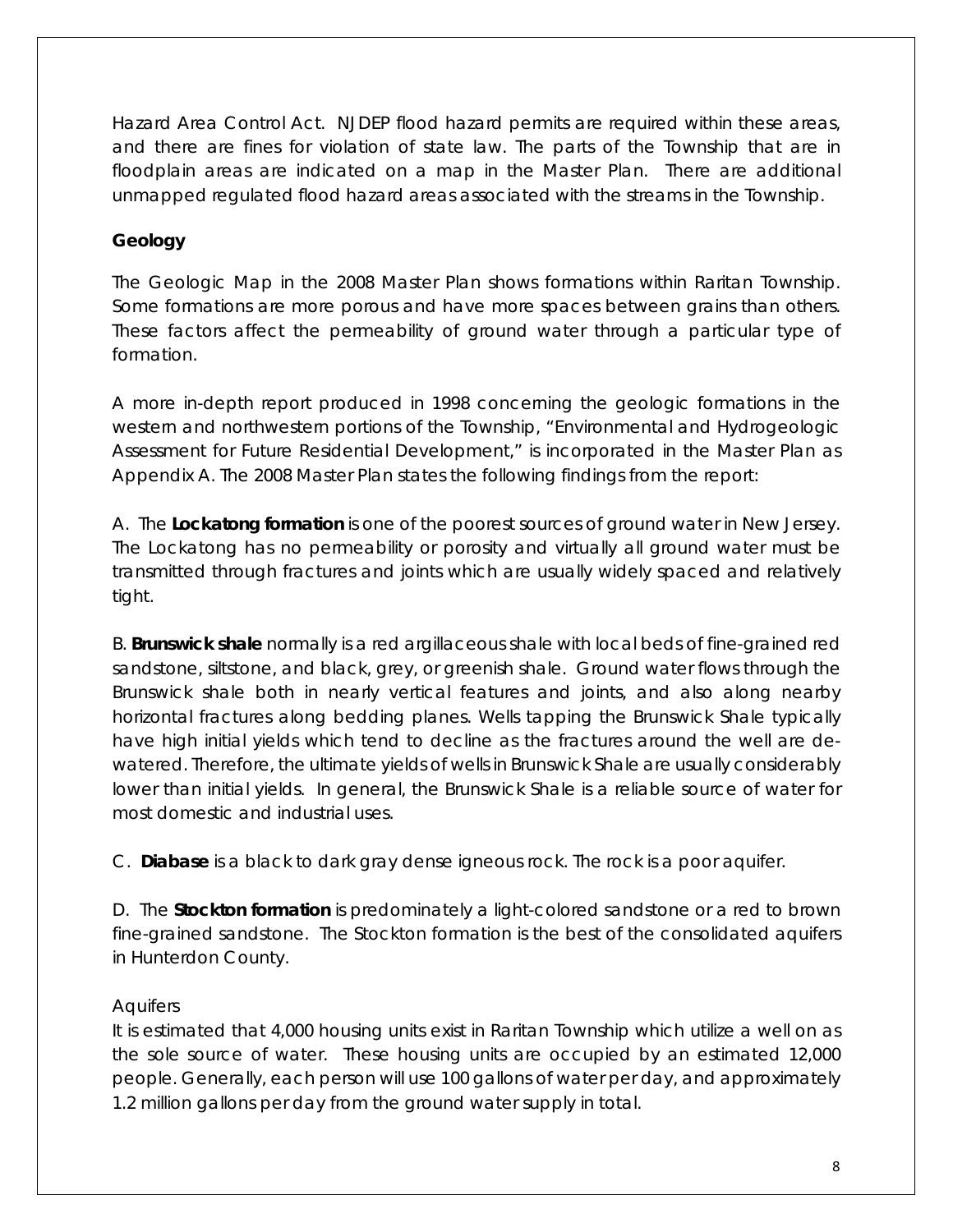Hazard Area Control Act. NJDEP flood hazard permits are required within these areas, and there are fines for violation of state law. The parts of the Township that are in floodplain areas are indicated on a map in the Master Plan. There are additional unmapped regulated flood hazard areas associated with the streams in the Township.

## **Geology**

The Geologic Map in the 2008 Master Plan shows formations within Raritan Township. Some formations are more porous and have more spaces between grains than others. These factors affect the permeability of ground water through a particular type of formation.

A more in-depth report produced in 1998 concerning the geologic formations in the western and northwestern portions of the Township, "Environmental and Hydrogeologic Assessment for Future Residential Development," is incorporated in the Master Plan as Appendix A. The 2008 Master Plan states the following findings from the report:

A. The **Lockatong formation** is one of the poorest sources of ground water in New Jersey. The Lockatong has no permeability or porosity and virtually all ground water must be transmitted through fractures and joints which are usually widely spaced and relatively tight.

B. **Brunswick shale** normally is a red argillaceous shale with local beds of fine-grained red sandstone, siltstone, and black, grey, or greenish shale. Ground water flows through the Brunswick shale both in nearly vertical features and joints, and also along nearby horizontal fractures along bedding planes. Wells tapping the Brunswick Shale typically have high initial yields which tend to decline as the fractures around the well are dewatered. Therefore, the ultimate yields of wells in Brunswick Shale are usually considerably lower than initial yields. In general, the Brunswick Shale is a reliable source of water for most domestic and industrial uses.

C. **Diabase** is a black to dark gray dense igneous rock. The rock is a poor aquifer.

D. The **Stockton formation** is predominately a light-colored sandstone or a red to brown fine-grained sandstone. The Stockton formation is the best of the consolidated aquifers in Hunterdon County.

## **Aquifers**

It is estimated that 4,000 housing units exist in Raritan Township which utilize a well on as the sole source of water. These housing units are occupied by an estimated 12,000 people. Generally, each person will use 100 gallons of water per day, and approximately 1.2 million gallons per day from the ground water supply in total.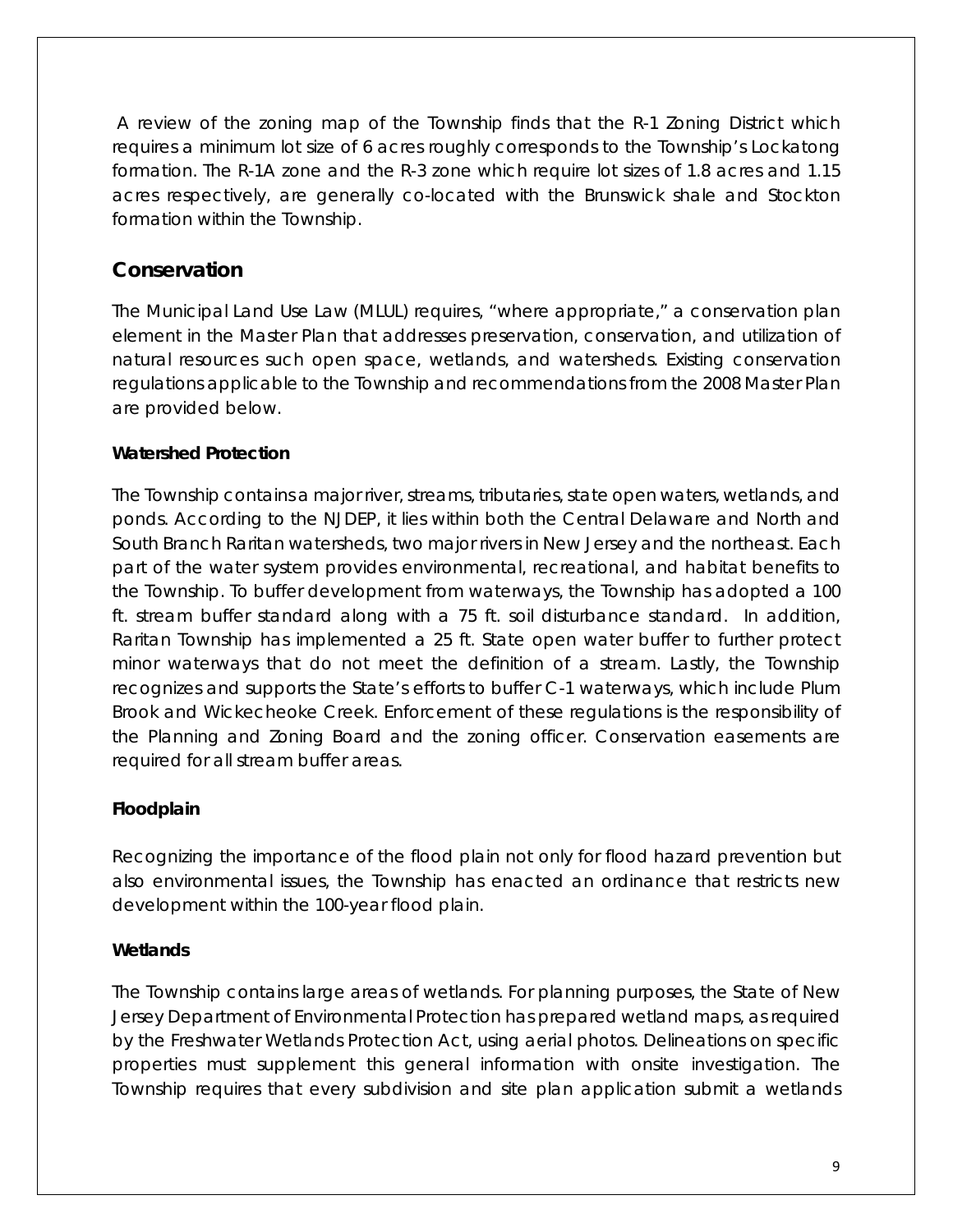A review of the zoning map of the Township finds that the R-1 Zoning District which requires a minimum lot size of 6 acres roughly corresponds to the Township's Lockatong formation. The R-1A zone and the R-3 zone which require lot sizes of 1.8 acres and 1.15 acres respectively, are generally co-located with the Brunswick shale and Stockton formation within the Township.

## <span id="page-11-0"></span>**Conservation**

The Municipal Land Use Law (MLUL) requires, "where appropriate," a conservation plan element in the Master Plan that addresses preservation, conservation, and utilization of natural resources such open space, wetlands, and watersheds. Existing conservation regulations applicable to the Township and recommendations from the 2008 Master Plan are provided below.

#### **Watershed Protection**

The Township contains a major river, streams, tributaries, state open waters, wetlands, and ponds. According to the NJDEP, it lies within both the Central Delaware and North and South Branch Raritan watersheds, two major rivers in New Jersey and the northeast. Each part of the water system provides environmental, recreational, and habitat benefits to the Township. To buffer development from waterways, the Township has adopted a 100 ft. stream buffer standard along with a 75 ft. soil disturbance standard. In addition, Raritan Township has implemented a 25 ft. State open water buffer to further protect minor waterways that do not meet the definition of a stream. Lastly, the Township recognizes and supports the State's efforts to buffer C-1 waterways, which include Plum Brook and Wickecheoke Creek. Enforcement of these regulations is the responsibility of the Planning and Zoning Board and the zoning officer. Conservation easements are required for all stream buffer areas.

#### **Floodplain**

Recognizing the importance of the flood plain not only for flood hazard prevention but also environmental issues, the Township has enacted an ordinance that restricts new development within the 100-year flood plain.

#### **Wetlands**

The Township contains large areas of wetlands. For planning purposes, the State of New Jersey Department of Environmental Protection has prepared wetland maps, as required by the Freshwater Wetlands Protection Act, using aerial photos. Delineations on specific properties must supplement this general information with onsite investigation. The Township requires that every subdivision and site plan application submit a wetlands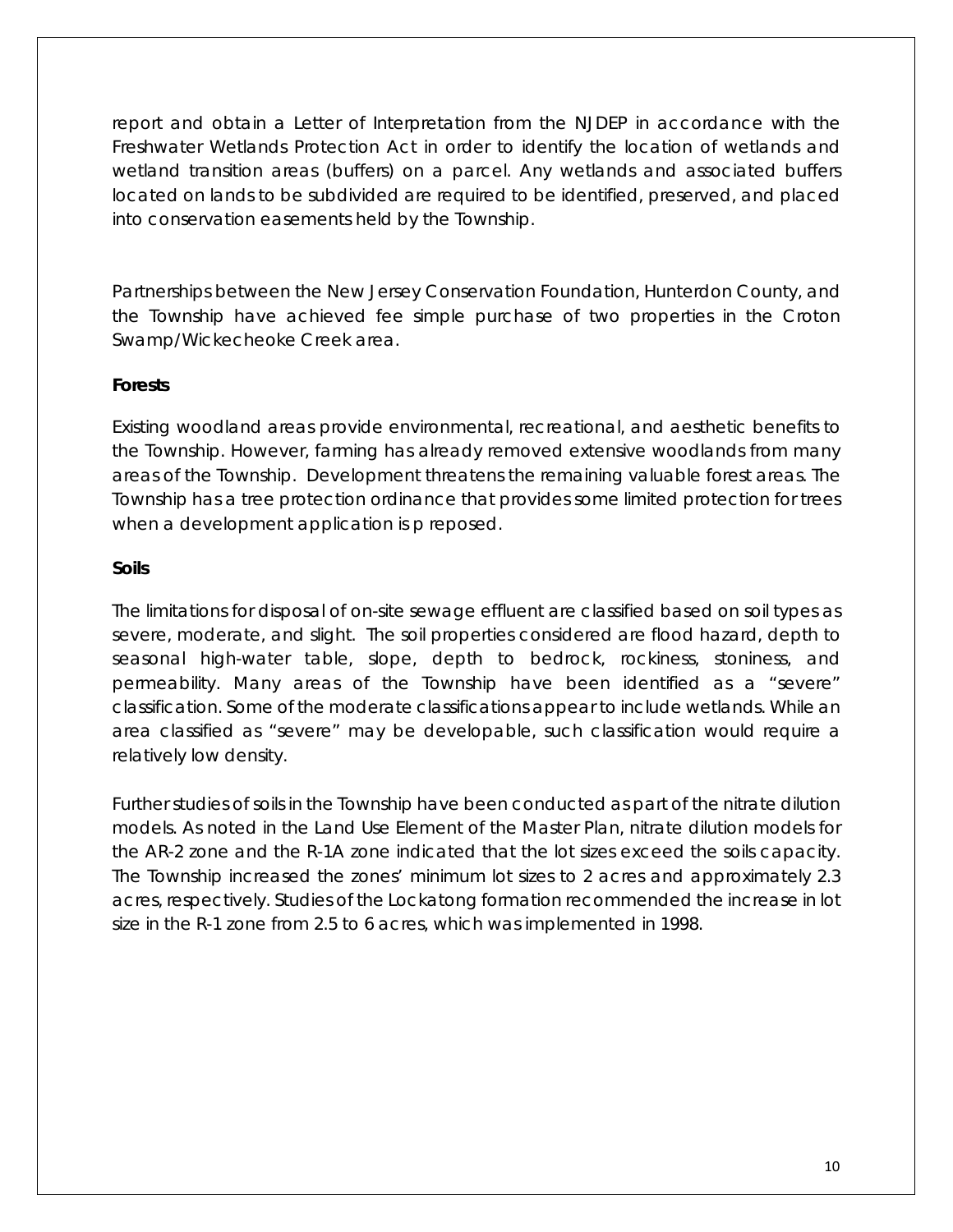report and obtain a Letter of Interpretation from the NJDEP in accordance with the Freshwater Wetlands Protection Act in order to identify the location of wetlands and wetland transition areas (buffers) on a parcel. Any wetlands and associated buffers located on lands to be subdivided are required to be identified, preserved, and placed into conservation easements held by the Township.

Partnerships between the New Jersey Conservation Foundation, Hunterdon County, and the Township have achieved fee simple purchase of two properties in the Croton Swamp/Wickecheoke Creek area.

#### **Forests**

Existing woodland areas provide environmental, recreational, and aesthetic benefits to the Township. However, farming has already removed extensive woodlands from many areas of the Township. Development threatens the remaining valuable forest areas. The Township has a tree protection ordinance that provides some limited protection for trees when a development application is p reposed.

#### **Soils**

The limitations for disposal of on-site sewage effluent are classified based on soil types as severe, moderate, and slight. The soil properties considered are flood hazard, depth to seasonal high-water table, slope, depth to bedrock, rockiness, stoniness, and permeability. Many areas of the Township have been identified as a "severe" classification. Some of the moderate classifications appear to include wetlands. While an area classified as "severe" may be developable, such classification would require a relatively low density.

Further studies of soils in the Township have been conducted as part of the nitrate dilution models. As noted in the Land Use Element of the Master Plan, nitrate dilution models for the AR-2 zone and the R-1A zone indicated that the lot sizes exceed the soils capacity. The Township increased the zones' minimum lot sizes to 2 acres and approximately 2.3 acres, respectively. Studies of the Lockatong formation recommended the increase in lot size in the R-1 zone from 2.5 to 6 acres, which was implemented in 1998.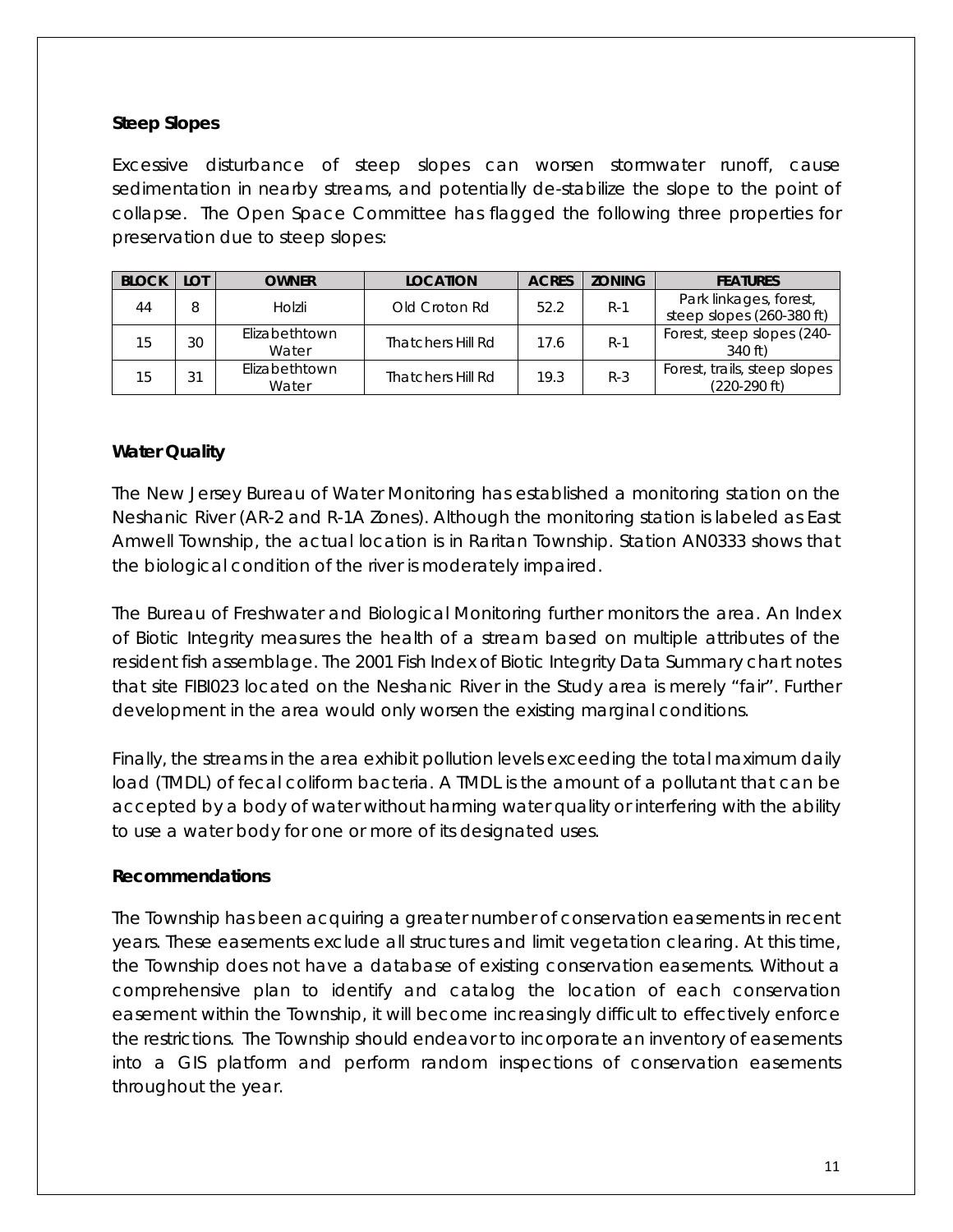#### **Steep Slopes**

Excessive disturbance of steep slopes can worsen stormwater runoff, cause sedimentation in nearby streams, and potentially de-stabilize the slope to the point of collapse. The Open Space Committee has flagged the following three properties for preservation due to steep slopes:

| <b>BLOCK</b> | LOT | <b>OWNER</b>           | <b>LOCATION</b>   | <b>ACRES</b> | <b>ZONING</b> | <b>FEATURES</b>                                     |
|--------------|-----|------------------------|-------------------|--------------|---------------|-----------------------------------------------------|
| 44           | 8   | Holzli                 | Old Croton Rd     | 52.2         | $R-1$         | Park linkages, forest,<br>steep slopes (260-380 ft) |
| 15           | 30  | Elizabethtown<br>Water | Thatchers Hill Rd | 17.6         | $R-1$         | Forest, steep slopes (240-<br>340 ft)               |
| 15           | 31  | Elizabethtown<br>Water | Thatchers Hill Rd | 19.3         | $R-3$         | Forest, trails, steep slopes<br>(220-290 ft)        |

#### **Water Quality**

The New Jersey Bureau of Water Monitoring has established a monitoring station on the Neshanic River (AR-2 and R-1A Zones). Although the monitoring station is labeled as East Amwell Township, the actual location is in Raritan Township. Station AN0333 shows that the biological condition of the river is moderately impaired.

The Bureau of Freshwater and Biological Monitoring further monitors the area. An Index of Biotic Integrity measures the health of a stream based on multiple attributes of the resident fish assemblage. The 2001 Fish Index of Biotic Integrity Data Summary chart notes that site FIBI023 located on the Neshanic River in the Study area is merely "fair". Further development in the area would only worsen the existing marginal conditions.

Finally, the streams in the area exhibit pollution levels exceeding the total maximum daily load (TMDL) of fecal coliform bacteria. A TMDL is the amount of a pollutant that can be accepted by a body of water without harming water quality or interfering with the ability to use a water body for one or more of its designated uses.

#### **Recommendations**

The Township has been acquiring a greater number of conservation easements in recent years. These easements exclude all structures and limit vegetation clearing. At this time, the Township does not have a database of existing conservation easements. Without a comprehensive plan to identify and catalog the location of each conservation easement within the Township, it will become increasingly difficult to effectively enforce the restrictions. The Township should endeavor to incorporate an inventory of easements into a GIS platform and perform random inspections of conservation easements throughout the year.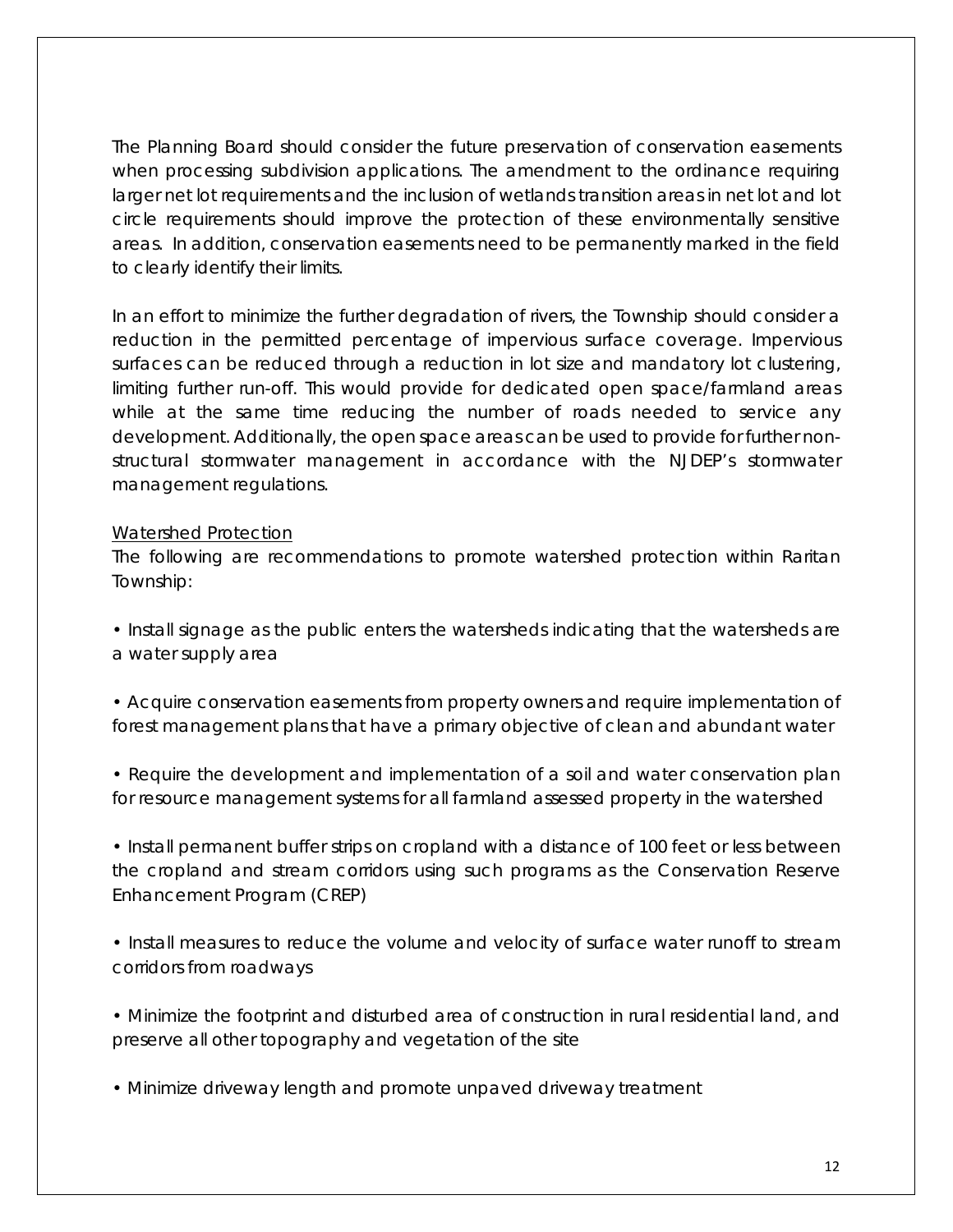The Planning Board should consider the future preservation of conservation easements when processing subdivision applications. The amendment to the ordinance requiring larger net lot requirements and the inclusion of wetlands transition areas in net lot and lot circle requirements should improve the protection of these environmentally sensitive areas. In addition, conservation easements need to be permanently marked in the field to clearly identify their limits.

In an effort to minimize the further degradation of rivers, the Township should consider a reduction in the permitted percentage of impervious surface coverage. Impervious surfaces can be reduced through a reduction in lot size and mandatory lot clustering, limiting further run-off. This would provide for dedicated open space/farmland areas while at the same time reducing the number of roads needed to service any development. Additionally, the open space areas can be used to provide for further nonstructural stormwater management in accordance with the NJDEP's stormwater management regulations.

#### Watershed Protection

The following are recommendations to promote watershed protection within Raritan Township:

• Install signage as the public enters the watersheds indicating that the watersheds are a water supply area

• Acquire conservation easements from property owners and require implementation of forest management plans that have a primary objective of clean and abundant water

• Require the development and implementation of a soil and water conservation plan for resource management systems for all farmland assessed property in the watershed

• Install permanent buffer strips on cropland with a distance of 100 feet or less between the cropland and stream corridors using such programs as the Conservation Reserve Enhancement Program (CREP)

• Install measures to reduce the volume and velocity of surface water runoff to stream corridors from roadways

• Minimize the footprint and disturbed area of construction in rural residential land, and preserve all other topography and vegetation of the site

• Minimize driveway length and promote unpaved driveway treatment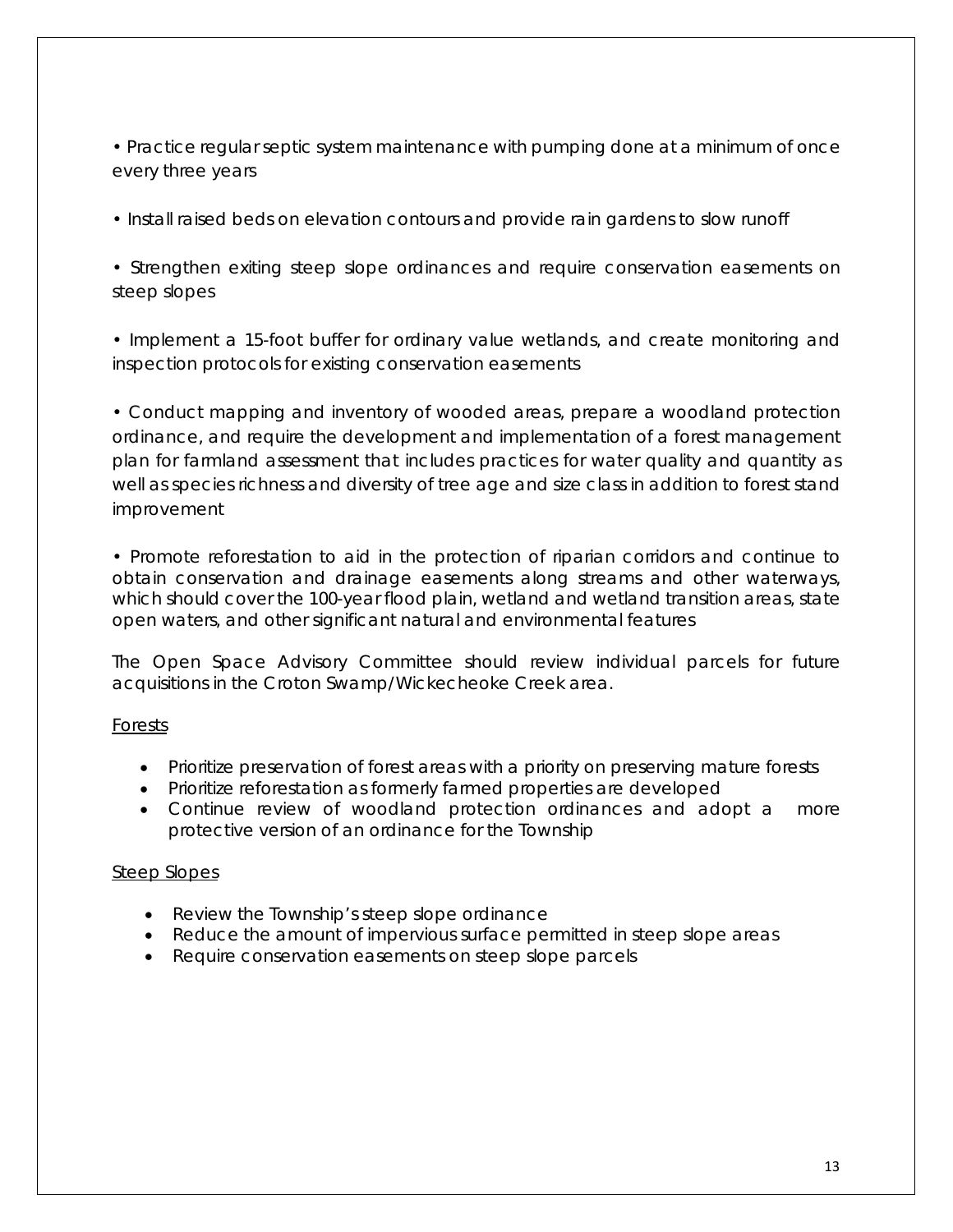• Practice regular septic system maintenance with pumping done at a minimum of once every three years

• Install raised beds on elevation contours and provide rain gardens to slow runoff

• Strengthen exiting steep slope ordinances and require conservation easements on steep slopes

• Implement a 15-foot buffer for ordinary value wetlands, and create monitoring and inspection protocols for existing conservation easements

• Conduct mapping and inventory of wooded areas, prepare a woodland protection ordinance, and require the development and implementation of a forest management plan for farmland assessment that includes practices for water quality and quantity as well as species richness and diversity of tree age and size class in addition to forest stand improvement

• Promote reforestation to aid in the protection of riparian corridors and continue to obtain conservation and drainage easements along streams and other waterways, which should cover the 100-year flood plain, wetland and wetland transition areas, state open waters, and other significant natural and environmental features

The Open Space Advisory Committee should review individual parcels for future acquisitions in the Croton Swamp/Wickecheoke Creek area.

#### Forests

- Prioritize preservation of forest areas with a priority on preserving mature forests
- Prioritize reforestation as formerly farmed properties are developed
- Continue review of woodland protection ordinances and adopt a more protective version of an ordinance for the Township

#### Steep Slopes

- Review the Township's steep slope ordinance
- Reduce the amount of impervious surface permitted in steep slope areas
- Require conservation easements on steep slope parcels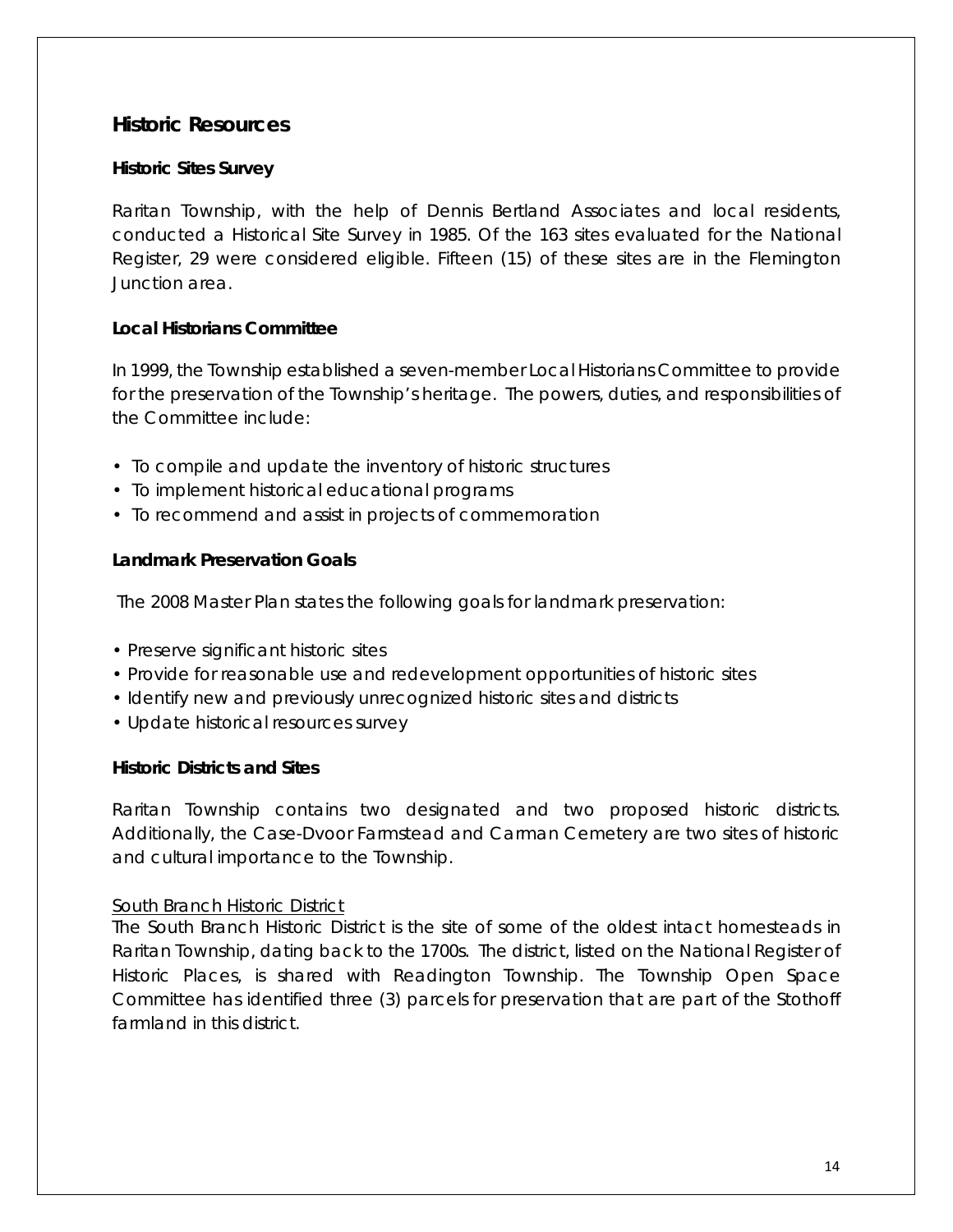#### <span id="page-16-0"></span>**Historic Resources**

#### **Historic Sites Survey**

Raritan Township, with the help of Dennis Bertland Associates and local residents, conducted a Historical Site Survey in 1985. Of the 163 sites evaluated for the National Register, 29 were considered eligible. Fifteen (15) of these sites are in the Flemington Junction area.

#### **Local Historians Committee**

In 1999, the Township established a seven-member Local Historians Committee to provide for the preservation of the Township's heritage. The powers, duties, and responsibilities of the Committee include:

- To compile and update the inventory of historic structures
- To implement historical educational programs
- To recommend and assist in projects of commemoration

#### **Landmark Preservation Goals**

The 2008 Master Plan states the following goals for landmark preservation:

- Preserve significant historic sites
- Provide for reasonable use and redevelopment opportunities of historic sites
- Identify new and previously unrecognized historic sites and districts
- Update historical resources survey

#### **Historic Districts and Sites**

Raritan Township contains two designated and two proposed historic districts. Additionally, the Case-Dvoor Farmstead and Carman Cemetery are two sites of historic and cultural importance to the Township.

#### South Branch Historic District

The South Branch Historic District is the site of some of the oldest intact homesteads in Raritan Township, dating back to the 1700s. The district, listed on the National Register of Historic Places, is shared with Readington Township. The Township Open Space Committee has identified three (3) parcels for preservation that are part of the Stothoff farmland in this district.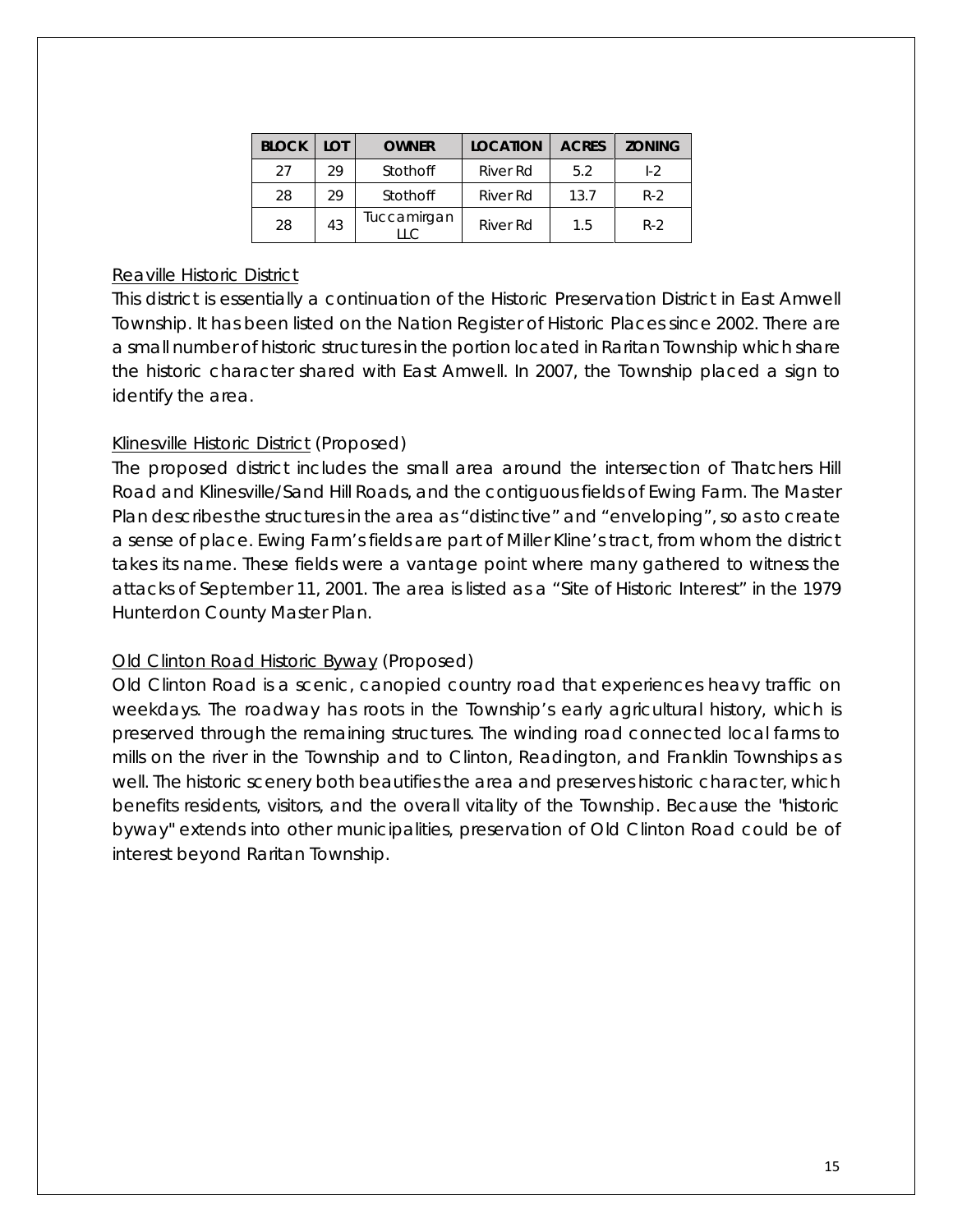| <b>BLOCK</b> | I OT | <b>OWNER</b>              | <b>LOCATION</b> | <b>ACRES</b> | <b>ZONING</b> |
|--------------|------|---------------------------|-----------------|--------------|---------------|
| 27           | 29   | Stothoff                  | River Rd        | 5.2          | $1-2$         |
| 28           | 29   | Stothoff                  | River Rd        | 13.7         | $R-2$         |
| 28           | 43   | Tuccamirgan<br>$\sqcup$ C | River Rd        | 1.5          | $R-2$         |

#### Reaville Historic District

This district is essentially a continuation of the Historic Preservation District in East Amwell Township. It has been listed on the Nation Register of Historic Places since 2002. There are a small number of historic structures in the portion located in Raritan Township which share the historic character shared with East Amwell. In 2007, the Township placed a sign to identify the area.

#### Klinesville Historic District (Proposed)

The proposed district includes the small area around the intersection of Thatchers Hill Road and Klinesville/Sand Hill Roads, and the contiguous fields of Ewing Farm. The Master Plan describes the structures in the area as "distinctive" and "enveloping", so as to create a sense of place. Ewing Farm's fields are part of Miller Kline's tract, from whom the district takes its name. These fields were a vantage point where many gathered to witness the attacks of September 11, 2001. The area is listed as a "Site of Historic Interest" in the 1979 Hunterdon County Master Plan.

#### Old Clinton Road Historic Byway (Proposed)

Old Clinton Road is a scenic, canopied country road that experiences heavy traffic on weekdays. The roadway has roots in the Township's early agricultural history, which is preserved through the remaining structures. The winding road connected local farms to mills on the river in the Township and to Clinton, Readington, and Franklin Townships as well. The historic scenery both beautifies the area and preserves historic character, which benefits residents, visitors, and the overall vitality of the Township. Because the "historic byway" extends into other municipalities, preservation of Old Clinton Road could be of interest beyond Raritan Township.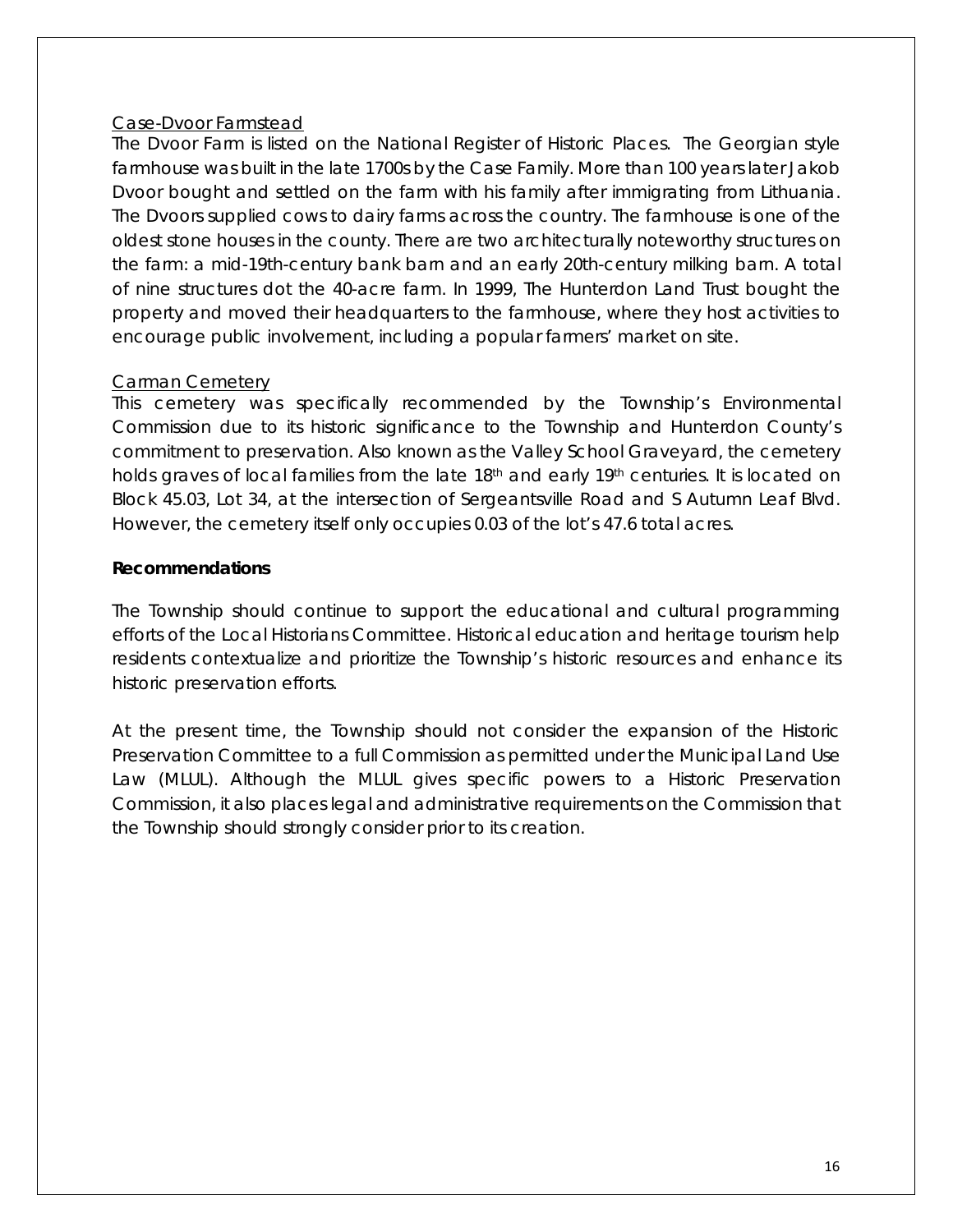#### Case-Dvoor Farmstead

The Dvoor Farm is listed on the National Register of Historic Places. The Georgian style farmhouse was built in the late 1700s by the Case Family. More than 100 years later Jakob Dvoor bought and settled on the farm with his family after immigrating from Lithuania. The Dvoors supplied cows to dairy farms across the country. The farmhouse is one of the oldest stone houses in the county. There are two architecturally noteworthy structures on the farm: a mid-19th-century bank barn and an early 20th-century milking barn. A total of nine structures dot the 40-acre farm. In 1999, The Hunterdon Land Trust bought the property and moved their headquarters to the farmhouse, where they host activities to encourage public involvement, including a popular farmers' market on site.

#### Carman Cemetery

This cemetery was specifically recommended by the Township's Environmental Commission due to its historic significance to the Township and Hunterdon County's commitment to preservation. Also known as the Valley School Graveyard, the cemetery holds graves of local families from the late 18<sup>th</sup> and early 19<sup>th</sup> centuries. It is located on Block 45.03, Lot 34, at the intersection of Sergeantsville Road and S Autumn Leaf Blvd. However, the cemetery itself only occupies 0.03 of the lot's 47.6 total acres.

#### **Recommendations**

The Township should continue to support the educational and cultural programming efforts of the Local Historians Committee. Historical education and heritage tourism help residents contextualize and prioritize the Township's historic resources and enhance its historic preservation efforts.

At the present time, the Township should not consider the expansion of the Historic Preservation Committee to a full Commission as permitted under the Municipal Land Use Law (MLUL). Although the MLUL gives specific powers to a Historic Preservation Commission, it also places legal and administrative requirements on the Commission that the Township should strongly consider prior to its creation.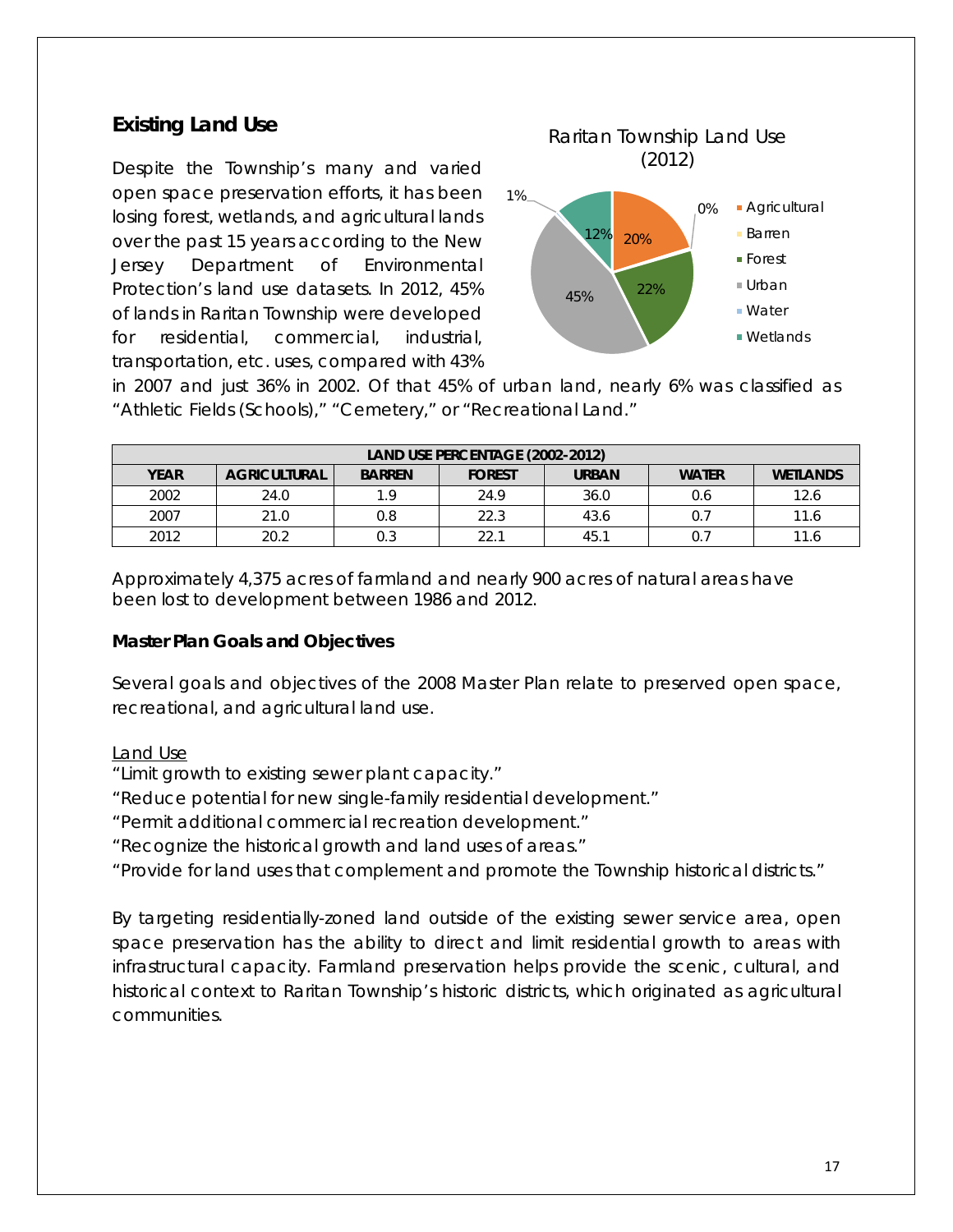## <span id="page-19-0"></span>**Existing Land Use**

Despite the Township's many and varied open space preservation efforts, it has been losing forest, wetlands, and agricultural lands over the past 15 years according to the New Jersey Department of Environmental Protection's land use datasets. In 2012, 45% of lands in Raritan Township were developed for residential, commercial, industrial, transportation, etc. uses, compared with 43%



in 2007 and just 36% in 2002. Of that 45% of urban land, nearly 6% was classified as "Athletic Fields (Schools)," "Cemetery," or "Recreational Land."

| LAND USE PERCENTAGE (2002-2012)                                                                                         |      |     |      |      |     |      |  |
|-------------------------------------------------------------------------------------------------------------------------|------|-----|------|------|-----|------|--|
| <b>YEAR</b><br><b>WATER</b><br><b>AGRICULTURAL</b><br><b>BARREN</b><br><b>URBAN</b><br><b>WETLANDS</b><br><b>FOREST</b> |      |     |      |      |     |      |  |
| 2002                                                                                                                    | 24.0 | 19  | 24.9 | 36.0 | 0.6 | 12.6 |  |
| 2007                                                                                                                    | 21.0 | 0.8 | 22.3 | 43.6 |     | 11.6 |  |
| 2012                                                                                                                    | 20.2 | 0.3 | 22.1 | 45.1 |     | 11.6 |  |

Approximately 4,375 acres of farmland and nearly 900 acres of natural areas have been lost to development between 1986 and 2012.

#### **Master Plan Goals and Objectives**

Several goals and objectives of the 2008 Master Plan relate to preserved open space, recreational, and agricultural land use.

#### Land Use

- "Limit growth to existing sewer plant capacity."
- "Reduce potential for new single-family residential development."
- "Permit additional commercial recreation development."
- "Recognize the historical growth and land uses of areas."
- "Provide for land uses that complement and promote the Township historical districts."

By targeting residentially-zoned land outside of the existing sewer service area, open space preservation has the ability to direct and limit residential growth to areas with infrastructural capacity. Farmland preservation helps provide the scenic, cultural, and historical context to Raritan Township's historic districts, which originated as agricultural communities.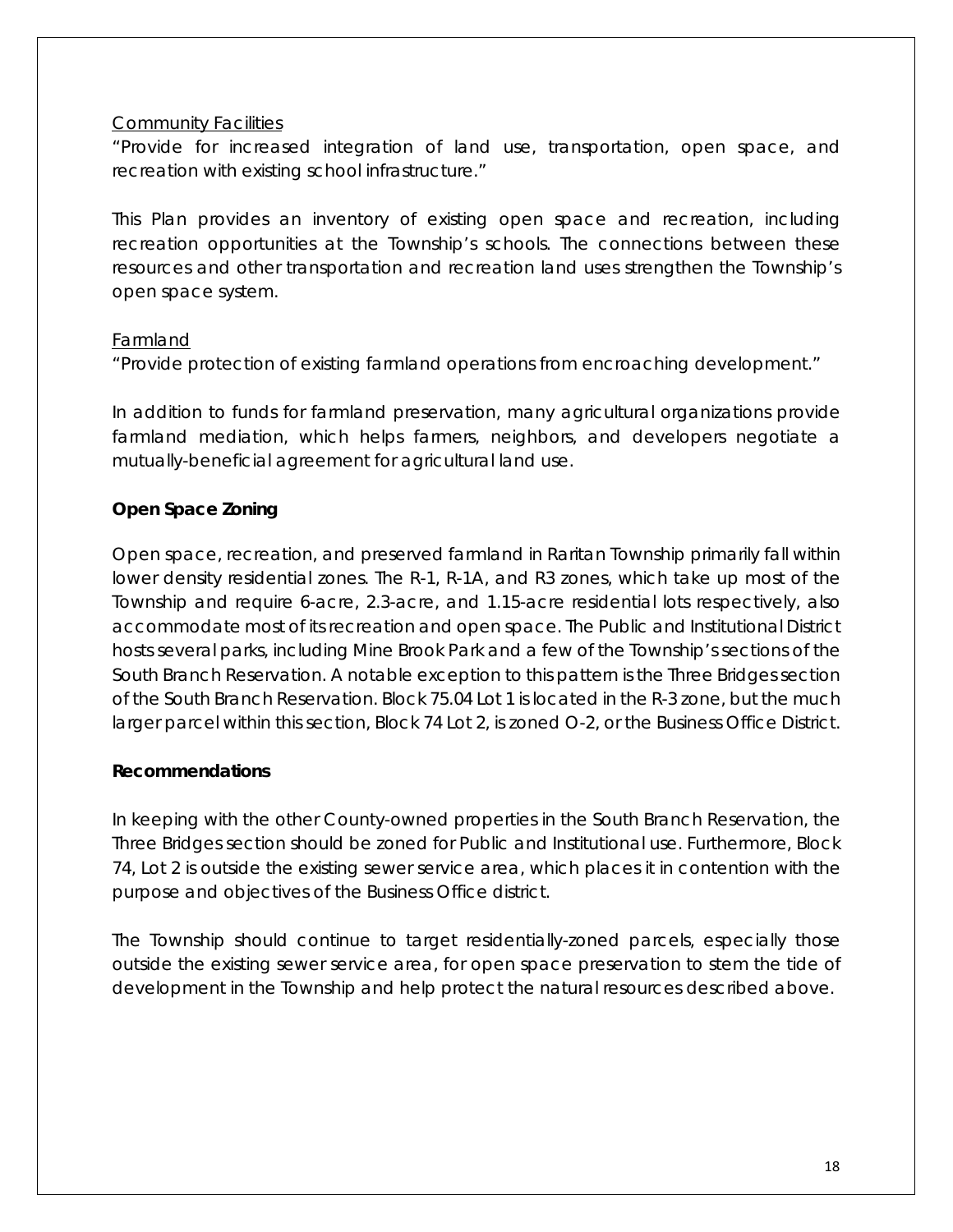#### Community Facilities

"Provide for increased integration of land use, transportation, open space, and recreation with existing school infrastructure."

This Plan provides an inventory of existing open space and recreation, including recreation opportunities at the Township's schools. The connections between these resources and other transportation and recreation land uses strengthen the Township's open space system.

#### Farmland

"Provide protection of existing farmland operations from encroaching development."

In addition to funds for farmland preservation, many agricultural organizations provide farmland mediation, which helps farmers, neighbors, and developers negotiate a mutually-beneficial agreement for agricultural land use.

#### **Open Space Zoning**

Open space, recreation, and preserved farmland in Raritan Township primarily fall within lower density residential zones. The R-1, R-1A, and R3 zones, which take up most of the Township and require 6-acre, 2.3-acre, and 1.15-acre residential lots respectively, also accommodate most of its recreation and open space. The Public and Institutional District hosts several parks, including Mine Brook Park and a few of the Township's sections of the South Branch Reservation. A notable exception to this pattern is the Three Bridges section of the South Branch Reservation. Block 75.04 Lot 1 is located in the R-3 zone, but the much larger parcel within this section, Block 74 Lot 2, is zoned O-2, or the Business Office District.

#### **Recommendations**

In keeping with the other County-owned properties in the South Branch Reservation, the Three Bridges section should be zoned for Public and Institutional use. Furthermore, Block 74, Lot 2 is outside the existing sewer service area, which places it in contention with the purpose and objectives of the Business Office district.

The Township should continue to target residentially-zoned parcels, especially those outside the existing sewer service area, for open space preservation to stem the tide of development in the Township and help protect the natural resources described above.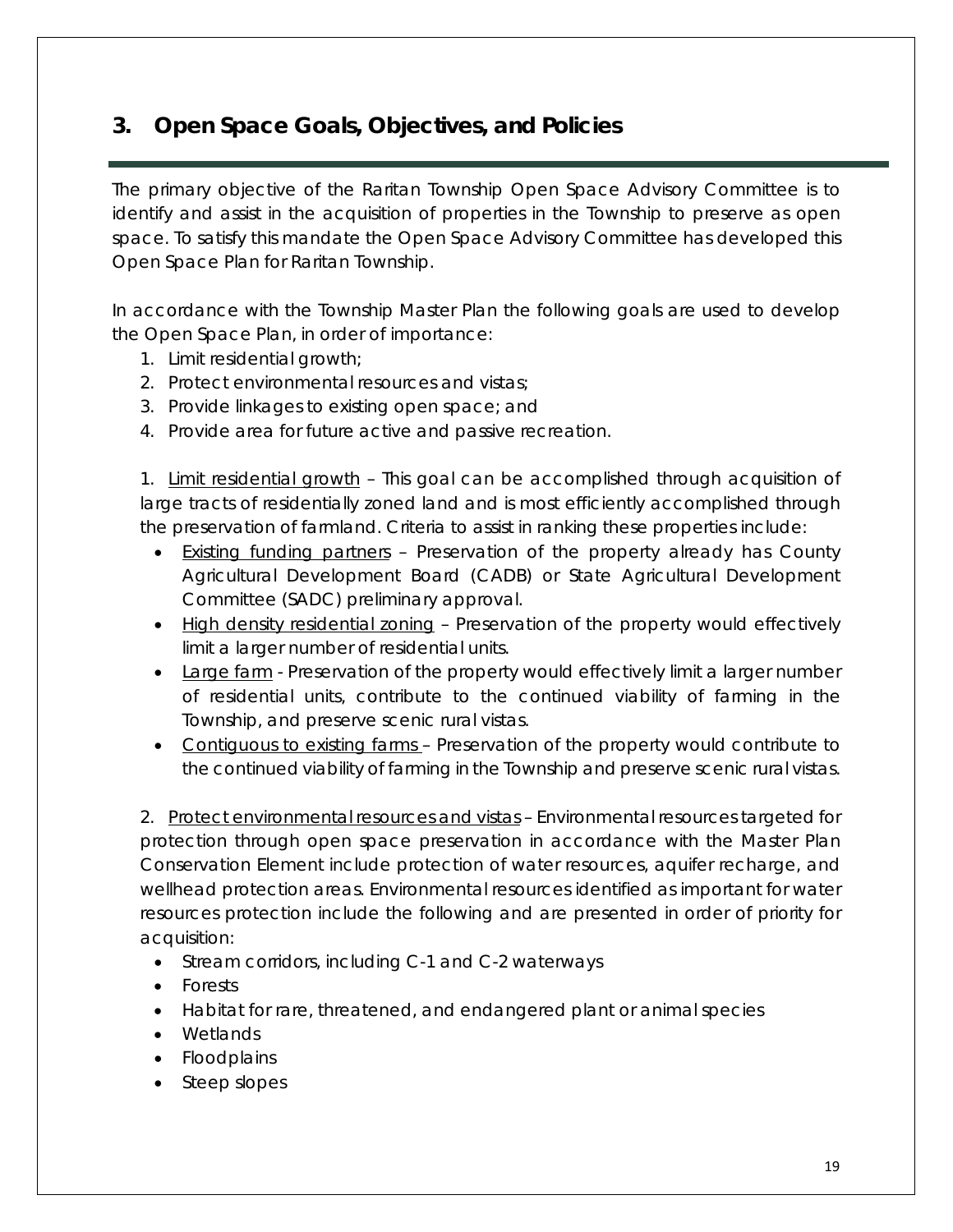## <span id="page-21-0"></span>**3. Open Space Goals, Objectives, and Policies**

The primary objective of the Raritan Township Open Space Advisory Committee is to identify and assist in the acquisition of properties in the Township to preserve as open space. To satisfy this mandate the Open Space Advisory Committee has developed this Open Space Plan for Raritan Township.

In accordance with the Township Master Plan the following goals are used to develop the Open Space Plan, in order of importance:

- 1. Limit residential growth;
- 2. Protect environmental resources and vistas;
- 3. Provide linkages to existing open space; and
- 4. Provide area for future active and passive recreation.

1. Limit residential growth – This goal can be accomplished through acquisition of large tracts of residentially zoned land and is most efficiently accomplished through the preservation of farmland. Criteria to assist in ranking these properties include:

- Existing funding partners Preservation of the property already has County Agricultural Development Board (CADB) or State Agricultural Development Committee (SADC) preliminary approval.
- High density residential zoning Preservation of the property would effectively limit a larger number of residential units.
- Large farm Preservation of the property would effectively limit a larger number of residential units, contribute to the continued viability of farming in the Township, and preserve scenic rural vistas.
- Contiguous to existing farms Preservation of the property would contribute to the continued viability of farming in the Township and preserve scenic rural vistas.

2. Protect environmental resources and vistas – Environmental resources targeted for protection through open space preservation in accordance with the Master Plan Conservation Element include protection of water resources, aquifer recharge, and wellhead protection areas. Environmental resources identified as important for water resources protection include the following and are presented in order of priority for acquisition:

- Stream corridors, including C-1 and C-2 waterways
- Forests
- Habitat for rare, threatened, and endangered plant or animal species
- Wetlands
- Floodplains
- Steep slopes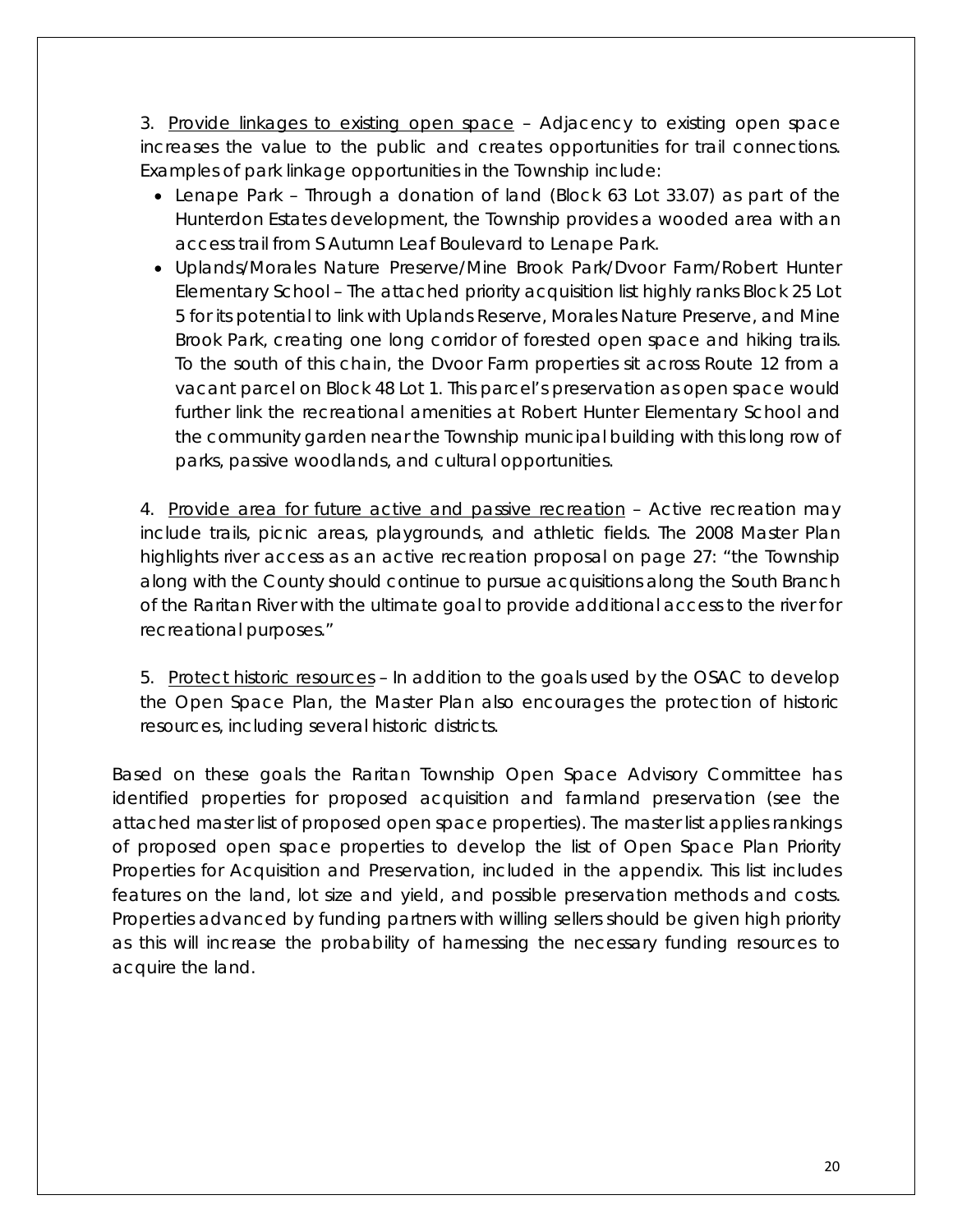3. Provide linkages to existing open space – Adjacency to existing open space increases the value to the public and creates opportunities for trail connections. Examples of park linkage opportunities in the Township include:

- Lenape Park Through a donation of land (Block 63 Lot 33.07) as part of the Hunterdon Estates development, the Township provides a wooded area with an access trail from S Autumn Leaf Boulevard to Lenape Park.
- Uplands/Morales Nature Preserve/Mine Brook Park/Dvoor Farm/Robert Hunter Elementary School – The attached priority acquisition list highly ranks Block 25 Lot 5 for its potential to link with Uplands Reserve, Morales Nature Preserve, and Mine Brook Park, creating one long corridor of forested open space and hiking trails. To the south of this chain, the Dvoor Farm properties sit across Route 12 from a vacant parcel on Block 48 Lot 1. This parcel's preservation as open space would further link the recreational amenities at Robert Hunter Elementary School and the community garden near the Township municipal building with this long row of parks, passive woodlands, and cultural opportunities.

4. Provide area for future active and passive recreation – Active recreation may include trails, picnic areas, playgrounds, and athletic fields. The 2008 Master Plan highlights river access as an active recreation proposal on page 27: "the Township along with the County should continue to pursue acquisitions along the South Branch of the Raritan River with the ultimate goal to provide additional access to the river for recreational purposes."

5. Protect historic resources – In addition to the goals used by the OSAC to develop the Open Space Plan, the Master Plan also encourages the protection of historic resources, including several historic districts.

Based on these goals the Raritan Township Open Space Advisory Committee has identified properties for proposed acquisition and farmland preservation (see the attached master list of proposed open space properties). The master list applies rankings of proposed open space properties to develop the list of Open Space Plan Priority Properties for Acquisition and Preservation, included in the appendix. This list includes features on the land, lot size and yield, and possible preservation methods and costs. Properties advanced by funding partners with willing sellers should be given high priority as this will increase the probability of harnessing the necessary funding resources to acquire the land.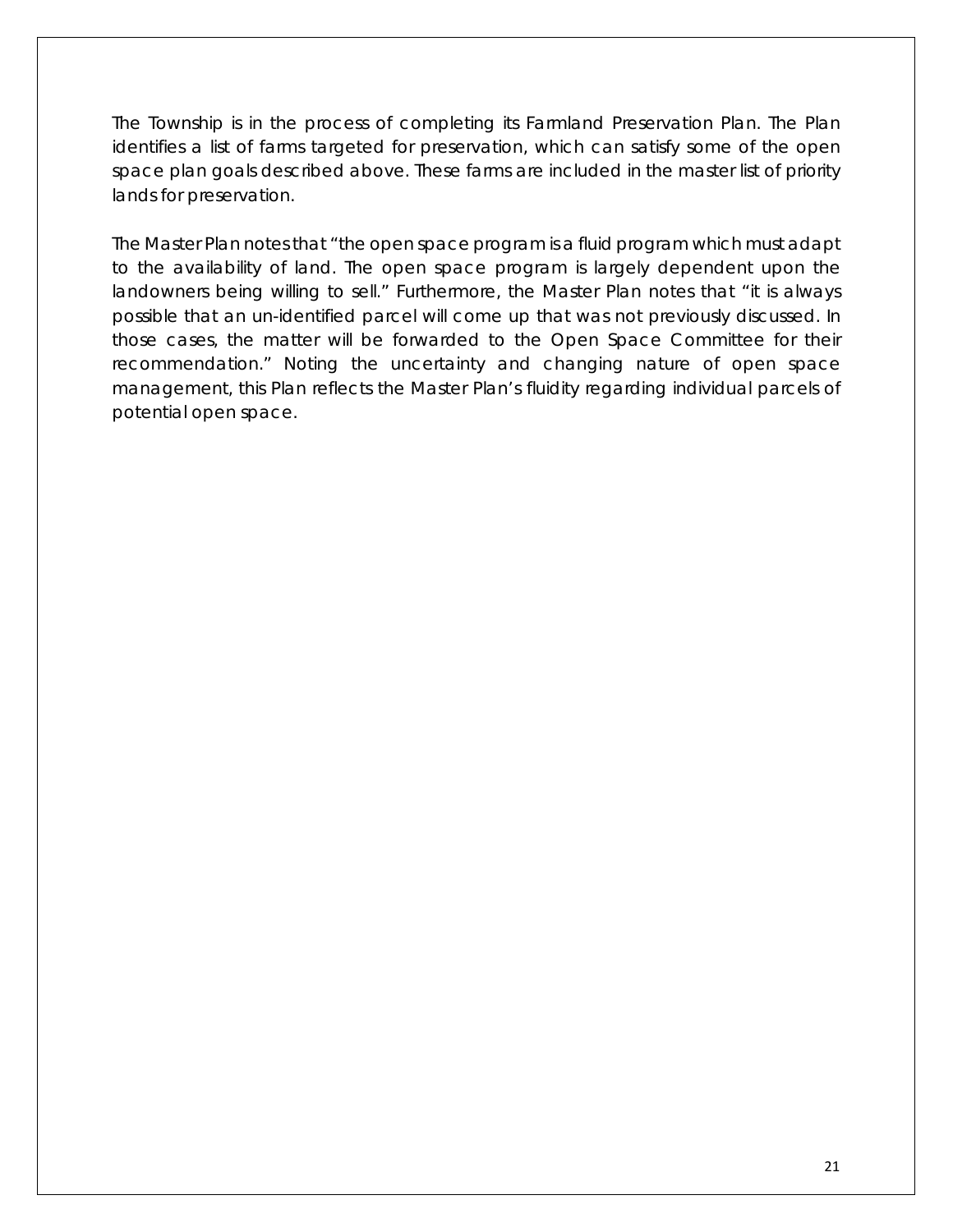The Township is in the process of completing its Farmland Preservation Plan. The Plan identifies a list of farms targeted for preservation, which can satisfy some of the open space plan goals described above. These farms are included in the master list of priority lands for preservation.

The Master Plan notes that "the open space program is a fluid program which must adapt to the availability of land. The open space program is largely dependent upon the landowners being willing to sell." Furthermore, the Master Plan notes that "it is always possible that an un-identified parcel will come up that was not previously discussed. In those cases, the matter will be forwarded to the Open Space Committee for their recommendation." Noting the uncertainty and changing nature of open space management, this Plan reflects the Master Plan's fluidity regarding individual parcels of potential open space.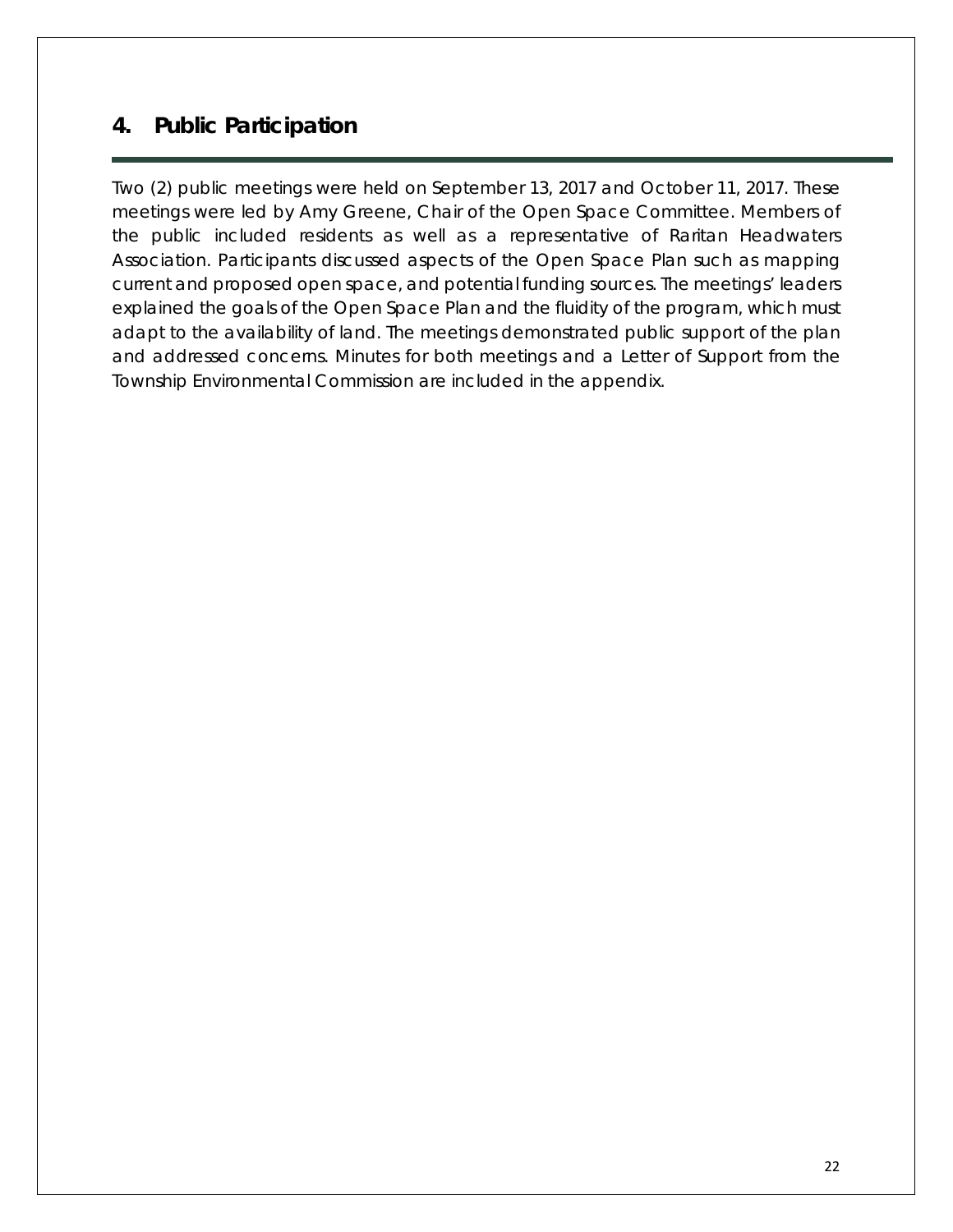## <span id="page-24-0"></span>**4. Public Participation**

Two (2) public meetings were held on September 13, 2017 and October 11, 2017. These meetings were led by Amy Greene, Chair of the Open Space Committee. Members of the public included residents as well as a representative of Raritan Headwaters Association. Participants discussed aspects of the Open Space Plan such as mapping current and proposed open space, and potential funding sources. The meetings' leaders explained the goals of the Open Space Plan and the fluidity of the program, which must adapt to the availability of land. The meetings demonstrated public support of the plan and addressed concerns. Minutes for both meetings and a Letter of Support from the Township Environmental Commission are included in the appendix.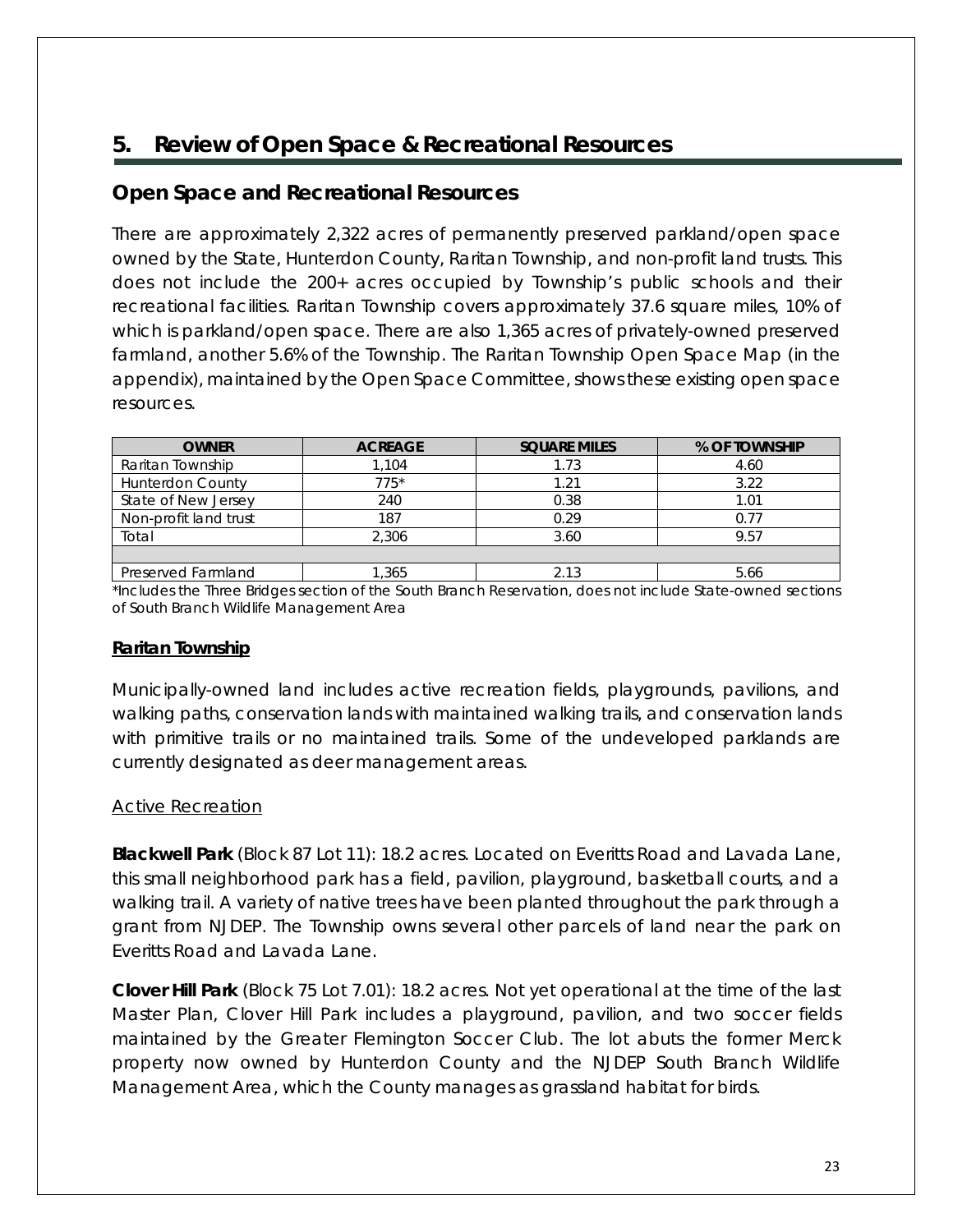## <span id="page-25-0"></span>**5. Review of Open Space & Recreational Resources**

#### <span id="page-25-1"></span>**Open Space and Recreational Resources**

There are approximately 2,322 acres of permanently preserved parkland/open space owned by the State, Hunterdon County, Raritan Township, and non-profit land trusts. This does not include the 200+ acres occupied by Township's public schools and their recreational facilities. Raritan Township covers approximately 37.6 square miles, 10% of which is parkland/open space. There are also 1,365 acres of privately-owned preserved farmland, another 5.6% of the Township. The Raritan Township Open Space Map (in the appendix), maintained by the Open Space Committee, shows these existing open space resources.

| <b>OWNER</b>            | <b>ACREAGE</b> | <b>SQUARE MILES</b> | % OF TOWNSHIP |
|-------------------------|----------------|---------------------|---------------|
| Raritan Township        | .104           | 1.73                | 4.60          |
| <b>Hunterdon County</b> | $775*$         | 1.21                | 3.22          |
| State of New Jersey     | 240            | 0.38                | 1.01          |
| Non-profit land trust   | 187            | 0.29                | 0.77          |
| Total                   | 2.306          | 3.60                | 9.57          |
|                         |                |                     |               |
| Preserved Farmland      | .365           | 2.13                | 5.66          |

\*Includes the Three Bridges section of the South Branch Reservation, does not include State-owned sections of South Branch Wildlife Management Area

#### **Raritan Township**

Municipally-owned land includes active recreation fields, playgrounds, pavilions, and walking paths, conservation lands with maintained walking trails, and conservation lands with primitive trails or no maintained trails. Some of the undeveloped parklands are currently designated as deer management areas.

#### Active Recreation

**Blackwell Park** (Block 87 Lot 11): 18.2 acres. Located on Everitts Road and Lavada Lane, this small neighborhood park has a field, pavilion, playground, basketball courts, and a walking trail. A variety of native trees have been planted throughout the park through a grant from NJDEP. The Township owns several other parcels of land near the park on Everitts Road and Lavada Lane.

**Clover Hill Park** (Block 75 Lot 7.01): 18.2 acres. Not yet operational at the time of the last Master Plan, Clover Hill Park includes a playground, pavilion, and two soccer fields maintained by the Greater Flemington Soccer Club. The lot abuts the former Merck property now owned by Hunterdon County and the NJDEP South Branch Wildlife Management Area, which the County manages as grassland habitat for birds.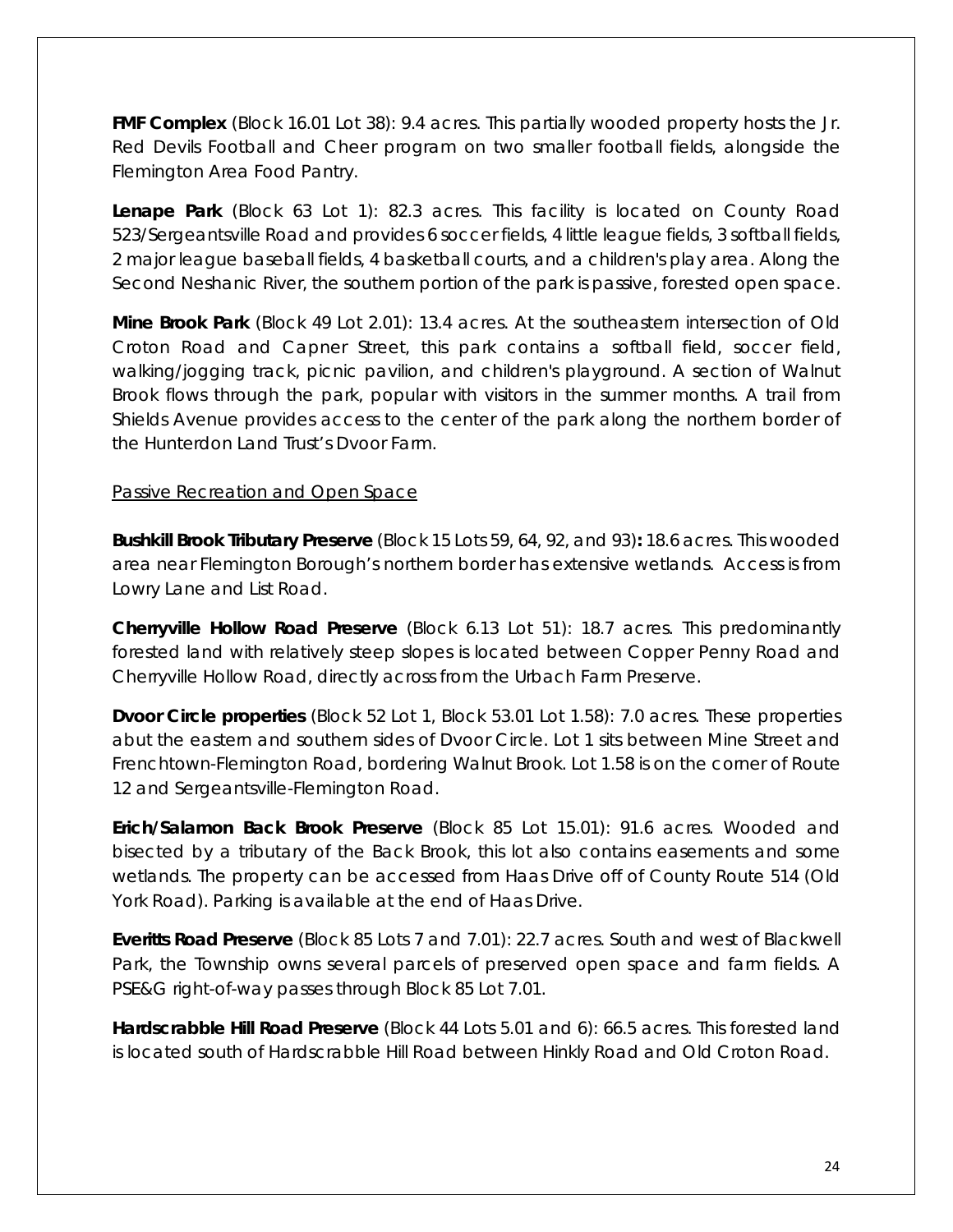**FMF Complex** (Block 16.01 Lot 38): 9.4 acres. This partially wooded property hosts the Jr. Red Devils Football and Cheer program on two smaller football fields, alongside the Flemington Area Food Pantry.

**Lenape Park** (Block 63 Lot 1): 82.3 acres. This facility is located on County Road 523/Sergeantsville Road and provides 6 soccer fields, 4 little league fields, 3 softball fields, 2 major league baseball fields, 4 basketball courts, and a children's play area. Along the Second Neshanic River, the southern portion of the park is passive, forested open space.

**Mine Brook Park** (Block 49 Lot 2.01): 13.4 acres. At the southeastern intersection of Old Croton Road and Capner Street, this park contains a softball field, soccer field, walking/jogging track, picnic pavilion, and children's playground. A section of Walnut Brook flows through the park, popular with visitors in the summer months. A trail from Shields Avenue provides access to the center of the park along the northern border of the Hunterdon Land Trust's Dvoor Farm.

#### Passive Recreation and Open Space

**Bushkill Brook Tributary Preserve** (Block 15 Lots 59, 64, 92, and 93)**:** 18.6 acres. This wooded area near Flemington Borough's northern border has extensive wetlands. Access is from Lowry Lane and List Road.

**Cherryville Hollow Road Preserve** (Block 6.13 Lot 51): 18.7 acres. This predominantly forested land with relatively steep slopes is located between Copper Penny Road and Cherryville Hollow Road, directly across from the Urbach Farm Preserve.

**Dvoor Circle properties** (Block 52 Lot 1, Block 53.01 Lot 1.58): 7.0 acres. These properties abut the eastern and southern sides of Dvoor Circle. Lot 1 sits between Mine Street and Frenchtown-Flemington Road, bordering Walnut Brook. Lot 1.58 is on the corner of Route 12 and Sergeantsville-Flemington Road.

**Erich/Salamon Back Brook Preserve** (Block 85 Lot 15.01): 91.6 acres. Wooded and bisected by a tributary of the Back Brook, this lot also contains easements and some wetlands. The property can be accessed from Haas Drive off of County Route 514 (Old York Road). Parking is available at the end of Haas Drive.

**Everitts Road Preserve** (Block 85 Lots 7 and 7.01): 22.7 acres. South and west of Blackwell Park, the Township owns several parcels of preserved open space and farm fields. A PSE&G right-of-way passes through Block 85 Lot 7.01.

**Hardscrabble Hill Road Preserve** (Block 44 Lots 5.01 and 6): 66.5 acres. This forested land is located south of Hardscrabble Hill Road between Hinkly Road and Old Croton Road.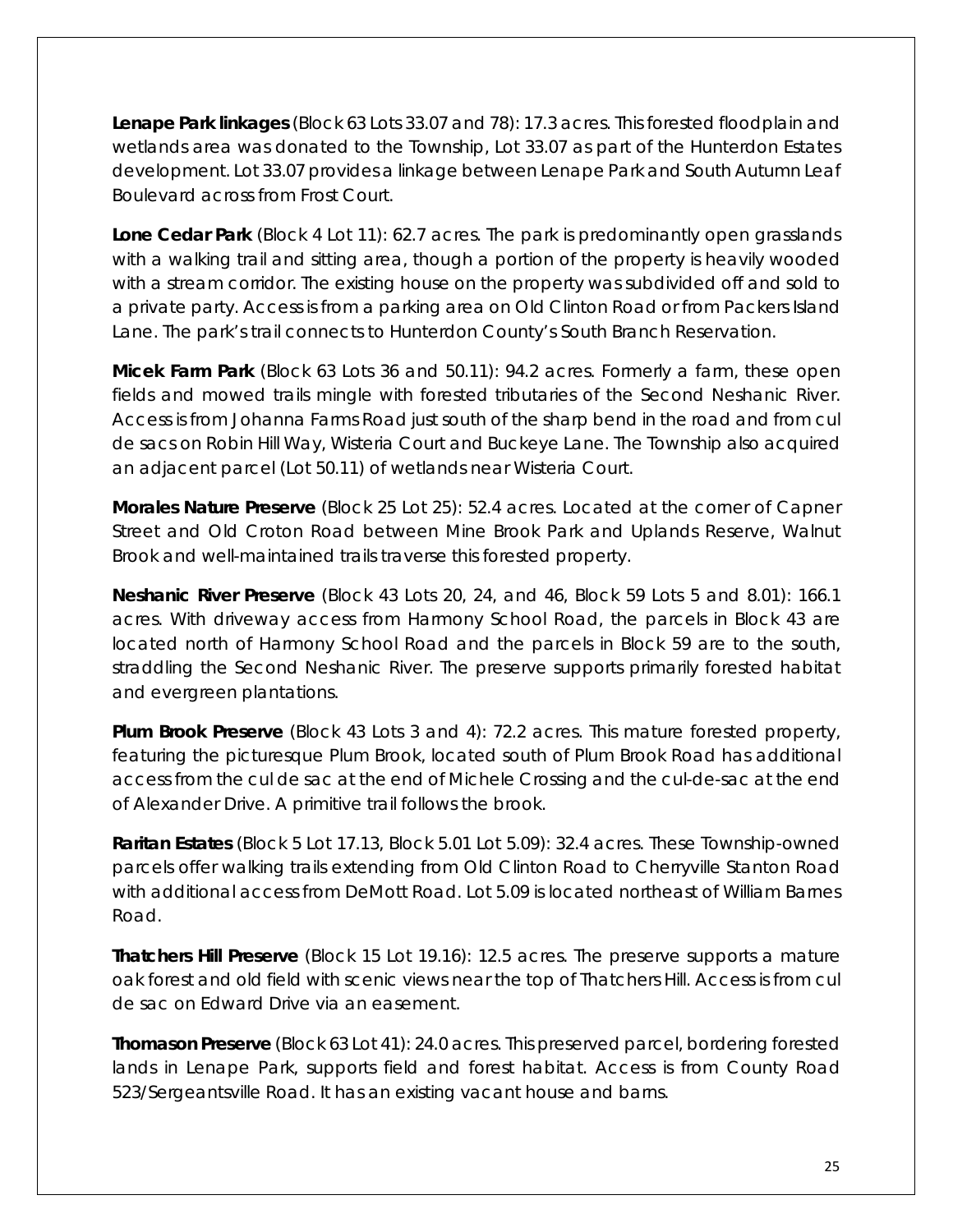**Lenape Park linkages** (Block 63 Lots 33.07 and 78): 17.3 acres. This forested floodplain and wetlands area was donated to the Township, Lot 33.07 as part of the Hunterdon Estates development. Lot 33.07 provides a linkage between Lenape Park and South Autumn Leaf Boulevard across from Frost Court.

**Lone Cedar Park** (Block 4 Lot 11): 62.7 acres. The park is predominantly open grasslands with a walking trail and sitting area, though a portion of the property is heavily wooded with a stream corridor. The existing house on the property was subdivided off and sold to a private party. Access is from a parking area on Old Clinton Road or from Packers Island Lane. The park's trail connects to Hunterdon County's South Branch Reservation.

**Micek Farm Park** (Block 63 Lots 36 and 50.11): 94.2 acres. Formerly a farm, these open fields and mowed trails mingle with forested tributaries of the Second Neshanic River. Access is from Johanna Farms Road just south of the sharp bend in the road and from cul de sacs on Robin Hill Way, Wisteria Court and Buckeye Lane. The Township also acquired an adjacent parcel (Lot 50.11) of wetlands near Wisteria Court.

**Morales Nature Preserve** (Block 25 Lot 25): 52.4 acres. Located at the corner of Capner Street and Old Croton Road between Mine Brook Park and Uplands Reserve, Walnut Brook and well-maintained trails traverse this forested property.

**Neshanic River Preserve** (Block 43 Lots 20, 24, and 46, Block 59 Lots 5 and 8.01): 166.1 acres. With driveway access from Harmony School Road, the parcels in Block 43 are located north of Harmony School Road and the parcels in Block 59 are to the south, straddling the Second Neshanic River. The preserve supports primarily forested habitat and evergreen plantations.

**Plum Brook Preserve** (Block 43 Lots 3 and 4): 72.2 acres. This mature forested property, featuring the picturesque Plum Brook, located south of Plum Brook Road has additional access from the cul de sac at the end of Michele Crossing and the cul-de-sac at the end of Alexander Drive. A primitive trail follows the brook.

**Raritan Estates** (Block 5 Lot 17.13, Block 5.01 Lot 5.09): 32.4 acres. These Township-owned parcels offer walking trails extending from Old Clinton Road to Cherryville Stanton Road with additional access from DeMott Road. Lot 5.09 is located northeast of William Barnes Road.

**Thatchers Hill Preserve** (Block 15 Lot 19.16): 12.5 acres. The preserve supports a mature oak forest and old field with scenic views near the top of Thatchers Hill. Access is from cul de sac on Edward Drive via an easement.

**Thomason Preserve** (Block 63 Lot 41): 24.0 acres. This preserved parcel, bordering forested lands in Lenape Park, supports field and forest habitat. Access is from County Road 523/Sergeantsville Road. It has an existing vacant house and barns.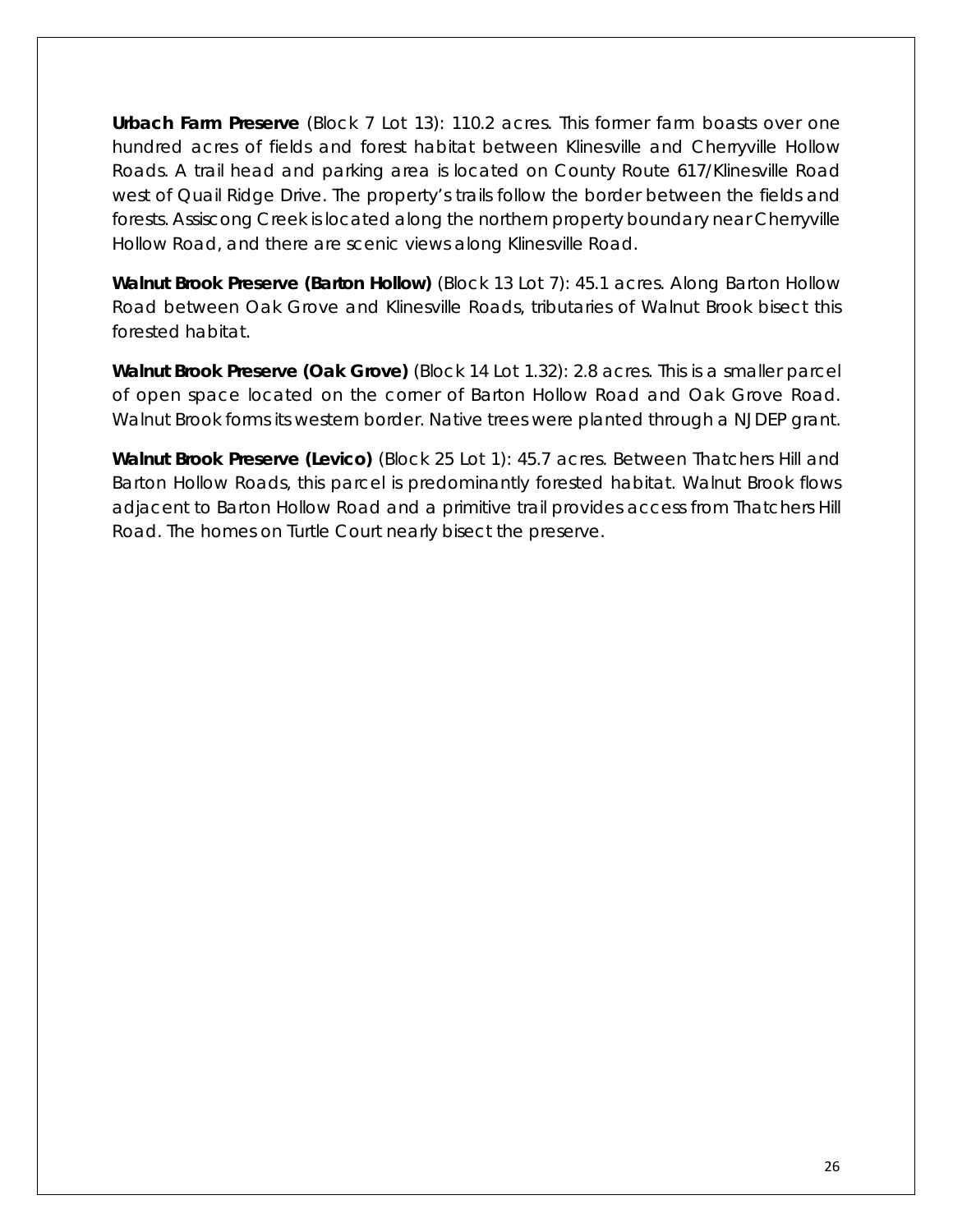**Urbach Farm Preserve** (Block 7 Lot 13): 110.2 acres. This former farm boasts over one hundred acres of fields and forest habitat between Klinesville and Cherryville Hollow Roads. A trail head and parking area is located on County Route 617/Klinesville Road west of Quail Ridge Drive. The property's trails follow the border between the fields and forests. Assiscong Creek is located along the northern property boundary near Cherryville Hollow Road, and there are scenic views along Klinesville Road.

**Walnut Brook Preserve (Barton Hollow)** (Block 13 Lot 7): 45.1 acres. Along Barton Hollow Road between Oak Grove and Klinesville Roads, tributaries of Walnut Brook bisect this forested habitat.

**Walnut Brook Preserve (Oak Grove)** (Block 14 Lot 1.32): 2.8 acres. This is a smaller parcel of open space located on the corner of Barton Hollow Road and Oak Grove Road. Walnut Brook forms its western border. Native trees were planted through a NJDEP grant.

**Walnut Brook Preserve (Levico)** (Block 25 Lot 1): 45.7 acres. Between Thatchers Hill and Barton Hollow Roads, this parcel is predominantly forested habitat. Walnut Brook flows adjacent to Barton Hollow Road and a primitive trail provides access from Thatchers Hill Road. The homes on Turtle Court nearly bisect the preserve.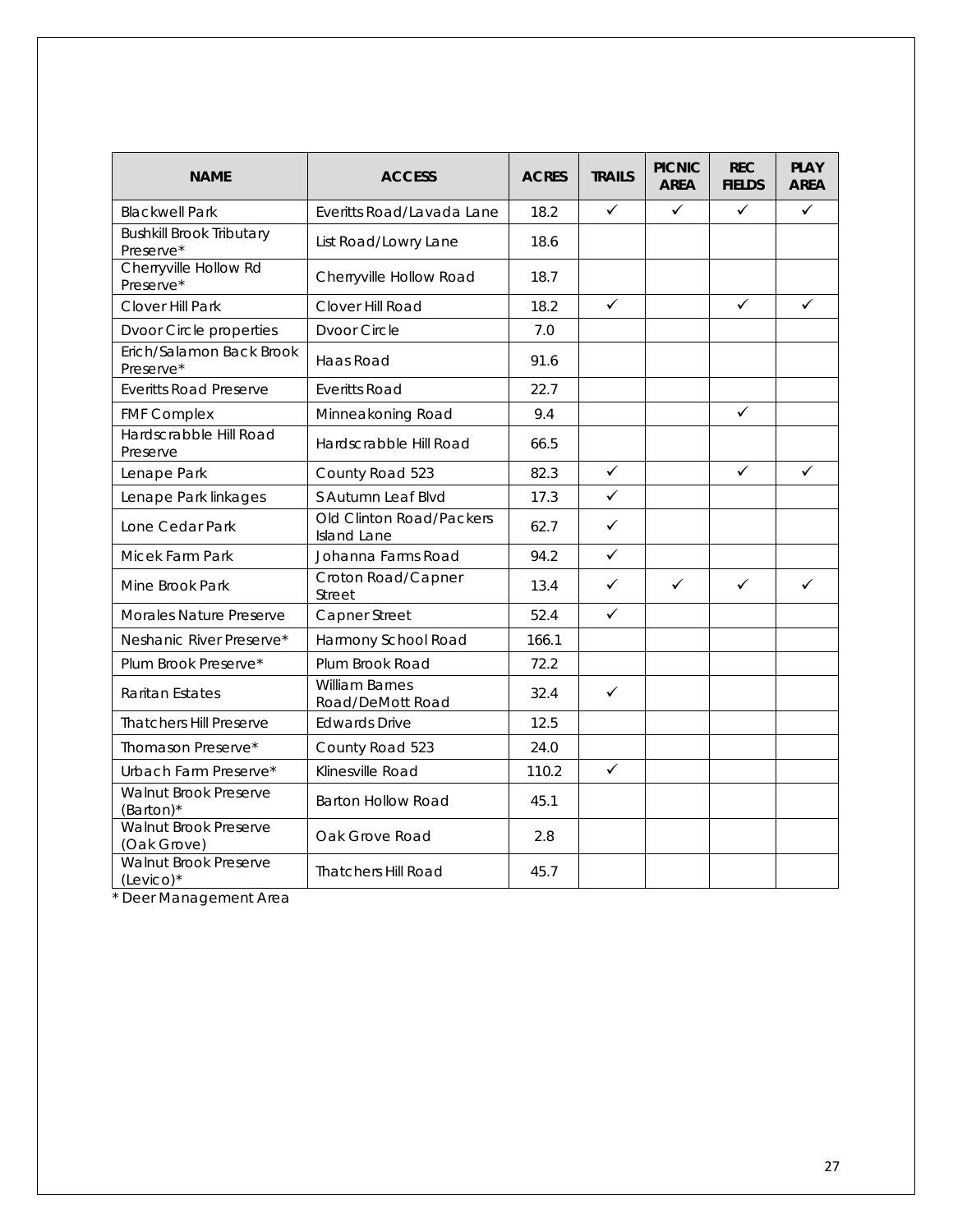| <b>NAME</b>                                  | <b>ACCESS</b>                                  | <b>ACRES</b> | <b>TRAILS</b> | <b>PICNIC</b><br><b>AREA</b> | <b>REC</b><br><b>FIELDS</b> | <b>PLAY</b><br><b>AREA</b> |
|----------------------------------------------|------------------------------------------------|--------------|---------------|------------------------------|-----------------------------|----------------------------|
| <b>Blackwell Park</b>                        | Everitts Road/Lavada Lane                      | 18.2         | $\checkmark$  | ✓                            | $\checkmark$                | $\checkmark$               |
| <b>Bushkill Brook Tributary</b><br>Preserve* | List Road/Lowry Lane                           | 18.6         |               |                              |                             |                            |
| Cherryville Hollow Rd<br>Preserve*           | Cherryville Hollow Road                        | 18.7         |               |                              |                             |                            |
| Clover Hill Park                             | Clover Hill Road                               | 18.2         | $\checkmark$  |                              | $\checkmark$                | $\checkmark$               |
| Dvoor Circle properties                      | <b>Dvoor Circle</b>                            | 7.0          |               |                              |                             |                            |
| Erich/Salamon Back Brook<br>Preserve*        | Haas Road                                      | 91.6         |               |                              |                             |                            |
| <b>Everitts Road Preserve</b>                | <b>Everitts Road</b>                           | 22.7         |               |                              |                             |                            |
| <b>FMF Complex</b>                           | Minneakoning Road                              | 9.4          |               |                              | $\checkmark$                |                            |
| Hardscrabble Hill Road<br>Preserve           | Hardscrabble Hill Road                         | 66.5         |               |                              |                             |                            |
| Lenape Park                                  | County Road 523                                | 82.3         | $\checkmark$  |                              | $\checkmark$                | ✓                          |
| Lenape Park linkages                         | S Autumn Leaf Blvd                             |              | $\checkmark$  |                              |                             |                            |
| Lone Cedar Park                              | Old Clinton Road/Packers<br><b>Island Lane</b> | 62.7         | $\checkmark$  |                              |                             |                            |
| Micek Farm Park                              | Johanna Farms Road                             | 94.2         | $\checkmark$  |                              |                             |                            |
| Mine Brook Park                              | Croton Road/Capner<br>Street                   | 13.4         | $\checkmark$  | $\checkmark$                 | $\checkmark$                | $\checkmark$               |
| Morales Nature Preserve                      | Capner Street                                  | 52.4         | ✓             |                              |                             |                            |
| Neshanic River Preserve*                     | Harmony School Road                            | 166.1        |               |                              |                             |                            |
| Plum Brook Preserve*                         | Plum Brook Road                                | 72.2         |               |                              |                             |                            |
| <b>Raritan Estates</b>                       | <b>William Barnes</b><br>Road/DeMott Road      | 32.4         | $\checkmark$  |                              |                             |                            |
| <b>Thatchers Hill Preserve</b>               | <b>Edwards Drive</b>                           | 12.5         |               |                              |                             |                            |
| Thomason Preserve*                           | County Road 523                                | 24.0         |               |                              |                             |                            |
| Urbach Farm Preserve*                        | Klinesville Road                               | 110.2        | ✓             |                              |                             |                            |
| Walnut Brook Preserve<br>(Barton)*           | <b>Barton Hollow Road</b>                      | 45.1         |               |                              |                             |                            |
| Walnut Brook Preserve<br>(Oak Grove)         | Oak Grove Road                                 | 2.8          |               |                              |                             |                            |
| Walnut Brook Preserve<br>$(Levico)*$         | <b>Thatchers Hill Road</b>                     | 45.7         |               |                              |                             |                            |

\* Deer Management Area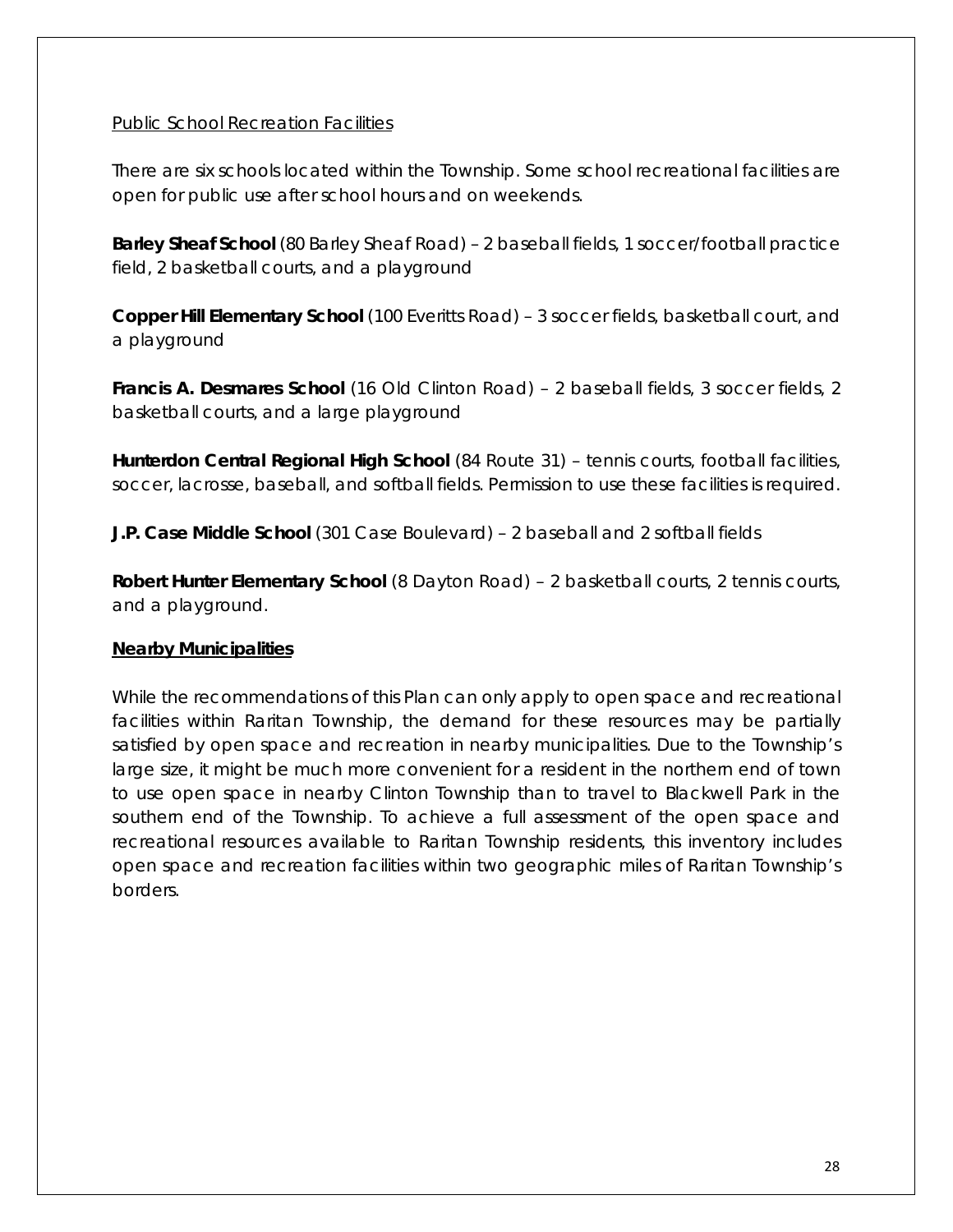#### Public School Recreation Facilities

There are six schools located within the Township. Some school recreational facilities are open for public use after school hours and on weekends.

**Barley Sheaf School** (80 Barley Sheaf Road) - 2 baseball fields, 1 soccer/football practice field, 2 basketball courts, and a playground

**Copper Hill Elementary School** (100 Everitts Road) – 3 soccer fields, basketball court, and a playground

**Francis A. Desmares School** (16 Old Clinton Road) – 2 baseball fields, 3 soccer fields, 2 basketball courts, and a large playground

**Hunterdon Central Regional High School** (84 Route 31) – tennis courts, football facilities, soccer, lacrosse, baseball, and softball fields. Permission to use these facilities is required.

**J.P. Case Middle School** (301 Case Boulevard) – 2 baseball and 2 softball fields

**Robert Hunter Elementary School** (8 Dayton Road) – 2 basketball courts, 2 tennis courts, and a playground.

#### **Nearby Municipalities**

While the recommendations of this Plan can only apply to open space and recreational facilities within Raritan Township, the demand for these resources may be partially satisfied by open space and recreation in nearby municipalities. Due to the Township's large size, it might be much more convenient for a resident in the northern end of town to use open space in nearby Clinton Township than to travel to Blackwell Park in the southern end of the Township. To achieve a full assessment of the open space and recreational resources available to Raritan Township residents, this inventory includes open space and recreation facilities within two geographic miles of Raritan Township's borders.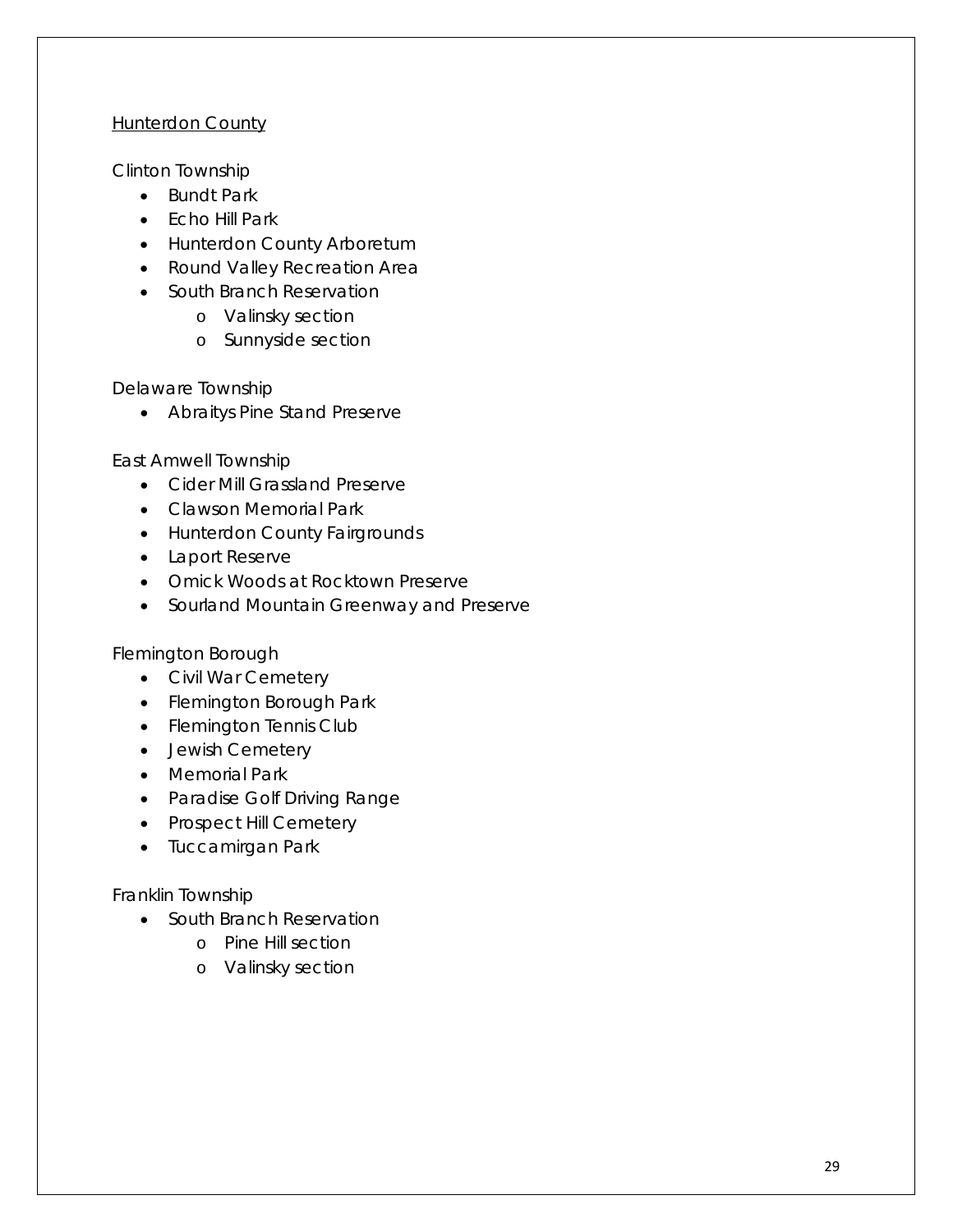#### **Hunterdon County**

Clinton Township

- Bundt Park
- Echo Hill Park
- Hunterdon County Arboretum
- Round Valley Recreation Area
- South Branch Reservation
	- o Valinsky section
	- o Sunnyside section

Delaware Township

• Abraitys Pine Stand Preserve

East Amwell Township

- Cider Mill Grassland Preserve
- Clawson Memorial Park
- Hunterdon County Fairgrounds
- Laport Reserve
- Omick Woods at Rocktown Preserve
- Sourland Mountain Greenway and Preserve

Flemington Borough

- Civil War Cemetery
- Flemington Borough Park
- Flemington Tennis Club
- Jewish Cemetery
- Memorial Park
- Paradise Golf Driving Range
- Prospect Hill Cemetery
- Tuccamirgan Park

#### Franklin Township

- South Branch Reservation
	- o Pine Hill section
	- o Valinsky section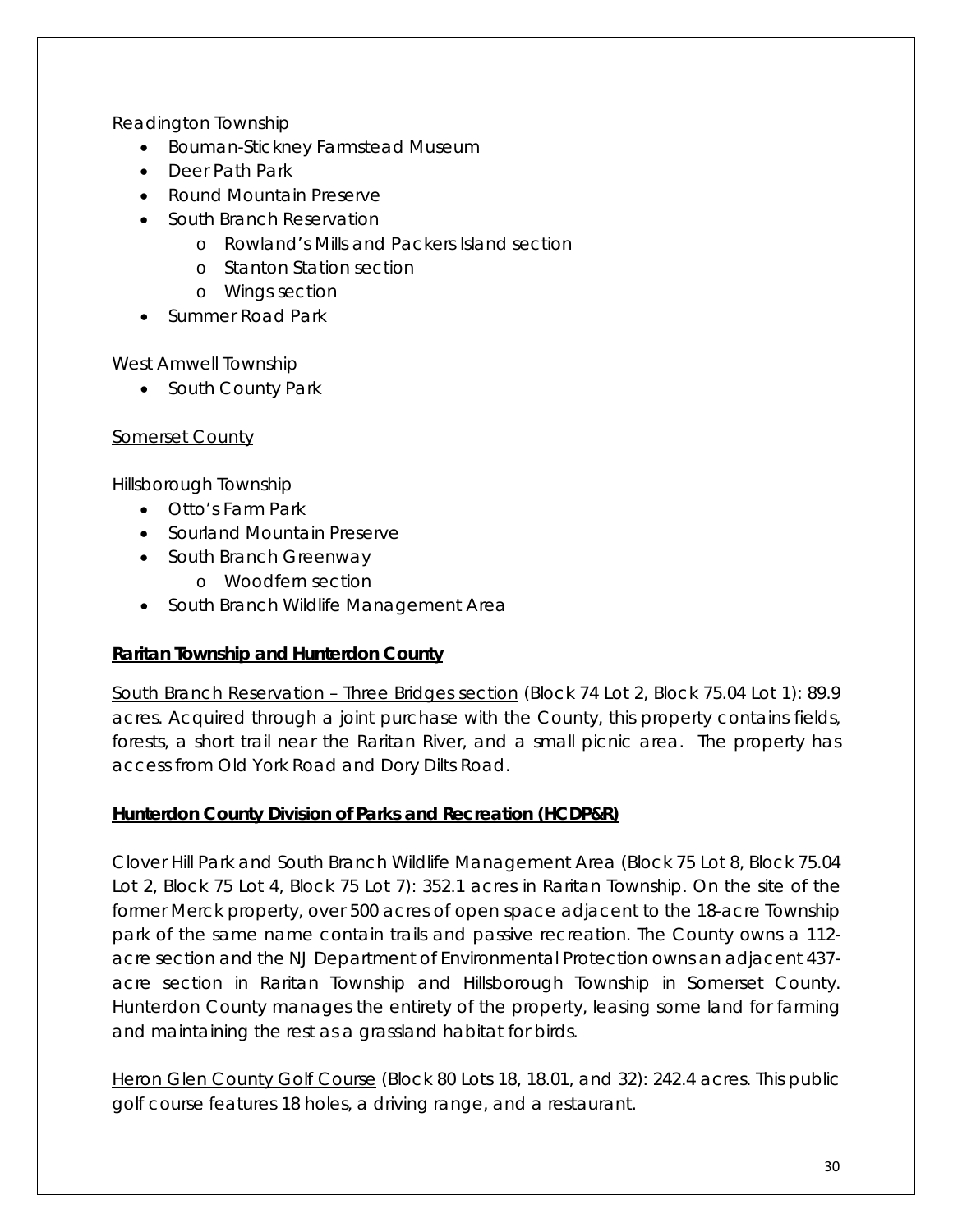Readington Township

- Bouman-Stickney Farmstead Museum
- Deer Path Park
- Round Mountain Preserve
- South Branch Reservation
	- o Rowland's Mills and Packers Island section
	- o Stanton Station section
	- o Wings section
- Summer Road Park

West Amwell Township

• South County Park

#### Somerset County

Hillsborough Township

- Otto's Farm Park
- Sourland Mountain Preserve
- South Branch Greenway
	- o Woodfern section
- South Branch Wildlife Management Area

#### **Raritan Township and Hunterdon County**

South Branch Reservation – Three Bridges section (Block 74 Lot 2, Block 75.04 Lot 1): 89.9 acres. Acquired through a joint purchase with the County, this property contains fields, forests, a short trail near the Raritan River, and a small picnic area. The property has access from Old York Road and Dory Dilts Road.

#### **Hunterdon County Division of Parks and Recreation (HCDP&R)**

Clover Hill Park and South Branch Wildlife Management Area (Block 75 Lot 8, Block 75.04 Lot 2, Block 75 Lot 4, Block 75 Lot 7): 352.1 acres in Raritan Township. On the site of the former Merck property, over 500 acres of open space adjacent to the 18-acre Township park of the same name contain trails and passive recreation. The County owns a 112 acre section and the NJ Department of Environmental Protection owns an adjacent 437 acre section in Raritan Township and Hillsborough Township in Somerset County. Hunterdon County manages the entirety of the property, leasing some land for farming and maintaining the rest as a grassland habitat for birds.

Heron Glen County Golf Course (Block 80 Lots 18, 18.01, and 32): 242.4 acres. This public golf course features 18 holes, a driving range, and a restaurant.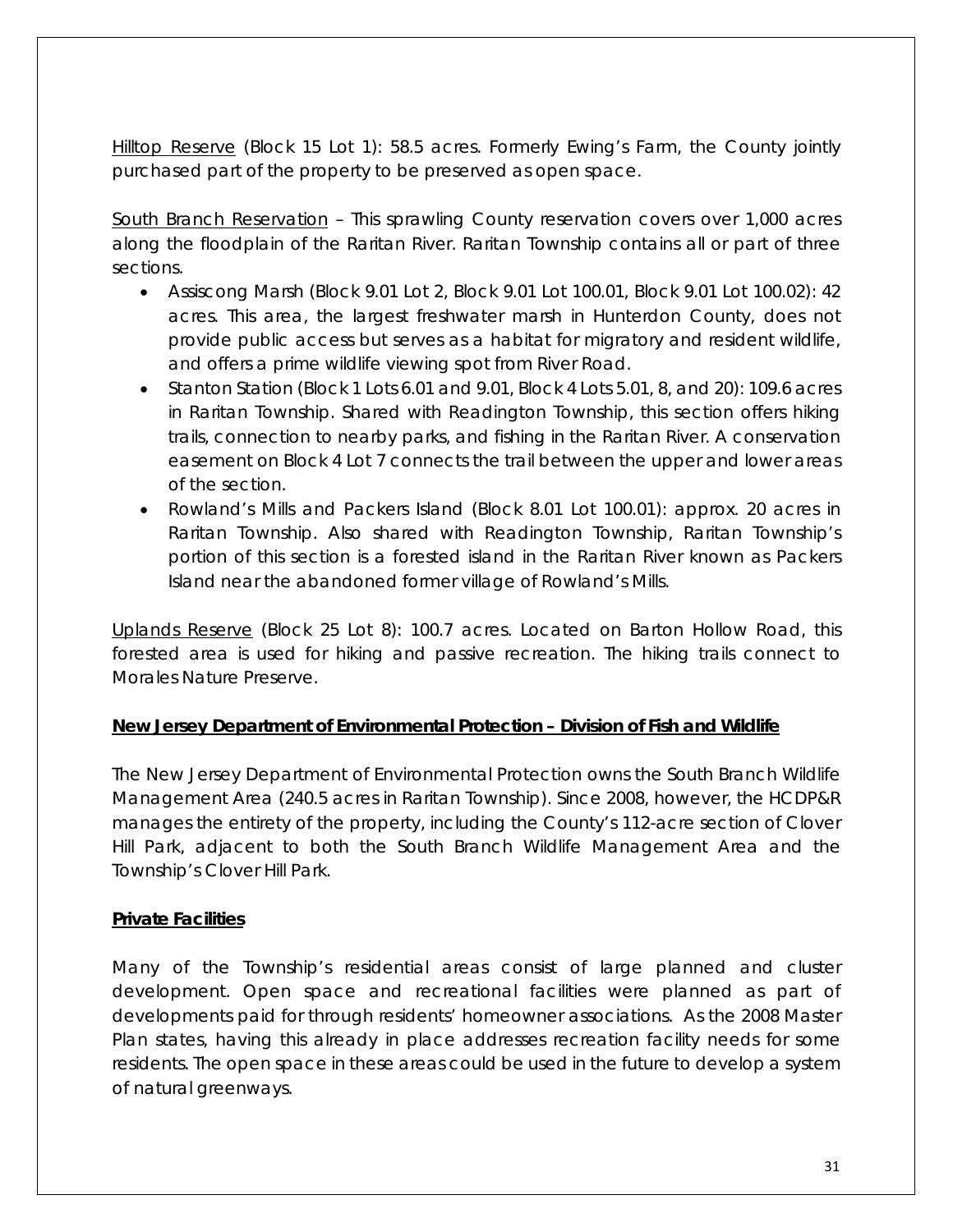Hilltop Reserve (Block 15 Lot 1): 58.5 acres. Formerly Ewing's Farm, the County jointly purchased part of the property to be preserved as open space.

South Branch Reservation – This sprawling County reservation covers over 1,000 acres along the floodplain of the Raritan River. Raritan Township contains all or part of three sections.

- Assiscong Marsh (Block 9.01 Lot 2, Block 9.01 Lot 100.01, Block 9.01 Lot 100.02): 42 acres. This area, the largest freshwater marsh in Hunterdon County, does not provide public access but serves as a habitat for migratory and resident wildlife, and offers a prime wildlife viewing spot from River Road.
- Stanton Station (Block 1 Lots 6.01 and 9.01, Block 4 Lots 5.01, 8, and 20): 109.6 acres in Raritan Township. Shared with Readington Township, this section offers hiking trails, connection to nearby parks, and fishing in the Raritan River. A conservation easement on Block 4 Lot 7 connects the trail between the upper and lower areas of the section.
- Rowland's Mills and Packers Island (Block 8.01 Lot 100.01): approx. 20 acres in Raritan Township. Also shared with Readington Township, Raritan Township's portion of this section is a forested island in the Raritan River known as Packers Island near the abandoned former village of Rowland's Mills.

Uplands Reserve (Block 25 Lot 8): 100.7 acres. Located on Barton Hollow Road, this forested area is used for hiking and passive recreation. The hiking trails connect to Morales Nature Preserve.

#### **New Jersey Department of Environmental Protection – Division of Fish and Wildlife**

The New Jersey Department of Environmental Protection owns the South Branch Wildlife Management Area (240.5 acres in Raritan Township). Since 2008, however, the HCDP&R manages the entirety of the property, including the County's 112-acre section of Clover Hill Park, adjacent to both the South Branch Wildlife Management Area and the Township's Clover Hill Park.

#### **Private Facilities**

Many of the Township's residential areas consist of large planned and cluster development. Open space and recreational facilities were planned as part of developments paid for through residents' homeowner associations. As the 2008 Master Plan states, having this already in place addresses recreation facility needs for some residents. The open space in these areas could be used in the future to develop a system of natural greenways.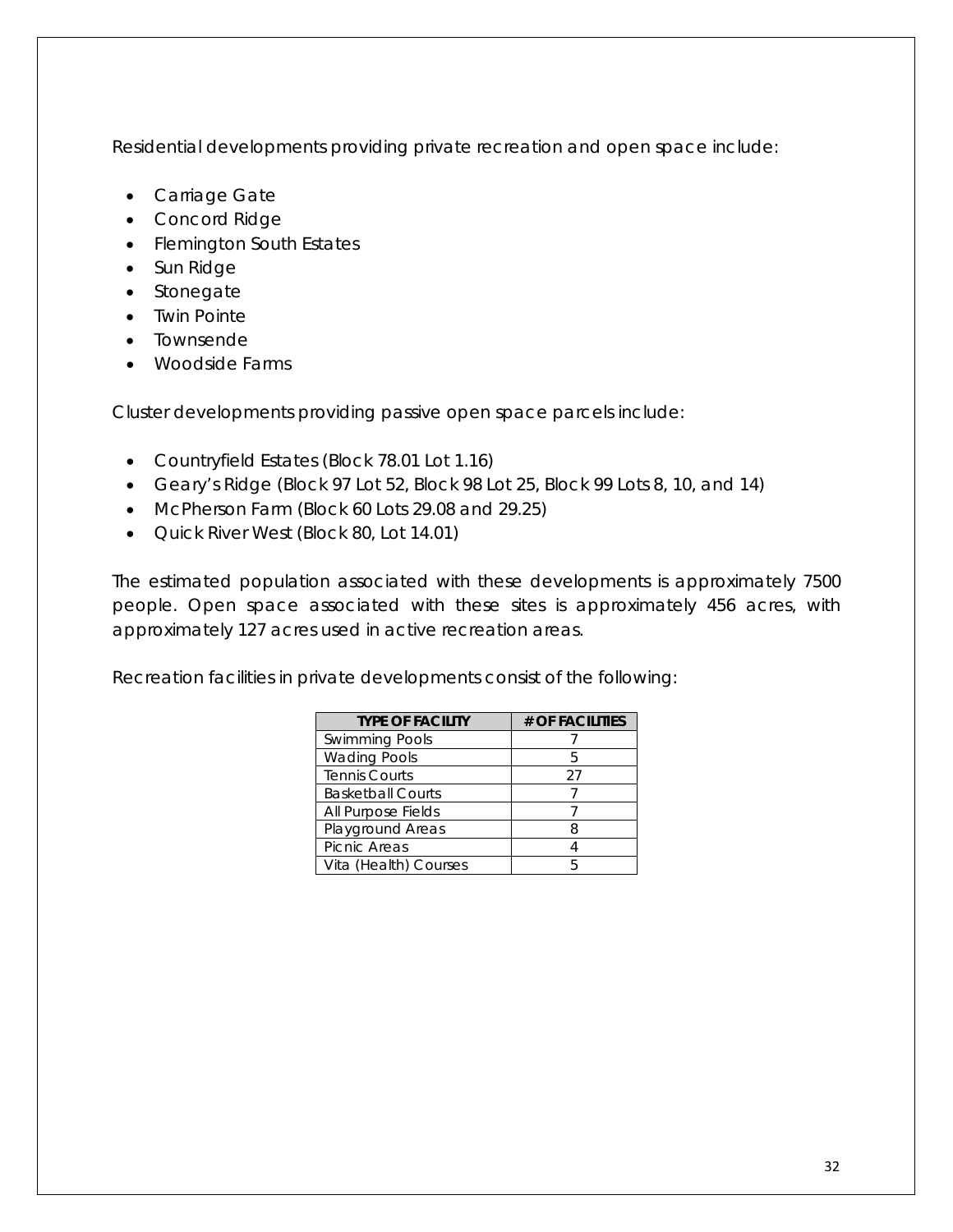Residential developments providing private recreation and open space include:

- Carriage Gate
- Concord Ridge
- Flemington South Estates
- Sun Ridge
- Stonegate
- Twin Pointe
- Townsende
- Woodside Farms

Cluster developments providing passive open space parcels include:

- Countryfield Estates (Block 78.01 Lot 1.16)
- Geary's Ridge (Block 97 Lot 52, Block 98 Lot 25, Block 99 Lots 8, 10, and 14)
- McPherson Farm (Block 60 Lots 29.08 and 29.25)
- Quick River West (Block 80, Lot 14.01)

The estimated population associated with these developments is approximately 7500 people. Open space associated with these sites is approximately 456 acres, with approximately 127 acres used in active recreation areas.

Recreation facilities in private developments consist of the following:

| <b>TYPE OF FACILITY</b>  | # OF FACILITIES |
|--------------------------|-----------------|
| <b>Swimming Pools</b>    |                 |
| <b>Wading Pools</b>      | h               |
| <b>Tennis Courts</b>     | 27              |
| <b>Basketball Courts</b> |                 |
| All Purpose Fields       |                 |
| Playground Areas         | 8               |
| Picnic Areas             |                 |
| Vita (Health) Courses    | h               |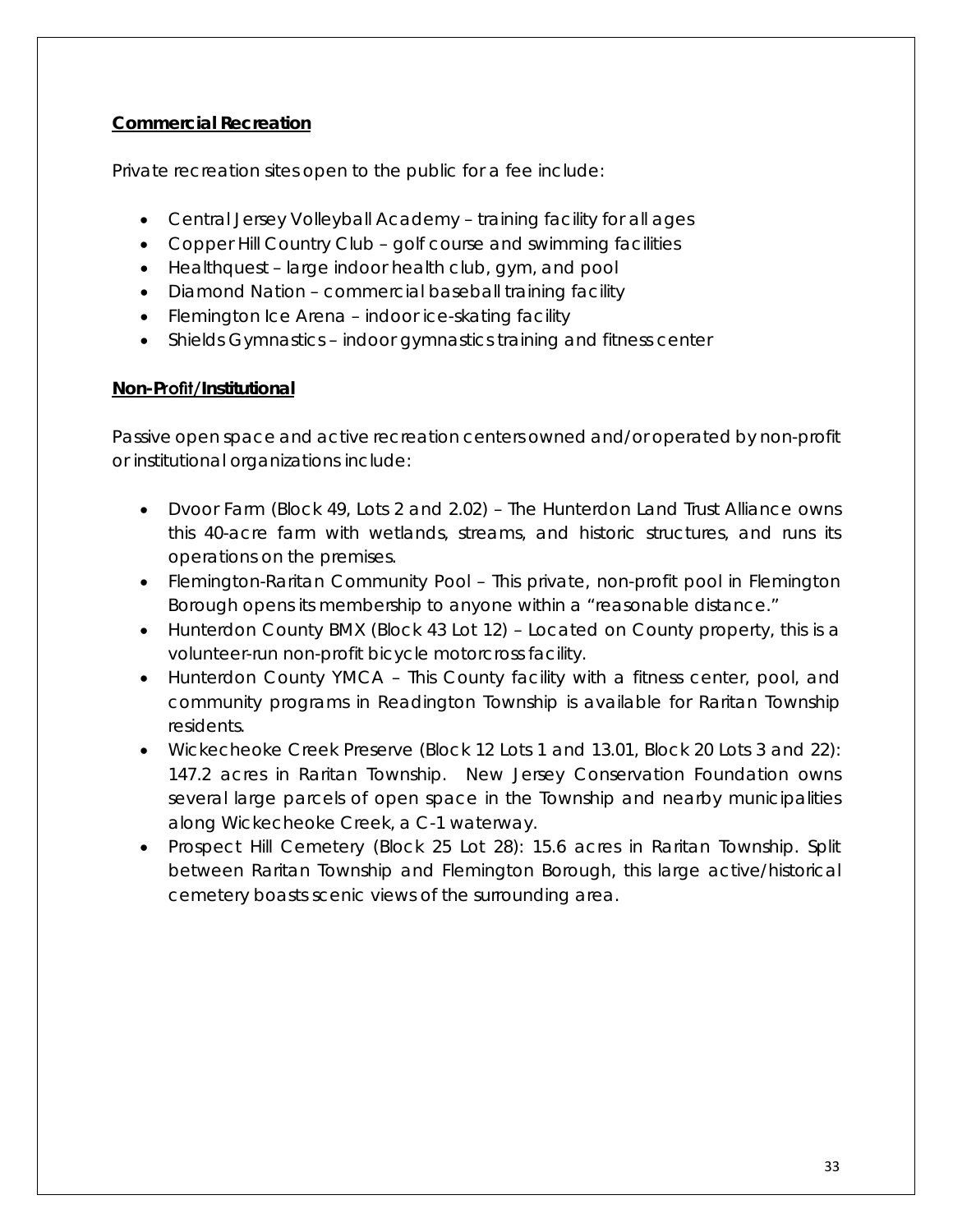#### **Commercial Recreation**

Private recreation sites open to the public for a fee include:

- Central Jersey Volleyball Academy training facility for all ages
- Copper Hill Country Club golf course and swimming facilities
- Healthquest large indoor health club, gym, and pool
- Diamond Nation commercial baseball training facility
- Flemington Ice Arena indoor ice-skating facility
- Shields Gymnastics indoor gymnastics training and fitness center

#### **Non-Profit/Institutional**

Passive open space and active recreation centers owned and/or operated by non-profit or institutional organizations include:

- Dvoor Farm (Block 49, Lots 2 and 2.02) The Hunterdon Land Trust Alliance owns this 40-acre farm with wetlands, streams, and historic structures, and runs its operations on the premises.
- Flemington-Raritan Community Pool This private, non-profit pool in Flemington Borough opens its membership to anyone within a "reasonable distance."
- Hunterdon County BMX (Block 43 Lot 12) Located on County property, this is a volunteer-run non-profit bicycle motorcross facility.
- Hunterdon County YMCA This County facility with a fitness center, pool, and community programs in Readington Township is available for Raritan Township residents.
- Wickecheoke Creek Preserve (Block 12 Lots 1 and 13.01, Block 20 Lots 3 and 22): 147.2 acres in Raritan Township. New Jersey Conservation Foundation owns several large parcels of open space in the Township and nearby municipalities along Wickecheoke Creek, a C-1 waterway.
- Prospect Hill Cemetery (Block 25 Lot 28): 15.6 acres in Raritan Township. Split between Raritan Township and Flemington Borough, this large active/historical cemetery boasts scenic views of the surrounding area.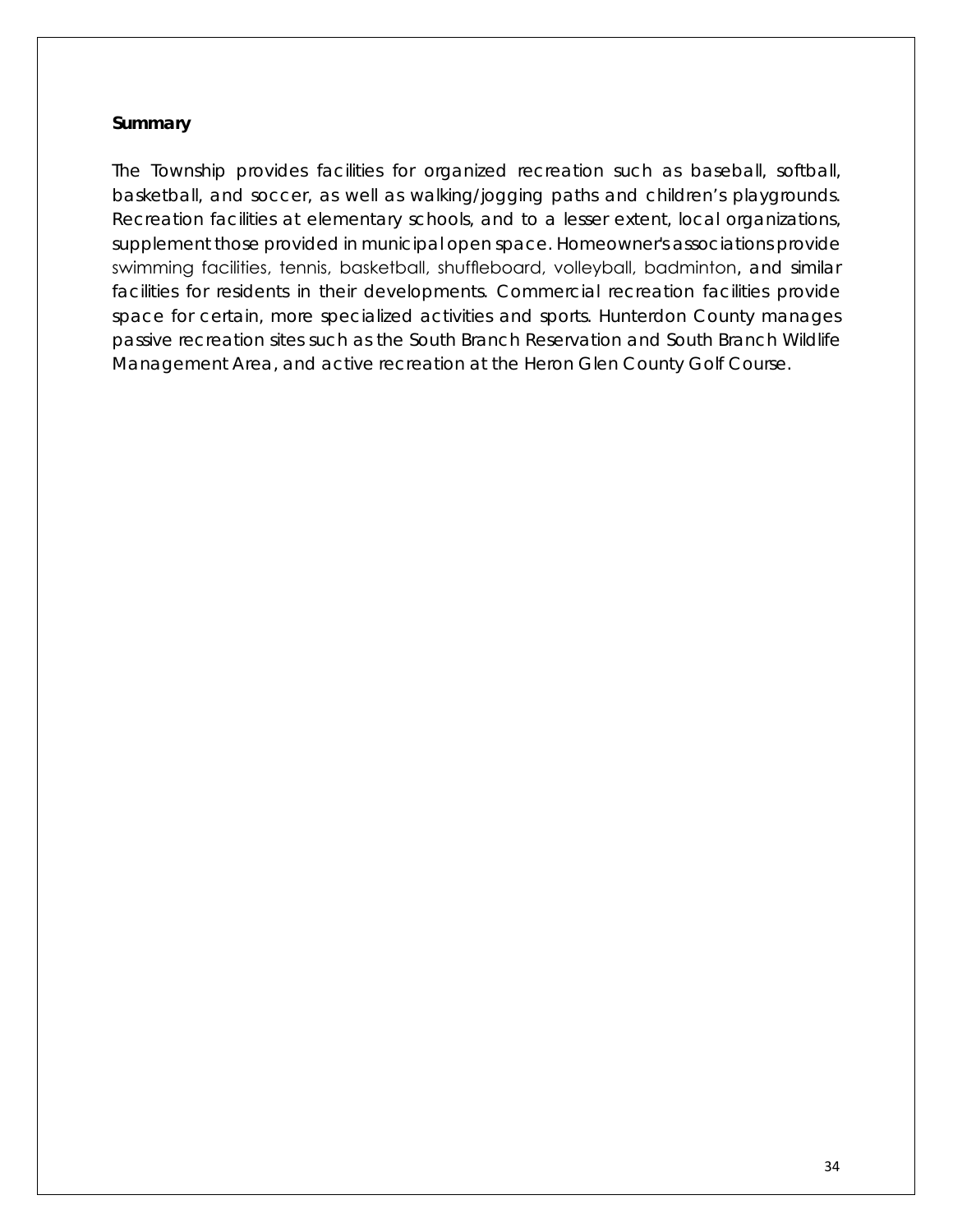#### **Summary**

The Township provides facilities for organized recreation such as baseball, softball, basketball, and soccer, as well as walking/jogging paths and children's playgrounds. Recreation facilities at elementary schools, and to a lesser extent, local organizations, supplement those provided in municipal open space. Homeowner's associations provide swimming facilities, tennis, basketball, shuffleboard, volleyball, badminton, and similar facilities for residents in their developments. Commercial recreation facilities provide space for certain, more specialized activities and sports. Hunterdon County manages passive recreation sites such as the South Branch Reservation and South Branch Wildlife Management Area, and active recreation at the Heron Glen County Golf Course.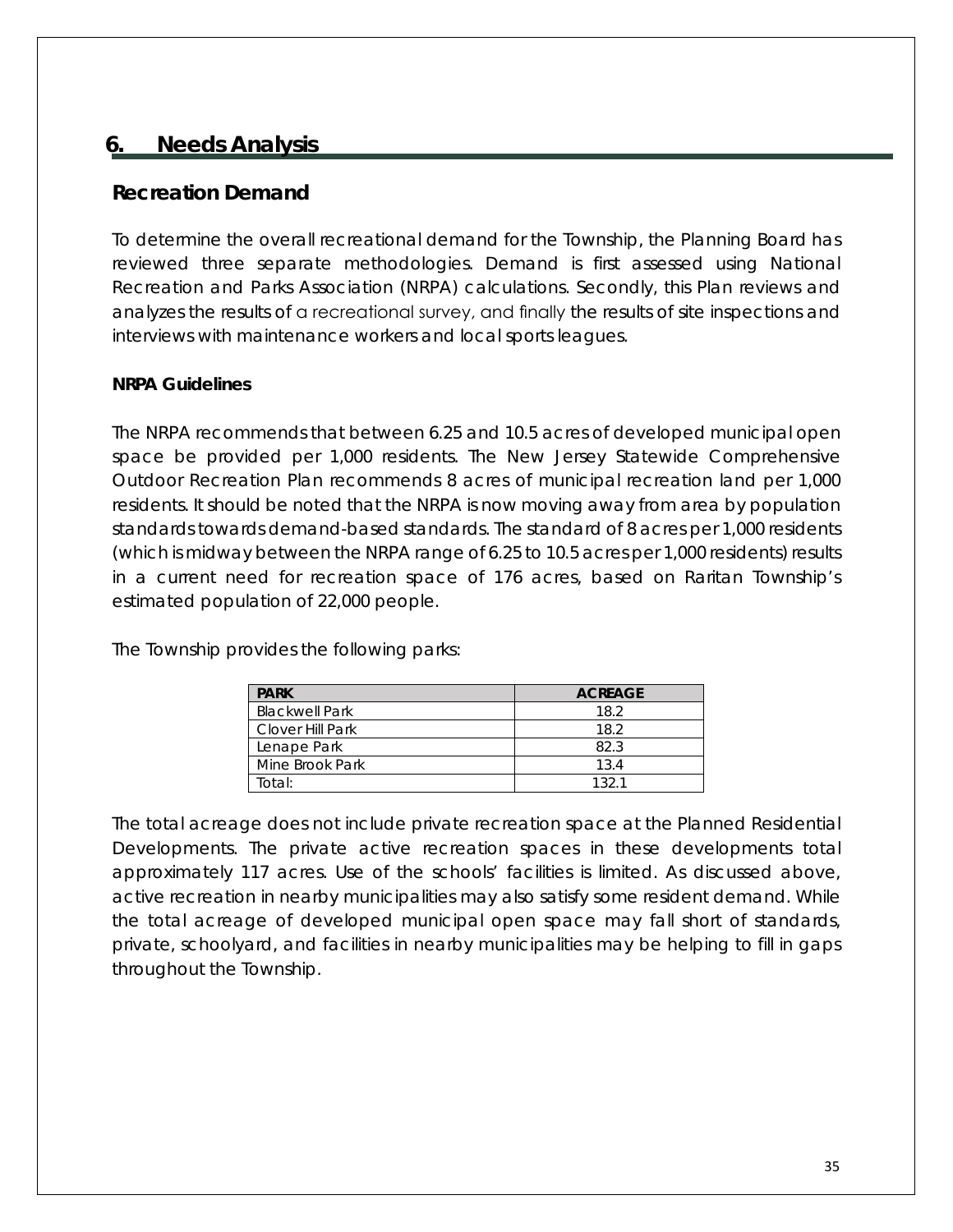## <span id="page-37-0"></span>**6. Needs Analysis**

## <span id="page-37-1"></span>**Recreation Demand**

To determine the overall recreational demand for the Township, the Planning Board has reviewed three separate methodologies. Demand is first assessed using National Recreation and Parks Association (NRPA) calculations. Secondly, this Plan reviews and analyzes the results of a recreational survey, and finally the results of site inspections and interviews with maintenance workers and local sports leagues.

#### **NRPA Guidelines**

The NRPA recommends that between 6.25 and 10.5 acres of developed municipal open space be provided per 1,000 residents. The New Jersey Statewide Comprehensive Outdoor Recreation Plan recommends 8 acres of municipal recreation land per 1,000 residents. It should be noted that the NRPA is now moving away from area by population standards towards demand-based standards. The standard of 8 acres per 1,000 residents (which is midway between the NRPA range of 6.25 to 10.5 acres per 1,000 residents) results in a current need for recreation space of 176 acres, based on Raritan Township's estimated population of 22,000 people.

The Township provides the following parks:

| <b>PARK</b>           | <b>ACREAGE</b> |
|-----------------------|----------------|
| <b>Blackwell Park</b> | 18.2           |
| Clover Hill Park      | 18.2           |
| Lenape Park           | 82.3           |
| Mine Brook Park       | 13.4           |
| Total:                | 1321           |

The total acreage does not include private recreation space at the Planned Residential Developments. The private active recreation spaces in these developments total approximately 117 acres. Use of the schools' facilities is limited. As discussed above, active recreation in nearby municipalities may also satisfy some resident demand. While the total acreage of developed municipal open space may fall short of standards, private, schoolyard, and facilities in nearby municipalities may be helping to fill in gaps throughout the Township.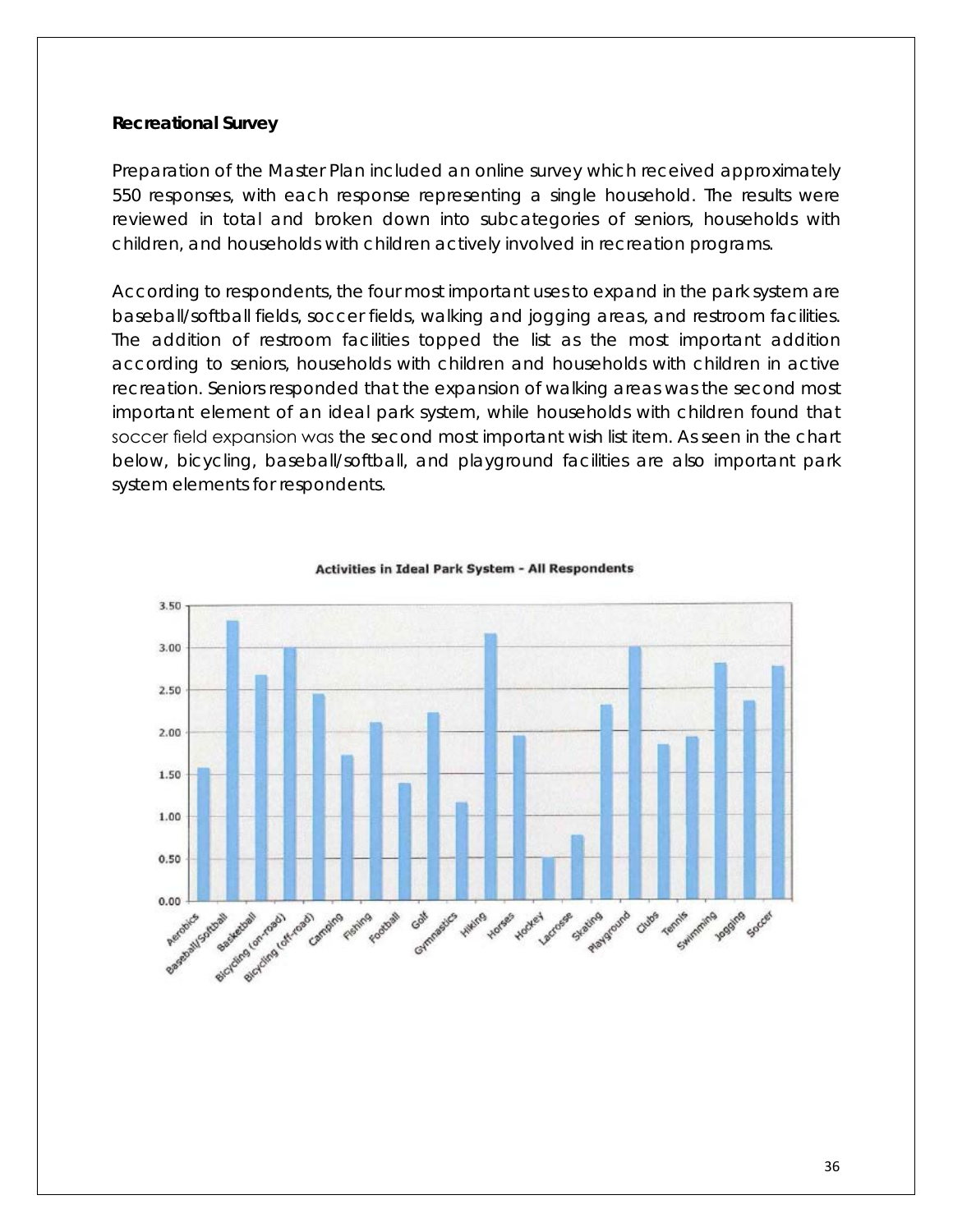#### **Recreational Survey**

Preparation of the Master Plan included an online survey which received approximately 550 responses, with each response representing a single household. The results were reviewed in total and broken down into subcategories of seniors, households with children, and households with children actively involved in recreation programs.

According to respondents, the four most important uses to expand in the park system are baseball/softball fields, soccer fields, walking and jogging areas, and restroom facilities. The addition of restroom facilities topped the list as the most important addition according to seniors, households with children and households with children in active recreation. Seniors responded that the expansion of walking areas was the second most important element of an ideal park system, while households with children found that soccer field expansion was the second most important wish list item. As seen in the chart below, bicycling, baseball/softball, and playground facilities are also important park system elements for respondents.



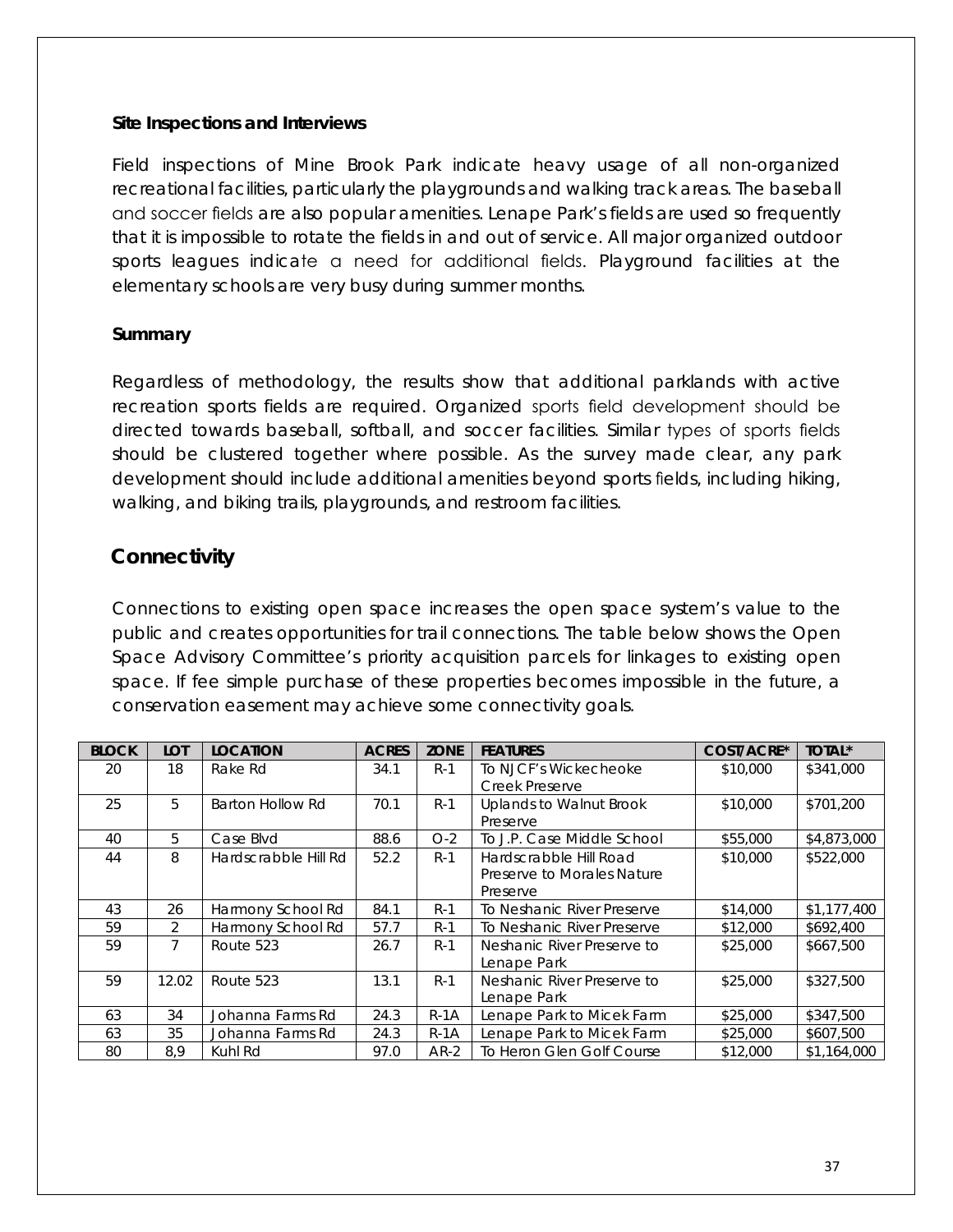#### **Site Inspections and Interviews**

Field inspections of Mine Brook Park indicate heavy usage of all non-organized recreational facilities, particularly the playgrounds and walking track areas. The baseball and soccer fields are also popular amenities. Lenape Park's fields are used so frequently that it is impossible to rotate the fields in and out of service. All major organized outdoor sports leagues indicate a need for additional fields. Playground facilities at the elementary schools are very busy during summer months.

#### **Summary**

Regardless of methodology, the results show that additional parklands with active recreation sports fields are required. Organized sports field development should be directed towards baseball, softball, and soccer facilities. Similar types of sports fields should be clustered together where possible. As the survey made clear, any park development should include additional amenities beyond sports fields, including hiking, walking, and biking trails, playgrounds, and restroom facilities.

## <span id="page-39-0"></span>**Connectivity**

Connections to existing open space increases the open space system's value to the public and creates opportunities for trail connections. The table below shows the Open Space Advisory Committee's priority acquisition parcels for linkages to existing open space. If fee simple purchase of these properties becomes impossible in the future, a conservation easement may achieve some connectivity goals.

| <b>BLOCK</b> | <b>LOT</b>     | <b>LOCATION</b>      | <b>ACRES</b> | <b>ZONE</b> | <b>FEATURES</b>            | COST/ACRE* | <b>TOTAL*</b> |
|--------------|----------------|----------------------|--------------|-------------|----------------------------|------------|---------------|
| 20           | 18             | Rake Rd              | 34.1         | $R-1$       | To NJCF's Wickecheoke      | \$10,000   | \$341,000     |
|              |                |                      |              |             | Creek Preserve             |            |               |
| 25           | 5              | Barton Hollow Rd     | 70.1         | $R-1$       | Uplands to Walnut Brook    | \$10,000   | \$701,200     |
|              |                |                      |              |             | Preserve                   |            |               |
| 40           | 5              | Case Blvd            | 88.6         | $O-2$       | To J.P. Case Middle School | \$55,000   | \$4,873,000   |
| 44           | 8              | Hardscrabble Hill Rd | 52.2         | $R-1$       | Hardscrabble Hill Road     | \$10,000   | \$522,000     |
|              |                |                      |              |             | Preserve to Morales Nature |            |               |
|              |                |                      |              |             | Preserve                   |            |               |
| 43           | 26             | Harmony School Rd    | 84.1         | $R-1$       | To Neshanic River Preserve | \$14,000   | \$1,177,400   |
| 59           | $\overline{2}$ | Harmony School Rd    | 57.7         | $R-1$       | To Neshanic River Preserve | \$12,000   | \$692,400     |
| 59           |                | Route 523            | 26.7         | $R-1$       | Neshanic River Preserve to | \$25,000   | \$667,500     |
|              |                |                      |              |             | Lenape Park                |            |               |
| 59           | 12.02          | Route 523            | 13.1         | $R-1$       | Neshanic River Preserve to | \$25,000   | \$327,500     |
|              |                |                      |              |             | Lenape Park                |            |               |
| 63           | 34             | Johanna Farms Rd     | 24.3         | $R-1A$      | Lenape Park to Micek Farm  | \$25,000   | \$347,500     |
| 63           | 35             | Johanna Farms Rd     | 24.3         | $R-1A$      | Lenape Park to Micek Farm  | \$25,000   | \$607,500     |
| 80           | 8,9            | Kuhl Rd              | 97.0         | $AR-2$      | To Heron Glen Golf Course  | \$12,000   | \$1,164,000   |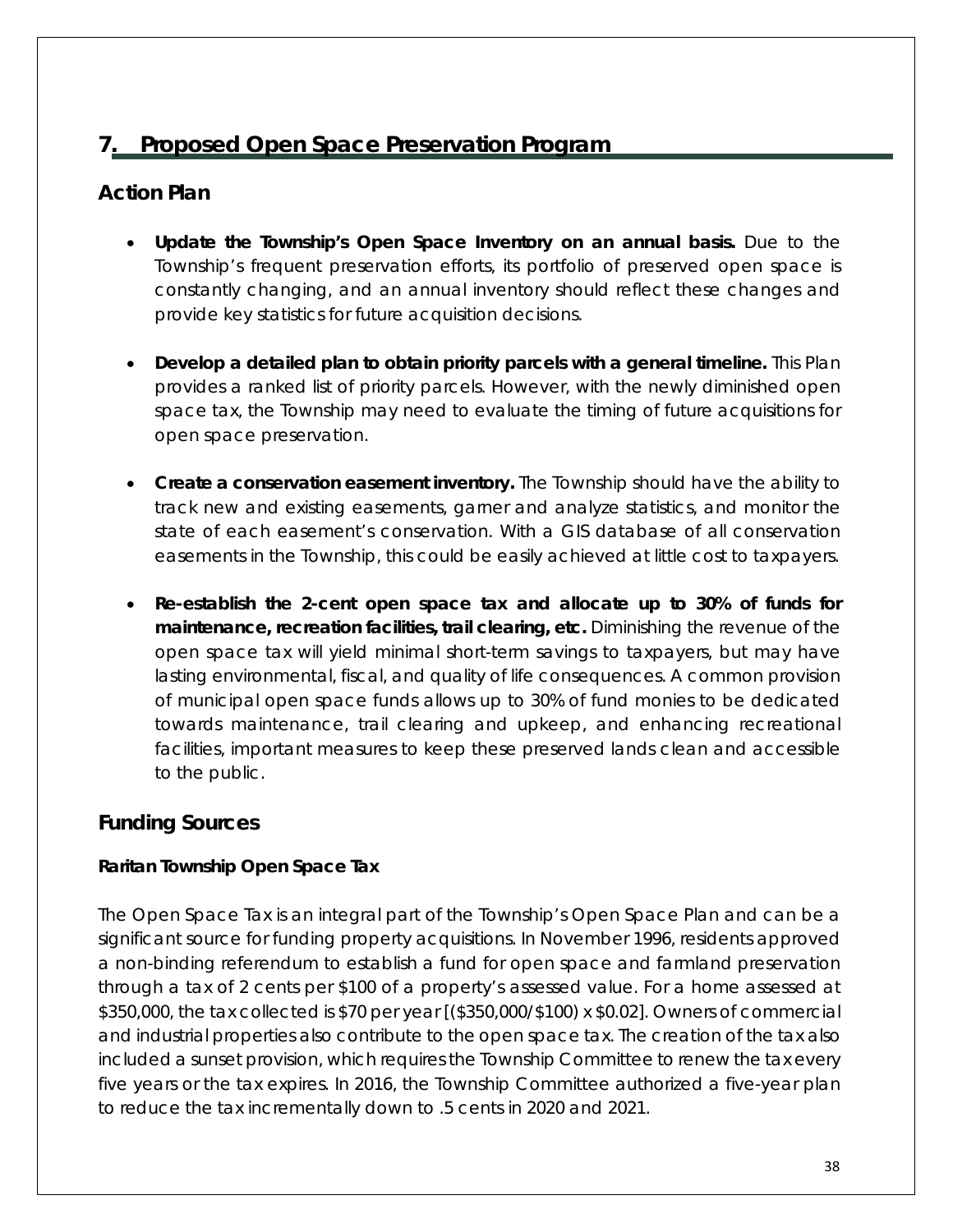## **7. Proposed Open Space Preservation Program**

## <span id="page-40-1"></span><span id="page-40-0"></span>**Action Plan**

- **Update the Township's Open Space Inventory on an annual basis.** Due to the Township's frequent preservation efforts, its portfolio of preserved open space is constantly changing, and an annual inventory should reflect these changes and provide key statistics for future acquisition decisions.
- **Develop a detailed plan to obtain priority parcels with a general timeline.** This Plan provides a ranked list of priority parcels. However, with the newly diminished open space tax, the Township may need to evaluate the timing of future acquisitions for open space preservation.
- **Create a conservation easement inventory.** The Township should have the ability to track new and existing easements, garner and analyze statistics, and monitor the state of each easement's conservation. With a GIS database of all conservation easements in the Township, this could be easily achieved at little cost to taxpayers.
- **Re-establish the 2-cent open space tax and allocate up to 30% of funds for maintenance, recreation facilities, trail clearing, etc.** Diminishing the revenue of the open space tax will yield minimal short-term savings to taxpayers, but may have lasting environmental, fiscal, and quality of life consequences. A common provision of municipal open space funds allows up to 30% of fund monies to be dedicated towards maintenance, trail clearing and upkeep, and enhancing recreational facilities, important measures to keep these preserved lands clean and accessible to the public.

## <span id="page-40-2"></span>**Funding Sources**

#### **Raritan Township Open Space Tax**

The Open Space Tax is an integral part of the Township's Open Space Plan and can be a significant source for funding property acquisitions. In November 1996, residents approved a non-binding referendum to establish a fund for open space and farmland preservation through a tax of 2 cents per \$100 of a property's assessed value. For a home assessed at \$350,000, the tax collected is \$70 per year [(\$350,000/\$100) x \$0.02]. Owners of commercial and industrial properties also contribute to the open space tax. The creation of the tax also included a sunset provision, which requires the Township Committee to renew the tax every five years or the tax expires. In 2016, the Township Committee authorized a five-year plan to reduce the tax incrementally down to .5 cents in 2020 and 2021.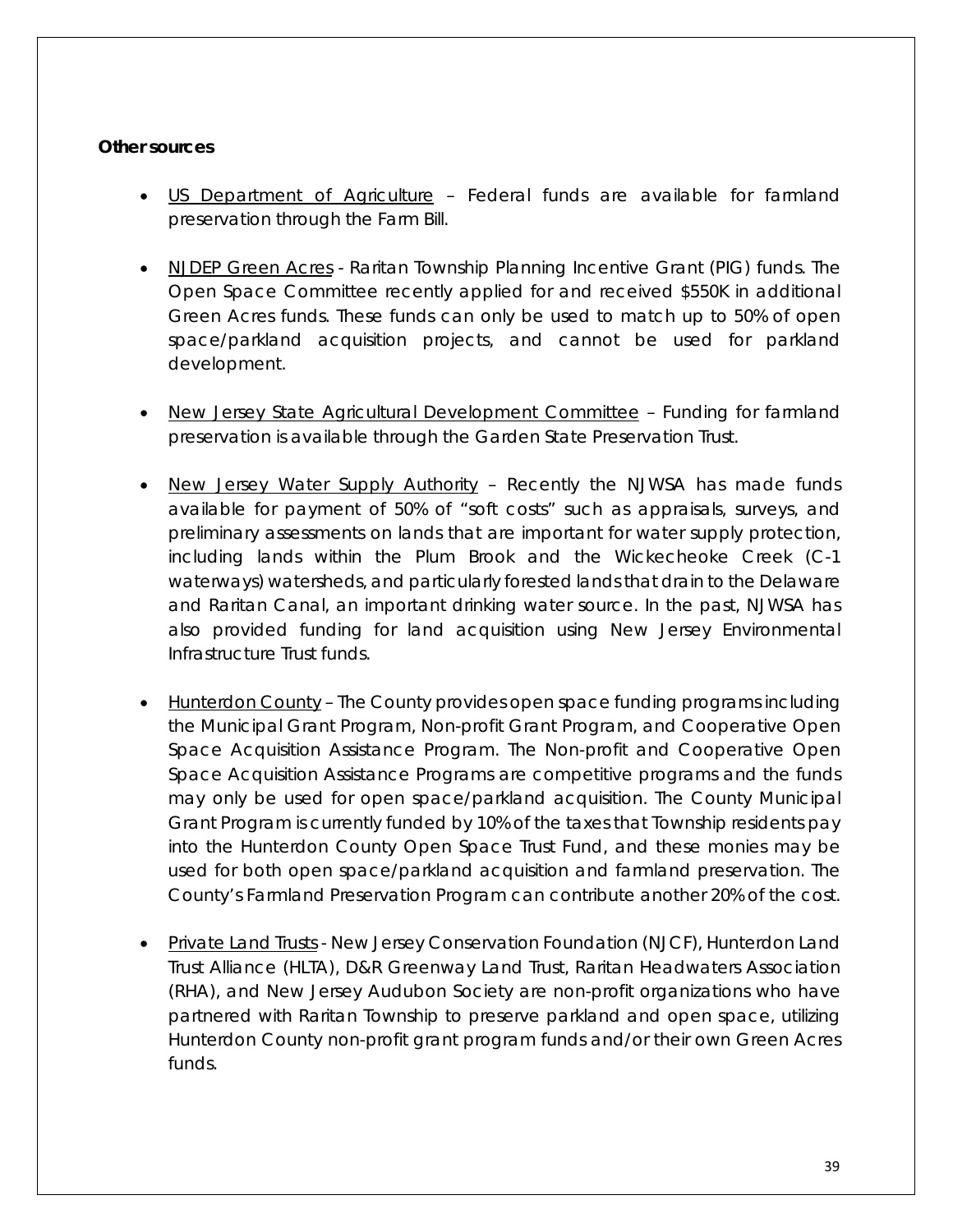#### **Other sources**

- US Department of Agriculture Federal funds are available for farmland preservation through the Farm Bill.
- NJDEP Green Acres Raritan Township Planning Incentive Grant (PIG) funds. The Open Space Committee recently applied for and received \$550K in additional Green Acres funds. These funds can only be used to match up to 50% of open space/parkland acquisition projects, and cannot be used for parkland development.
- New Jersey State Agricultural Development Committee Funding for farmland preservation is available through the Garden State Preservation Trust.
- New Jersey Water Supply Authority Recently the NJWSA has made funds available for payment of 50% of "soft costs" such as appraisals, surveys, and preliminary assessments on lands that are important for water supply protection, including lands within the Plum Brook and the Wickecheoke Creek (C-1 waterways) watersheds, and particularly forested lands that drain to the Delaware and Raritan Canal, an important drinking water source. In the past, NJWSA has also provided funding for land acquisition using New Jersey Environmental Infrastructure Trust funds.
- Hunterdon County The County provides open space funding programs including the Municipal Grant Program, Non-profit Grant Program, and Cooperative Open Space Acquisition Assistance Program. The Non-profit and Cooperative Open Space Acquisition Assistance Programs are competitive programs and the funds may only be used for open space/parkland acquisition. The County Municipal Grant Program is currently funded by 10% of the taxes that Township residents pay into the Hunterdon County Open Space Trust Fund, and these monies may be used for both open space/parkland acquisition and farmland preservation. The County's Farmland Preservation Program can contribute another 20% of the cost.
- Private Land Trusts New Jersey Conservation Foundation (NJCF), Hunterdon Land Trust Alliance (HLTA), D&R Greenway Land Trust, Raritan Headwaters Association (RHA), and New Jersey Audubon Society are non-profit organizations who have partnered with Raritan Township to preserve parkland and open space, utilizing Hunterdon County non-profit grant program funds and/or their own Green Acres funds.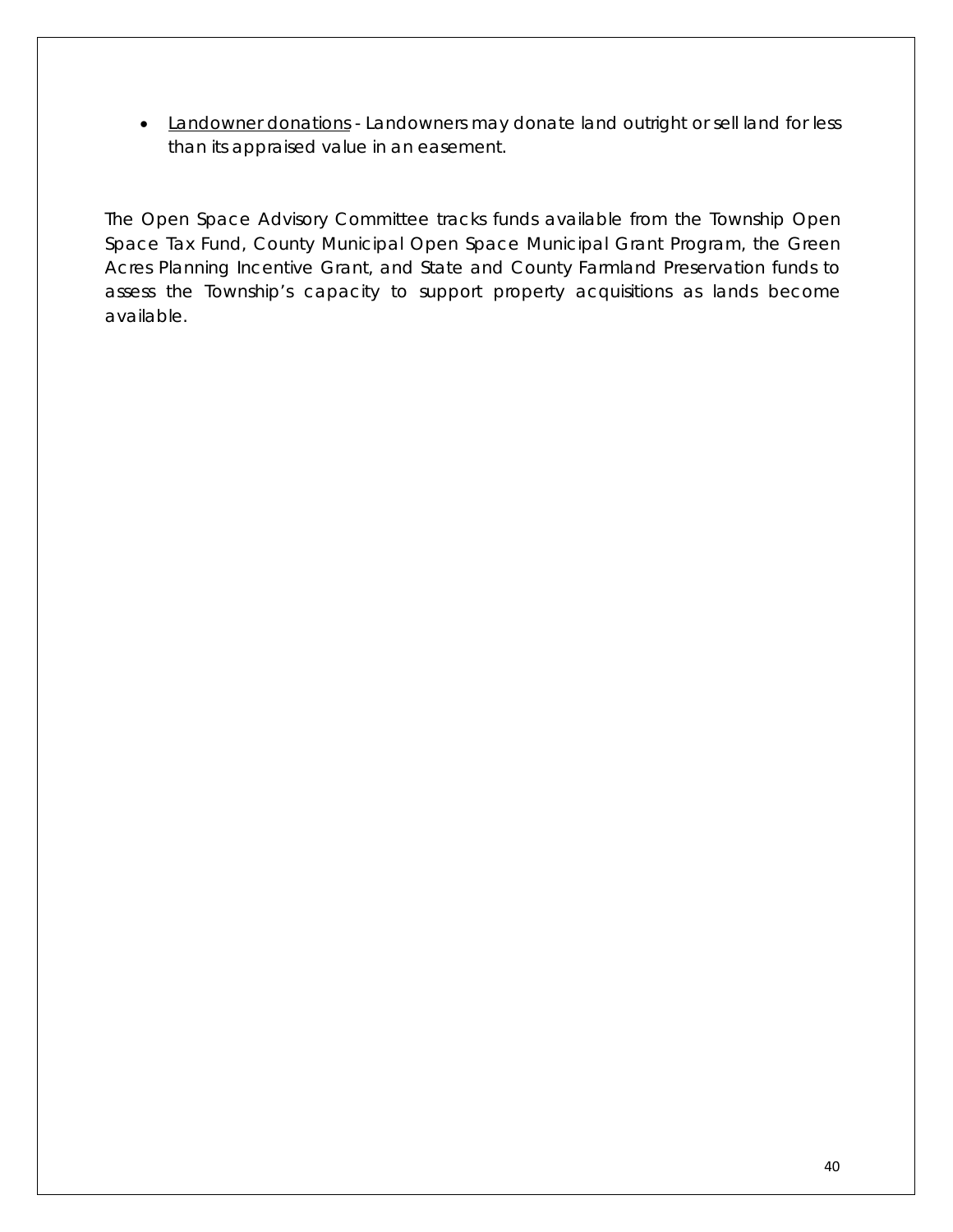• Landowner donations - Landowners may donate land outright or sell land for less than its appraised value in an easement.

The Open Space Advisory Committee tracks funds available from the Township Open Space Tax Fund, County Municipal Open Space Municipal Grant Program, the Green Acres Planning Incentive Grant, and State and County Farmland Preservation funds to assess the Township's capacity to support property acquisitions as lands become available.